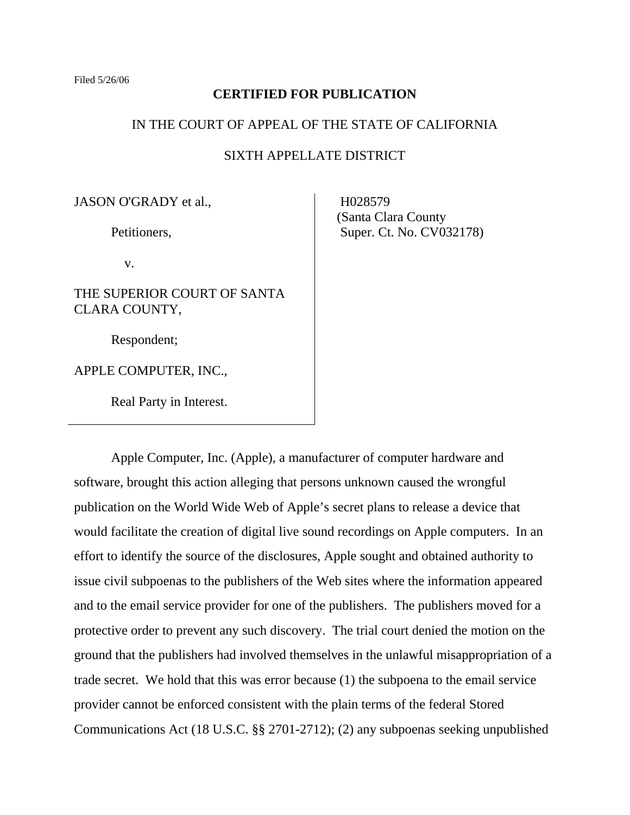### **CERTIFIED FOR PUBLICATION**

#### IN THE COURT OF APPEAL OF THE STATE OF CALIFORNIA

# SIXTH APPELLATE DISTRICT

JASON O'GRADY et al.,

Petitioners,

v.

THE SUPERIOR COURT OF SANTA CLARA COUNTY,

Respondent;

APPLE COMPUTER, INC.,

Real Party in Interest.

H<sub>0</sub>28579 (Santa Clara County Super. Ct. No. CV032178)

 Apple Computer, Inc. (Apple), a manufacturer of computer hardware and software, brought this action alleging that persons unknown caused the wrongful publication on the World Wide Web of Apple's secret plans to release a device that would facilitate the creation of digital live sound recordings on Apple computers. In an effort to identify the source of the disclosures, Apple sought and obtained authority to issue civil subpoenas to the publishers of the Web sites where the information appeared and to the email service provider for one of the publishers. The publishers moved for a protective order to prevent any such discovery. The trial court denied the motion on the ground that the publishers had involved themselves in the unlawful misappropriation of a trade secret. We hold that this was error because (1) the subpoena to the email service provider cannot be enforced consistent with the plain terms of the federal Stored Communications Act (18 U.S.C. §§ 2701-2712); (2) any subpoenas seeking unpublished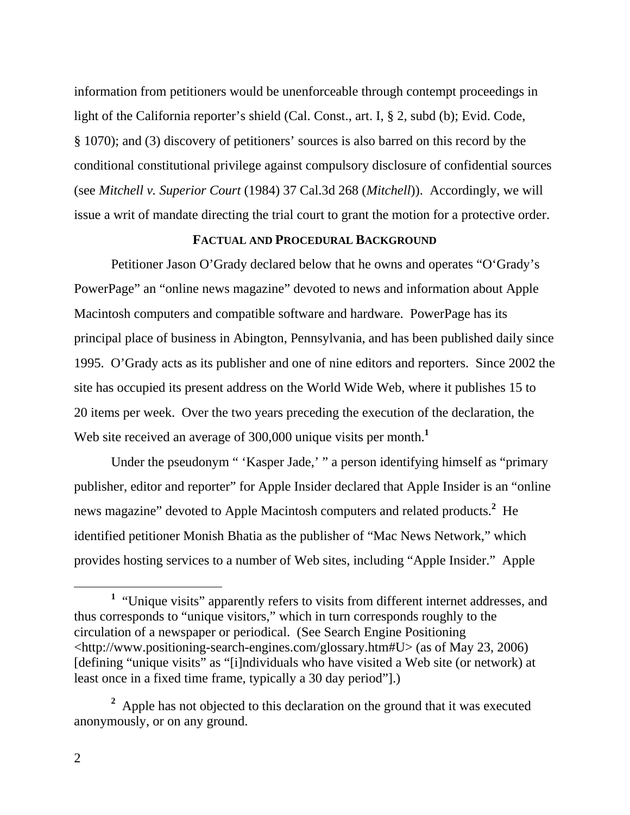information from petitioners would be unenforceable through contempt proceedings in light of the California reporter's shield (Cal. Const., art. I, § 2, subd (b); Evid. Code, § 1070); and (3) discovery of petitioners' sources is also barred on this record by the conditional constitutional privilege against compulsory disclosure of confidential sources (see *Mitchell v. Superior Court* (1984) 37 Cal.3d 268 (*Mitchell*)). Accordingly, we will issue a writ of mandate directing the trial court to grant the motion for a protective order.

# **FACTUAL AND PROCEDURAL BACKGROUND**

 Petitioner Jason O'Grady declared below that he owns and operates "O'Grady's PowerPage" an "online news magazine" devoted to news and information about Apple Macintosh computers and compatible software and hardware. PowerPage has its principal place of business in Abington, Pennsylvania, and has been published daily since 1995. O'Grady acts as its publisher and one of nine editors and reporters. Since 2002 the site has occupied its present address on the World Wide Web, where it publishes 15 to 20 items per week. Over the two years preceding the execution of the declaration, the Web site received an average of 300,000 unique visits per month.<sup>1</sup>

 Under the pseudonym " 'Kasper Jade,' " a person identifying himself as "primary publisher, editor and reporter" for Apple Insider declared that Apple Insider is an "online news magazine" devoted to Apple Macintosh computers and related products.<sup>2</sup> He identified petitioner Monish Bhatia as the publisher of "Mac News Network," which provides hosting services to a number of Web sites, including "Apple Insider." Apple

<sup>&</sup>lt;u>1</u> <sup>1</sup> "Unique visits" apparently refers to visits from different internet addresses, and thus corresponds to "unique visitors," which in turn corresponds roughly to the circulation of a newspaper or periodical. (See Search Engine Positioning <http://www.positioning-search-engines.com/glossary.htm#U> (as of May 23, 2006) [defining "unique visits" as "[i]ndividuals who have visited a Web site (or network) at least once in a fixed time frame, typically a 30 day period"].)

<sup>&</sup>lt;sup>2</sup> Apple has not objected to this declaration on the ground that it was executed anonymously, or on any ground.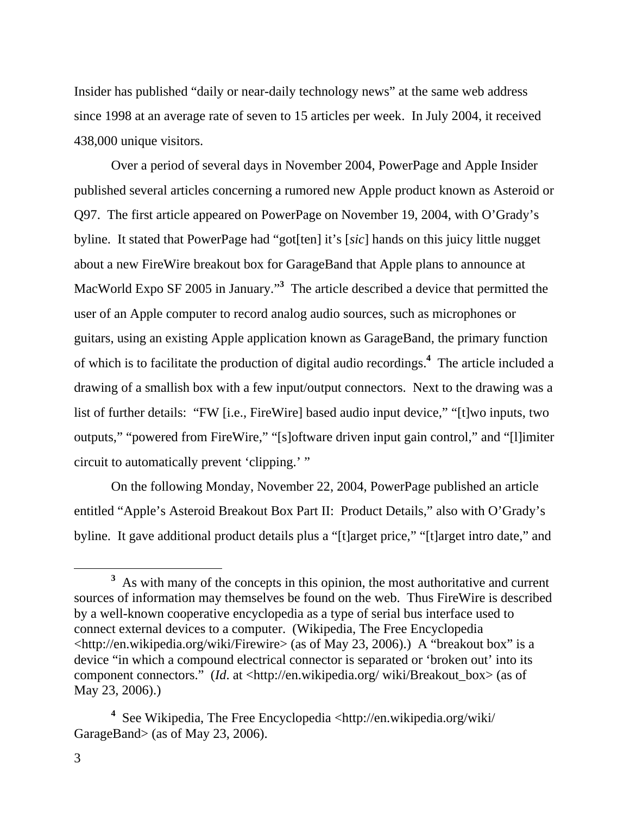Insider has published "daily or near-daily technology news" at the same web address since 1998 at an average rate of seven to 15 articles per week. In July 2004, it received 438,000 unique visitors.

 Over a period of several days in November 2004, PowerPage and Apple Insider published several articles concerning a rumored new Apple product known as Asteroid or Q97. The first article appeared on PowerPage on November 19, 2004, with O'Grady's byline. It stated that PowerPage had "got[ten] it's [*sic*] hands on this juicy little nugget about a new FireWire breakout box for GarageBand that Apple plans to announce at MacWorld Expo SF 2005 in January."**<sup>3</sup>** The article described a device that permitted the user of an Apple computer to record analog audio sources, such as microphones or guitars, using an existing Apple application known as GarageBand, the primary function of which is to facilitate the production of digital audio recordings.**<sup>4</sup>** The article included a drawing of a smallish box with a few input/output connectors. Next to the drawing was a list of further details: "FW [i.e., FireWire] based audio input device," "[t]wo inputs, two outputs," "powered from FireWire," "[s]oftware driven input gain control," and "[l]imiter circuit to automatically prevent 'clipping.' "

 On the following Monday, November 22, 2004, PowerPage published an article entitled "Apple's Asteroid Breakout Box Part II: Product Details," also with O'Grady's byline. It gave additional product details plus a "[t]arget price," "[t]arget intro date," and

**<sup>3</sup>** <sup>3</sup> As with many of the concepts in this opinion, the most authoritative and current sources of information may themselves be found on the web. Thus FireWire is described by a well-known cooperative encyclopedia as a type of serial bus interface used to connect external devices to a computer. (Wikipedia, The Free Encyclopedia <http://en.wikipedia.org/wiki/Firewire> (as of May 23, 2006).) A "breakout box" is a device "in which a compound electrical connector is separated or 'broken out' into its component connectors." (*Id.* at <http://en.wikipedia.org/ wiki/Breakout\_box> (as of May 23, 2006).)

<sup>&</sup>lt;sup>4</sup> See Wikipedia, The Free Encyclopedia <http://en.wikipedia.org/wiki/ GarageBand> (as of May 23, 2006).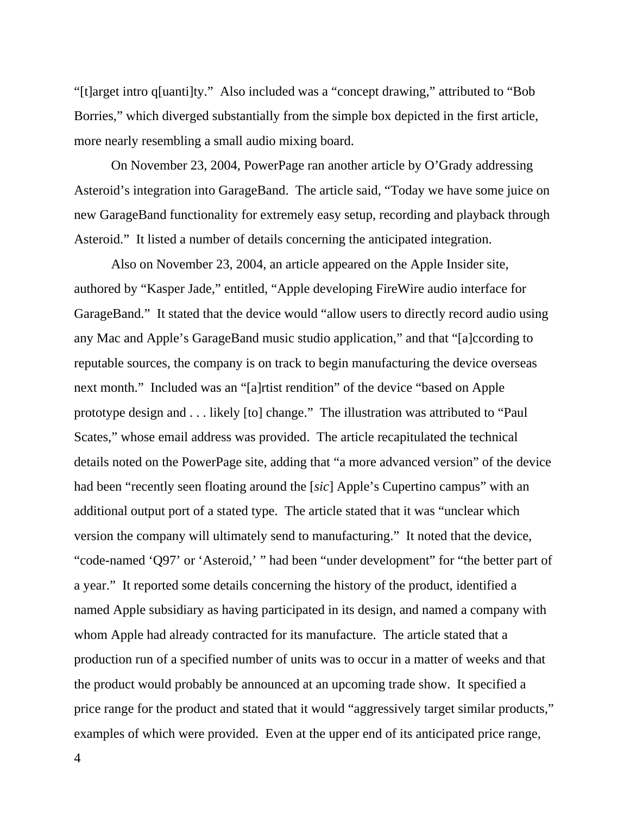"[t]arget intro q[uanti]ty." Also included was a "concept drawing," attributed to "Bob Borries," which diverged substantially from the simple box depicted in the first article, more nearly resembling a small audio mixing board.

 On November 23, 2004, PowerPage ran another article by O'Grady addressing Asteroid's integration into GarageBand. The article said, "Today we have some juice on new GarageBand functionality for extremely easy setup, recording and playback through Asteroid." It listed a number of details concerning the anticipated integration.

 Also on November 23, 2004, an article appeared on the Apple Insider site, authored by "Kasper Jade," entitled, "Apple developing FireWire audio interface for GarageBand." It stated that the device would "allow users to directly record audio using any Mac and Apple's GarageBand music studio application," and that "[a]ccording to reputable sources, the company is on track to begin manufacturing the device overseas next month." Included was an "[a]rtist rendition" of the device "based on Apple prototype design and . . . likely [to] change." The illustration was attributed to "Paul Scates," whose email address was provided. The article recapitulated the technical details noted on the PowerPage site, adding that "a more advanced version" of the device had been "recently seen floating around the [*sic*] Apple's Cupertino campus" with an additional output port of a stated type. The article stated that it was "unclear which version the company will ultimately send to manufacturing." It noted that the device, "code-named 'Q97' or 'Asteroid,' " had been "under development" for "the better part of a year." It reported some details concerning the history of the product, identified a named Apple subsidiary as having participated in its design, and named a company with whom Apple had already contracted for its manufacture. The article stated that a production run of a specified number of units was to occur in a matter of weeks and that the product would probably be announced at an upcoming trade show. It specified a price range for the product and stated that it would "aggressively target similar products," examples of which were provided. Even at the upper end of its anticipated price range,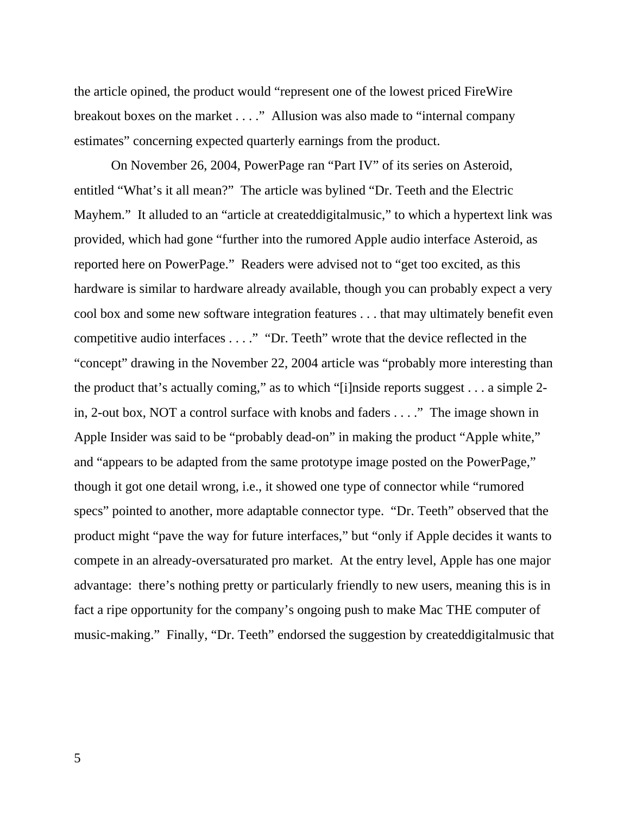the article opined, the product would "represent one of the lowest priced FireWire breakout boxes on the market . . . ." Allusion was also made to "internal company estimates" concerning expected quarterly earnings from the product.

 On November 26, 2004, PowerPage ran "Part IV" of its series on Asteroid, entitled "What's it all mean?" The article was bylined "Dr. Teeth and the Electric Mayhem." It alluded to an "article at createddigitalmusic," to which a hypertext link was provided, which had gone "further into the rumored Apple audio interface Asteroid, as reported here on PowerPage." Readers were advised not to "get too excited, as this hardware is similar to hardware already available, though you can probably expect a very cool box and some new software integration features . . . that may ultimately benefit even competitive audio interfaces . . . ." "Dr. Teeth" wrote that the device reflected in the "concept" drawing in the November 22, 2004 article was "probably more interesting than the product that's actually coming," as to which "[i]nside reports suggest . . . a simple 2 in, 2-out box, NOT a control surface with knobs and faders . . . ." The image shown in Apple Insider was said to be "probably dead-on" in making the product "Apple white," and "appears to be adapted from the same prototype image posted on the PowerPage," though it got one detail wrong, i.e., it showed one type of connector while "rumored specs" pointed to another, more adaptable connector type. "Dr. Teeth" observed that the product might "pave the way for future interfaces," but "only if Apple decides it wants to compete in an already-oversaturated pro market. At the entry level, Apple has one major advantage: there's nothing pretty or particularly friendly to new users, meaning this is in fact a ripe opportunity for the company's ongoing push to make Mac THE computer of music-making." Finally, "Dr. Teeth" endorsed the suggestion by createddigitalmusic that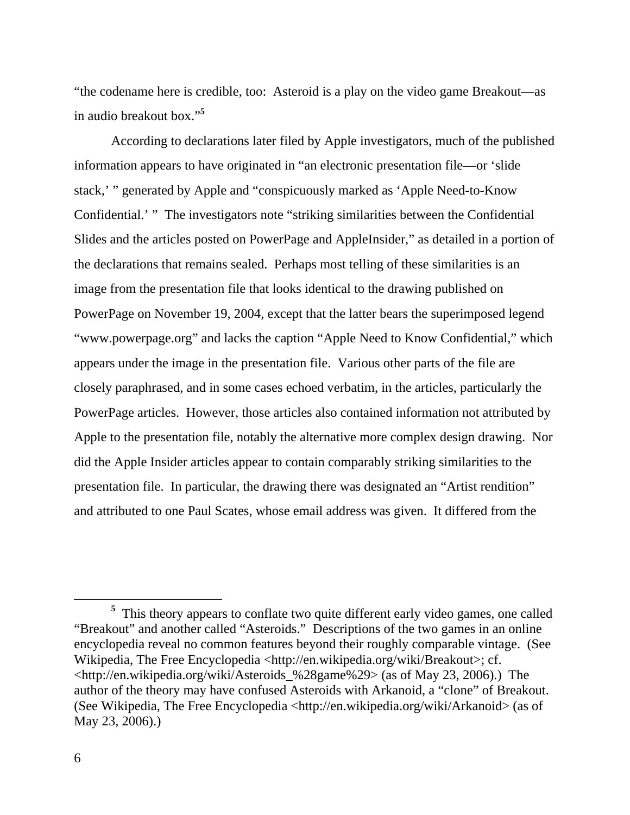"the codename here is credible, too: Asteroid is a play on the video game Breakout—as in audio breakout box."**<sup>5</sup>**

 According to declarations later filed by Apple investigators, much of the published information appears to have originated in "an electronic presentation file—or 'slide stack,' " generated by Apple and "conspicuously marked as 'Apple Need-to-Know Confidential.' " The investigators note "striking similarities between the Confidential Slides and the articles posted on PowerPage and AppleInsider," as detailed in a portion of the declarations that remains sealed. Perhaps most telling of these similarities is an image from the presentation file that looks identical to the drawing published on PowerPage on November 19, 2004, except that the latter bears the superimposed legend "www.powerpage.org" and lacks the caption "Apple Need to Know Confidential," which appears under the image in the presentation file. Various other parts of the file are closely paraphrased, and in some cases echoed verbatim, in the articles, particularly the PowerPage articles. However, those articles also contained information not attributed by Apple to the presentation file, notably the alternative more complex design drawing. Nor did the Apple Insider articles appear to contain comparably striking similarities to the presentation file. In particular, the drawing there was designated an "Artist rendition" and attributed to one Paul Scates, whose email address was given. It differed from the

**<sup>5</sup>** <sup>5</sup> This theory appears to conflate two quite different early video games, one called "Breakout" and another called "Asteroids." Descriptions of the two games in an online encyclopedia reveal no common features beyond their roughly comparable vintage. (See Wikipedia, The Free Encyclopedia <http://en.wikipedia.org/wiki/Breakout>; cf.  $\lt$ http://en.wikipedia.org/wiki/Asteroids %28game%29> (as of May 23, 2006).) The author of the theory may have confused Asteroids with Arkanoid, a "clone" of Breakout. (See Wikipedia, The Free Encyclopedia <http://en.wikipedia.org/wiki/Arkanoid> (as of May 23, 2006).)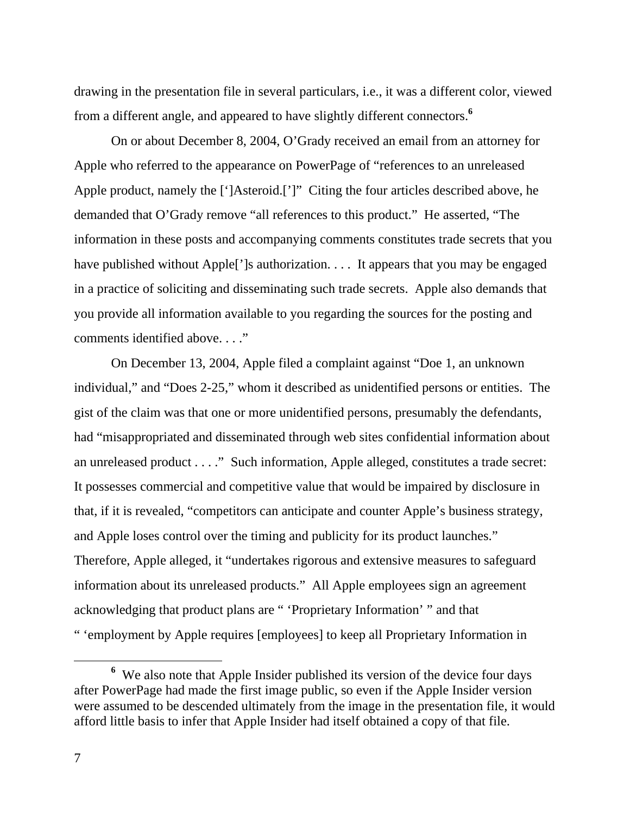drawing in the presentation file in several particulars, i.e., it was a different color, viewed from a different angle, and appeared to have slightly different connectors.**<sup>6</sup>**

 On or about December 8, 2004, O'Grady received an email from an attorney for Apple who referred to the appearance on PowerPage of "references to an unreleased Apple product, namely the [']Asteroid.[']" Citing the four articles described above, he demanded that O'Grady remove "all references to this product." He asserted, "The information in these posts and accompanying comments constitutes trade secrets that you have published without Apple<sup>[']</sup>s authorization. . . . It appears that you may be engaged in a practice of soliciting and disseminating such trade secrets. Apple also demands that you provide all information available to you regarding the sources for the posting and comments identified above. . . ."

 On December 13, 2004, Apple filed a complaint against "Doe 1, an unknown individual," and "Does 2-25," whom it described as unidentified persons or entities. The gist of the claim was that one or more unidentified persons, presumably the defendants, had "misappropriated and disseminated through web sites confidential information about an unreleased product . . . ." Such information, Apple alleged, constitutes a trade secret: It possesses commercial and competitive value that would be impaired by disclosure in that, if it is revealed, "competitors can anticipate and counter Apple's business strategy, and Apple loses control over the timing and publicity for its product launches." Therefore, Apple alleged, it "undertakes rigorous and extensive measures to safeguard information about its unreleased products." All Apple employees sign an agreement acknowledging that product plans are " 'Proprietary Information' " and that " 'employment by Apple requires [employees] to keep all Proprietary Information in

**<sup>6</sup>** We also note that Apple Insider published its version of the device four days after PowerPage had made the first image public, so even if the Apple Insider version were assumed to be descended ultimately from the image in the presentation file, it would afford little basis to infer that Apple Insider had itself obtained a copy of that file.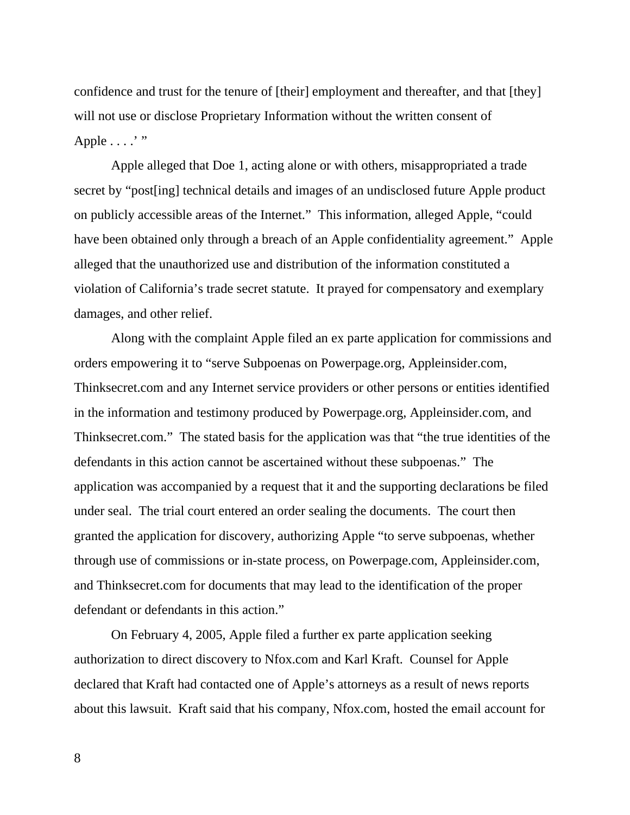confidence and trust for the tenure of [their] employment and thereafter, and that [they] will not use or disclose Proprietary Information without the written consent of Apple ....'"

 Apple alleged that Doe 1, acting alone or with others, misappropriated a trade secret by "post[ing] technical details and images of an undisclosed future Apple product on publicly accessible areas of the Internet." This information, alleged Apple, "could have been obtained only through a breach of an Apple confidentiality agreement." Apple alleged that the unauthorized use and distribution of the information constituted a violation of California's trade secret statute. It prayed for compensatory and exemplary damages, and other relief.

 Along with the complaint Apple filed an ex parte application for commissions and orders empowering it to "serve Subpoenas on Powerpage.org, Appleinsider.com, Thinksecret.com and any Internet service providers or other persons or entities identified in the information and testimony produced by Powerpage.org, Appleinsider.com, and Thinksecret.com." The stated basis for the application was that "the true identities of the defendants in this action cannot be ascertained without these subpoenas." The application was accompanied by a request that it and the supporting declarations be filed under seal. The trial court entered an order sealing the documents. The court then granted the application for discovery, authorizing Apple "to serve subpoenas, whether through use of commissions or in-state process, on Powerpage.com, Appleinsider.com, and Thinksecret.com for documents that may lead to the identification of the proper defendant or defendants in this action."

 On February 4, 2005, Apple filed a further ex parte application seeking authorization to direct discovery to Nfox.com and Karl Kraft. Counsel for Apple declared that Kraft had contacted one of Apple's attorneys as a result of news reports about this lawsuit. Kraft said that his company, Nfox.com, hosted the email account for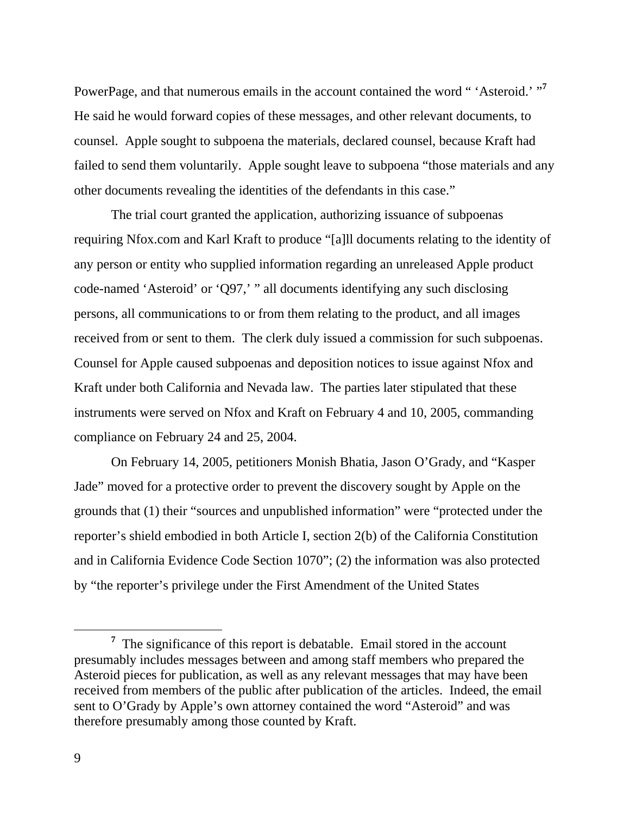PowerPage, and that numerous emails in the account contained the word " 'Asteroid.' "<sup>7</sup> He said he would forward copies of these messages, and other relevant documents, to counsel. Apple sought to subpoena the materials, declared counsel, because Kraft had failed to send them voluntarily. Apple sought leave to subpoena "those materials and any other documents revealing the identities of the defendants in this case."

 The trial court granted the application, authorizing issuance of subpoenas requiring Nfox.com and Karl Kraft to produce "[a]ll documents relating to the identity of any person or entity who supplied information regarding an unreleased Apple product code-named 'Asteroid' or 'Q97,' " all documents identifying any such disclosing persons, all communications to or from them relating to the product, and all images received from or sent to them. The clerk duly issued a commission for such subpoenas. Counsel for Apple caused subpoenas and deposition notices to issue against Nfox and Kraft under both California and Nevada law. The parties later stipulated that these instruments were served on Nfox and Kraft on February 4 and 10, 2005, commanding compliance on February 24 and 25, 2004.

 On February 14, 2005, petitioners Monish Bhatia, Jason O'Grady, and "Kasper Jade" moved for a protective order to prevent the discovery sought by Apple on the grounds that (1) their "sources and unpublished information" were "protected under the reporter's shield embodied in both Article I, section 2(b) of the California Constitution and in California Evidence Code Section 1070"; (2) the information was also protected by "the reporter's privilege under the First Amendment of the United States

**<sup>7</sup>**  $\frac{7}{1}$ . The significance of this report is debatable. Email stored in the account presumably includes messages between and among staff members who prepared the Asteroid pieces for publication, as well as any relevant messages that may have been received from members of the public after publication of the articles. Indeed, the email sent to O'Grady by Apple's own attorney contained the word "Asteroid" and was therefore presumably among those counted by Kraft.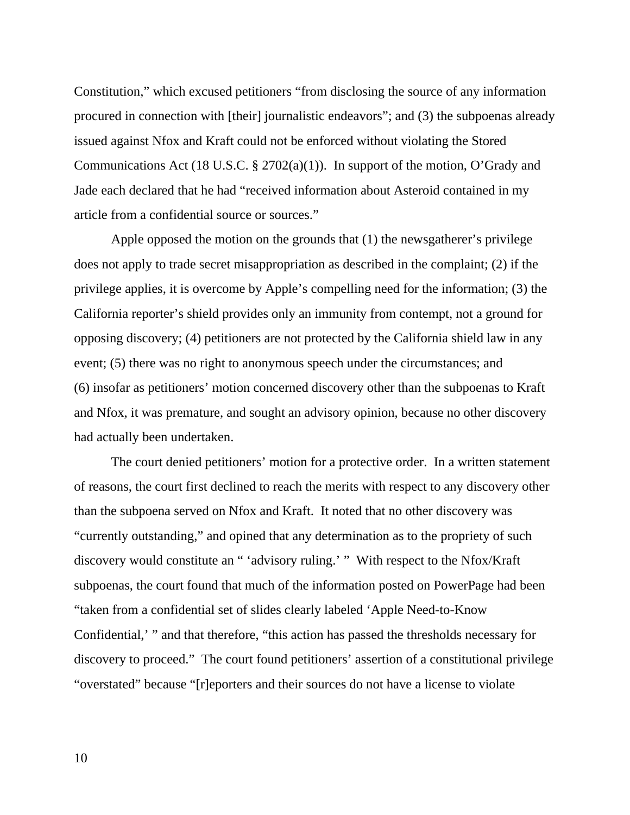Constitution," which excused petitioners "from disclosing the source of any information procured in connection with [their] journalistic endeavors"; and (3) the subpoenas already issued against Nfox and Kraft could not be enforced without violating the Stored Communications Act (18 U.S.C. § 2702(a)(1)). In support of the motion, O'Grady and Jade each declared that he had "received information about Asteroid contained in my article from a confidential source or sources."

 Apple opposed the motion on the grounds that (1) the newsgatherer's privilege does not apply to trade secret misappropriation as described in the complaint; (2) if the privilege applies, it is overcome by Apple's compelling need for the information; (3) the California reporter's shield provides only an immunity from contempt, not a ground for opposing discovery; (4) petitioners are not protected by the California shield law in any event; (5) there was no right to anonymous speech under the circumstances; and (6) insofar as petitioners' motion concerned discovery other than the subpoenas to Kraft and Nfox, it was premature, and sought an advisory opinion, because no other discovery had actually been undertaken.

 The court denied petitioners' motion for a protective order. In a written statement of reasons, the court first declined to reach the merits with respect to any discovery other than the subpoena served on Nfox and Kraft. It noted that no other discovery was "currently outstanding," and opined that any determination as to the propriety of such discovery would constitute an " 'advisory ruling.' " With respect to the Nfox/Kraft subpoenas, the court found that much of the information posted on PowerPage had been "taken from a confidential set of slides clearly labeled 'Apple Need-to-Know Confidential,' " and that therefore, "this action has passed the thresholds necessary for discovery to proceed." The court found petitioners' assertion of a constitutional privilege "overstated" because "[r]eporters and their sources do not have a license to violate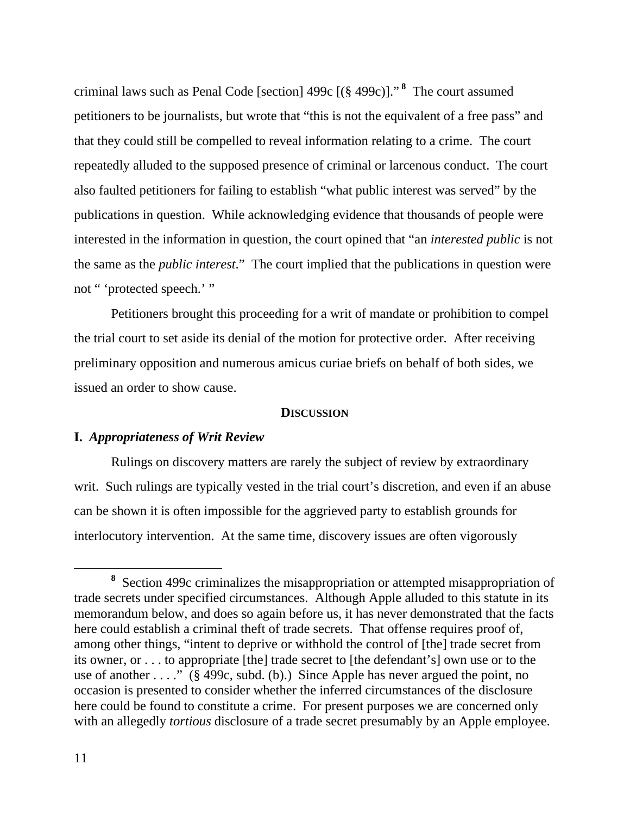criminal laws such as Penal Code [section] 499c [(§ 499c)]." **<sup>8</sup>** The court assumed petitioners to be journalists, but wrote that "this is not the equivalent of a free pass" and that they could still be compelled to reveal information relating to a crime. The court repeatedly alluded to the supposed presence of criminal or larcenous conduct. The court also faulted petitioners for failing to establish "what public interest was served" by the publications in question. While acknowledging evidence that thousands of people were interested in the information in question, the court opined that "an *interested public* is not the same as the *public interest*." The court implied that the publications in question were not " 'protected speech.' "

 Petitioners brought this proceeding for a writ of mandate or prohibition to compel the trial court to set aside its denial of the motion for protective order. After receiving preliminary opposition and numerous amicus curiae briefs on behalf of both sides, we issued an order to show cause.

#### **DISCUSSION**

## **I.** *Appropriateness of Writ Review*

 Rulings on discovery matters are rarely the subject of review by extraordinary writ. Such rulings are typically vested in the trial court's discretion, and even if an abuse can be shown it is often impossible for the aggrieved party to establish grounds for interlocutory intervention. At the same time, discovery issues are often vigorously

**<sup>8</sup>** Section 499c criminalizes the misappropriation or attempted misappropriation of trade secrets under specified circumstances. Although Apple alluded to this statute in its memorandum below, and does so again before us, it has never demonstrated that the facts here could establish a criminal theft of trade secrets. That offense requires proof of, among other things, "intent to deprive or withhold the control of [the] trade secret from its owner, or . . . to appropriate [the] trade secret to [the defendant's] own use or to the use of another . . . ." (§ 499c, subd. (b).) Since Apple has never argued the point, no occasion is presented to consider whether the inferred circumstances of the disclosure here could be found to constitute a crime. For present purposes we are concerned only with an allegedly *tortious* disclosure of a trade secret presumably by an Apple employee.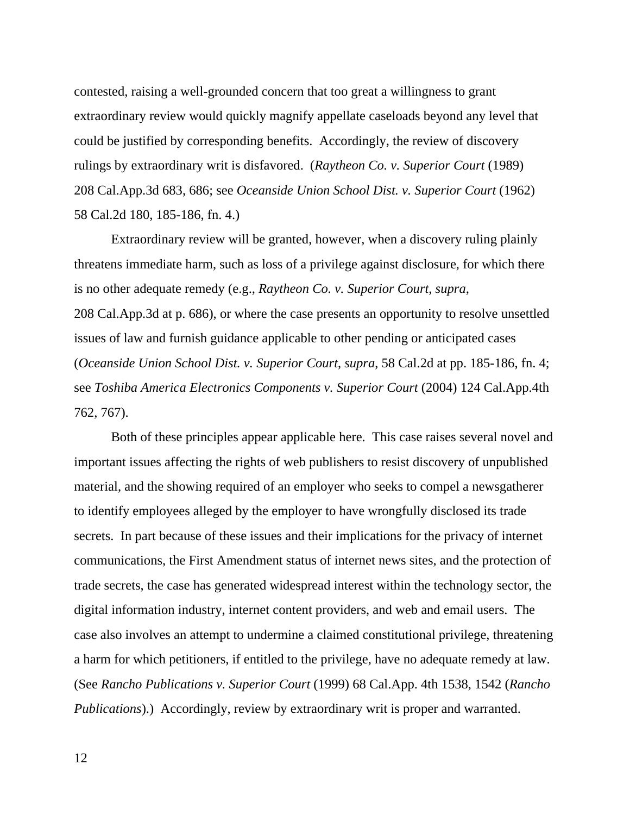contested, raising a well-grounded concern that too great a willingness to grant extraordinary review would quickly magnify appellate caseloads beyond any level that could be justified by corresponding benefits. Accordingly, the review of discovery rulings by extraordinary writ is disfavored. (*Raytheon Co. v. Superior Court* (1989) 208 Cal.App.3d 683, 686; see *Oceanside Union School Dist. v. Superior Court* (1962) 58 Cal.2d 180, 185-186, fn. 4.)

 Extraordinary review will be granted, however, when a discovery ruling plainly threatens immediate harm, such as loss of a privilege against disclosure, for which there is no other adequate remedy (e.g., *Raytheon Co. v. Superior Court*, *supra*, 208 Cal.App.3d at p. 686), or where the case presents an opportunity to resolve unsettled issues of law and furnish guidance applicable to other pending or anticipated cases (*Oceanside Union School Dist. v. Superior Court*, *supra*, 58 Cal.2d at pp. 185-186, fn. 4; see *Toshiba America Electronics Components v. Superior Court* (2004) 124 Cal.App.4th 762, 767).

 Both of these principles appear applicable here. This case raises several novel and important issues affecting the rights of web publishers to resist discovery of unpublished material, and the showing required of an employer who seeks to compel a newsgatherer to identify employees alleged by the employer to have wrongfully disclosed its trade secrets. In part because of these issues and their implications for the privacy of internet communications, the First Amendment status of internet news sites, and the protection of trade secrets, the case has generated widespread interest within the technology sector, the digital information industry, internet content providers, and web and email users. The case also involves an attempt to undermine a claimed constitutional privilege, threatening a harm for which petitioners, if entitled to the privilege, have no adequate remedy at law. (See *Rancho Publications v. Superior Court* (1999) 68 Cal.App. 4th 1538, 1542 (*Rancho Publications*).) Accordingly, review by extraordinary writ is proper and warranted.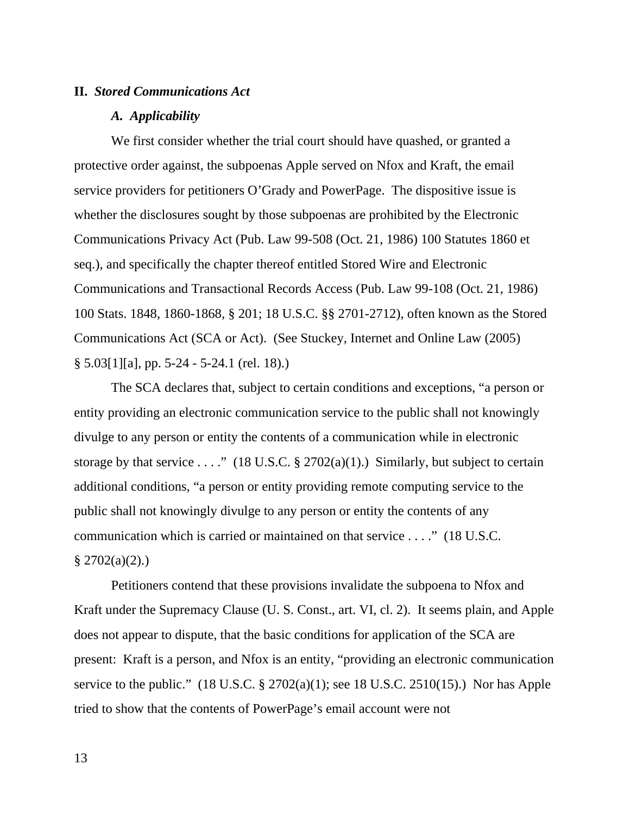## **II.** *Stored Communications Act*

#### *A. Applicability*

 We first consider whether the trial court should have quashed, or granted a protective order against, the subpoenas Apple served on Nfox and Kraft, the email service providers for petitioners O'Grady and PowerPage. The dispositive issue is whether the disclosures sought by those subpoenas are prohibited by the Electronic Communications Privacy Act (Pub. Law 99-508 (Oct. 21, 1986) 100 Statutes 1860 et seq.), and specifically the chapter thereof entitled Stored Wire and Electronic Communications and Transactional Records Access (Pub. Law 99-108 (Oct. 21, 1986) 100 Stats. 1848, 1860-1868, § 201; 18 U.S.C. §§ 2701-2712), often known as the Stored Communications Act (SCA or Act). (See Stuckey, Internet and Online Law (2005) § 5.03[1][a], pp. 5-24 - 5-24.1 (rel. 18).)

 The SCA declares that, subject to certain conditions and exceptions, "a person or entity providing an electronic communication service to the public shall not knowingly divulge to any person or entity the contents of a communication while in electronic storage by that service . . . ." (18 U.S.C. § 2702(a)(1).) Similarly, but subject to certain additional conditions, "a person or entity providing remote computing service to the public shall not knowingly divulge to any person or entity the contents of any communication which is carried or maintained on that service . . . ." (18 U.S.C.  $$2702(a)(2).$ 

 Petitioners contend that these provisions invalidate the subpoena to Nfox and Kraft under the Supremacy Clause (U. S. Const., art. VI, cl. 2). It seems plain, and Apple does not appear to dispute, that the basic conditions for application of the SCA are present: Kraft is a person, and Nfox is an entity, "providing an electronic communication service to the public."  $(18 \text{ U.S.C.} \text{ } \frac{2702(a)(1)}{s})$ ; see 18 U.S.C. 2510(15).) Nor has Apple tried to show that the contents of PowerPage's email account were not

13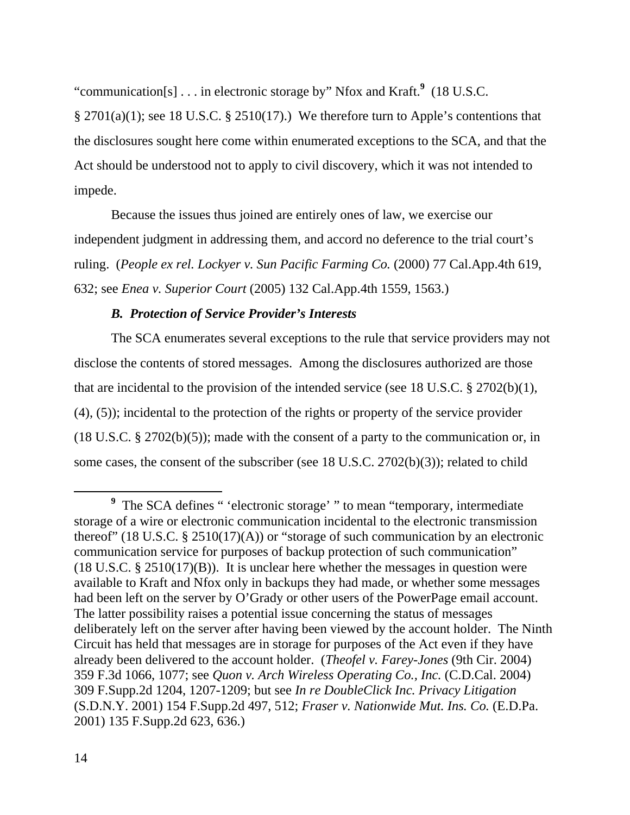"communication[s] . . . in electronic storage by" Nfox and Kraft.**<sup>9</sup>** (18 U.S.C.

 $\S 2701(a)(1)$ ; see 18 U.S.C.  $\S 2510(17)$ .) We therefore turn to Apple's contentions that the disclosures sought here come within enumerated exceptions to the SCA, and that the Act should be understood not to apply to civil discovery, which it was not intended to impede.

 Because the issues thus joined are entirely ones of law, we exercise our independent judgment in addressing them, and accord no deference to the trial court's ruling. (*People ex rel. Lockyer v. Sun Pacific Farming Co.* (2000) 77 Cal.App.4th 619, 632; see *Enea v. Superior Court* (2005) 132 Cal.App.4th 1559, 1563.)

# *B. Protection of Service Provider's Interests*

 The SCA enumerates several exceptions to the rule that service providers may not disclose the contents of stored messages. Among the disclosures authorized are those that are incidental to the provision of the intended service (see 18 U.S.C. § 2702(b)(1), (4), (5)); incidental to the protection of the rights or property of the service provider (18 U.S.C. § 2702(b)(5)); made with the consent of a party to the communication or, in some cases, the consent of the subscriber (see 18 U.S.C. 2702(b)(3)); related to child

**<sup>9</sup>** <sup>9</sup> The SCA defines " 'electronic storage' " to mean "temporary, intermediate storage of a wire or electronic communication incidental to the electronic transmission thereof" (18 U.S.C.  $\S 2510(17)(A)$ ) or "storage of such communication by an electronic communication service for purposes of backup protection of such communication" (18 U.S.C. § 2510(17)(B)). It is unclear here whether the messages in question were available to Kraft and Nfox only in backups they had made, or whether some messages had been left on the server by O'Grady or other users of the PowerPage email account. The latter possibility raises a potential issue concerning the status of messages deliberately left on the server after having been viewed by the account holder. The Ninth Circuit has held that messages are in storage for purposes of the Act even if they have already been delivered to the account holder. (*Theofel v. Farey-Jones* (9th Cir. 2004) 359 F.3d 1066, 1077; see *Quon v. Arch Wireless Operating Co., Inc.* (C.D.Cal. 2004) 309 F.Supp.2d 1204, 1207-1209; but see *In re DoubleClick Inc. Privacy Litigation* (S.D.N.Y. 2001) 154 F.Supp.2d 497, 512; *Fraser v. Nationwide Mut. Ins. Co.* (E.D.Pa. 2001) 135 F.Supp.2d 623, 636.)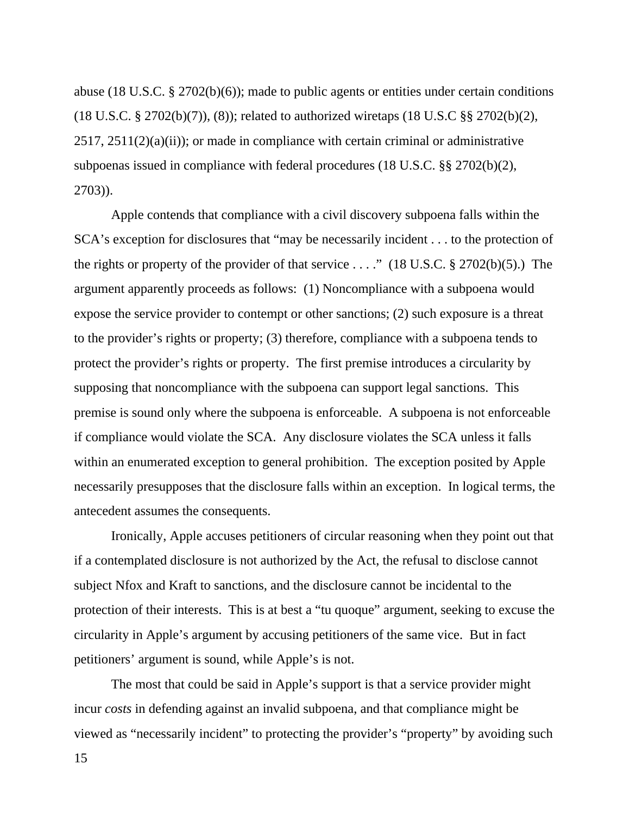abuse (18 U.S.C. § 2702(b)(6)); made to public agents or entities under certain conditions (18 U.S.C. § 2702(b)(7)), (8)); related to authorized wiretaps (18 U.S.C §§ 2702(b)(2),  $2517, 2511(2)(a)(ii)$ ; or made in compliance with certain criminal or administrative subpoenas issued in compliance with federal procedures (18 U.S.C. §§ 2702(b)(2), 2703)).

 Apple contends that compliance with a civil discovery subpoena falls within the SCA's exception for disclosures that "may be necessarily incident . . . to the protection of the rights or property of the provider of that service  $\dots$ ." (18 U.S.C. § 2702(b)(5).) The argument apparently proceeds as follows: (1) Noncompliance with a subpoena would expose the service provider to contempt or other sanctions; (2) such exposure is a threat to the provider's rights or property; (3) therefore, compliance with a subpoena tends to protect the provider's rights or property. The first premise introduces a circularity by supposing that noncompliance with the subpoena can support legal sanctions. This premise is sound only where the subpoena is enforceable. A subpoena is not enforceable if compliance would violate the SCA. Any disclosure violates the SCA unless it falls within an enumerated exception to general prohibition. The exception posited by Apple necessarily presupposes that the disclosure falls within an exception. In logical terms, the antecedent assumes the consequents.

 Ironically, Apple accuses petitioners of circular reasoning when they point out that if a contemplated disclosure is not authorized by the Act, the refusal to disclose cannot subject Nfox and Kraft to sanctions, and the disclosure cannot be incidental to the protection of their interests. This is at best a "tu quoque" argument, seeking to excuse the circularity in Apple's argument by accusing petitioners of the same vice. But in fact petitioners' argument is sound, while Apple's is not.

 The most that could be said in Apple's support is that a service provider might incur *costs* in defending against an invalid subpoena, and that compliance might be viewed as "necessarily incident" to protecting the provider's "property" by avoiding such

15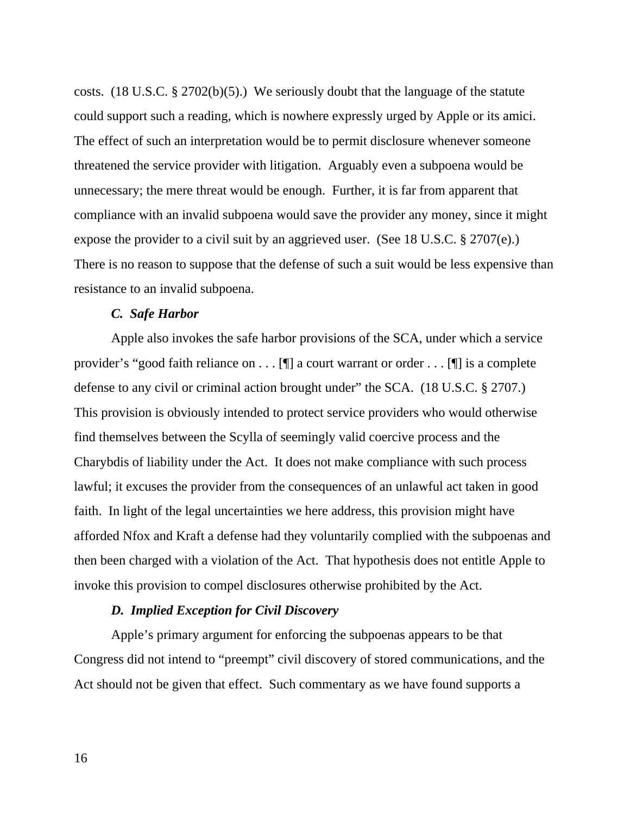costs. (18 U.S.C. § 2702(b)(5).) We seriously doubt that the language of the statute could support such a reading, which is nowhere expressly urged by Apple or its amici. The effect of such an interpretation would be to permit disclosure whenever someone threatened the service provider with litigation. Arguably even a subpoena would be unnecessary; the mere threat would be enough. Further, it is far from apparent that compliance with an invalid subpoena would save the provider any money, since it might expose the provider to a civil suit by an aggrieved user. (See 18 U.S.C. § 2707(e).) There is no reason to suppose that the defense of such a suit would be less expensive than resistance to an invalid subpoena.

## *C. Safe Harbor*

 Apple also invokes the safe harbor provisions of the SCA, under which a service provider's "good faith reliance on . . . [¶] a court warrant or order . . . [¶] is a complete defense to any civil or criminal action brought under" the SCA. (18 U.S.C. § 2707.) This provision is obviously intended to protect service providers who would otherwise find themselves between the Scylla of seemingly valid coercive process and the Charybdis of liability under the Act. It does not make compliance with such process lawful; it excuses the provider from the consequences of an unlawful act taken in good faith. In light of the legal uncertainties we here address, this provision might have afforded Nfox and Kraft a defense had they voluntarily complied with the subpoenas and then been charged with a violation of the Act. That hypothesis does not entitle Apple to invoke this provision to compel disclosures otherwise prohibited by the Act.

#### *D. Implied Exception for Civil Discovery*

 Apple's primary argument for enforcing the subpoenas appears to be that Congress did not intend to "preempt" civil discovery of stored communications, and the Act should not be given that effect. Such commentary as we have found supports a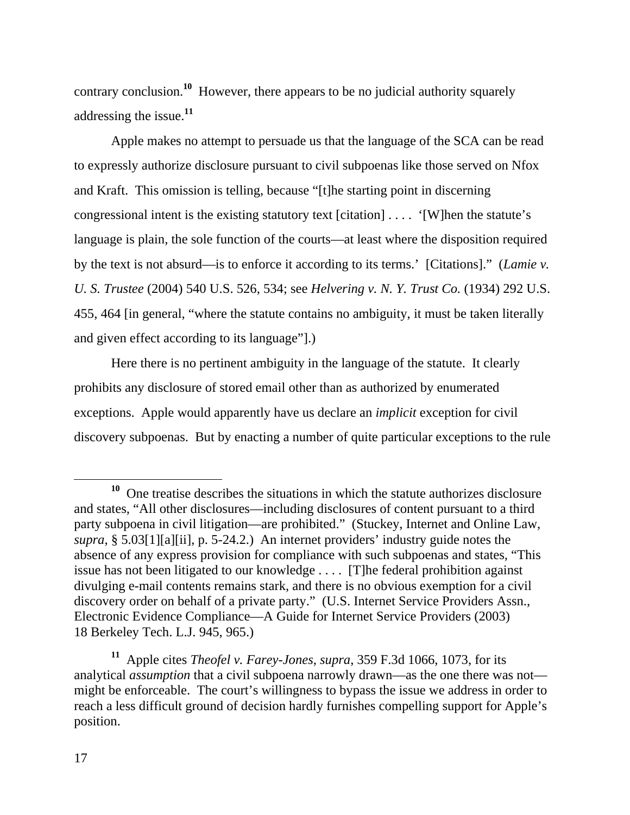contrary conclusion.**<sup>10</sup>** However, there appears to be no judicial authority squarely addressing the issue.**<sup>11</sup>**

 Apple makes no attempt to persuade us that the language of the SCA can be read to expressly authorize disclosure pursuant to civil subpoenas like those served on Nfox and Kraft. This omission is telling, because "[t]he starting point in discerning congressional intent is the existing statutory text [citation] . . . . '[W]hen the statute's language is plain, the sole function of the courts—at least where the disposition required by the text is not absurd—is to enforce it according to its terms.' [Citations]." (*Lamie v. U. S. Trustee* (2004) 540 U.S. 526, 534; see *Helvering v. N. Y. Trust Co.* (1934) 292 U.S. 455, 464 [in general, "where the statute contains no ambiguity, it must be taken literally and given effect according to its language"].)

 Here there is no pertinent ambiguity in the language of the statute. It clearly prohibits any disclosure of stored email other than as authorized by enumerated exceptions. Apple would apparently have us declare an *implicit* exception for civil discovery subpoenas. But by enacting a number of quite particular exceptions to the rule

**<sup>10</sup>** One treatise describes the situations in which the statute authorizes disclosure and states, "All other disclosures—including disclosures of content pursuant to a third party subpoena in civil litigation—are prohibited." (Stuckey, Internet and Online Law, *supra*, § 5.03[1][a][ii], p. 5-24.2.) An internet providers' industry guide notes the absence of any express provision for compliance with such subpoenas and states, "This issue has not been litigated to our knowledge . . . . [T]he federal prohibition against divulging e-mail contents remains stark, and there is no obvious exemption for a civil discovery order on behalf of a private party." (U.S. Internet Service Providers Assn., Electronic Evidence Compliance—A Guide for Internet Service Providers (2003) 18 Berkeley Tech. L.J. 945, 965.)

**<sup>11</sup>** Apple cites *Theofel v. Farey-Jones*, *supra*, 359 F.3d 1066, 1073, for its analytical *assumption* that a civil subpoena narrowly drawn—as the one there was not might be enforceable. The court's willingness to bypass the issue we address in order to reach a less difficult ground of decision hardly furnishes compelling support for Apple's position.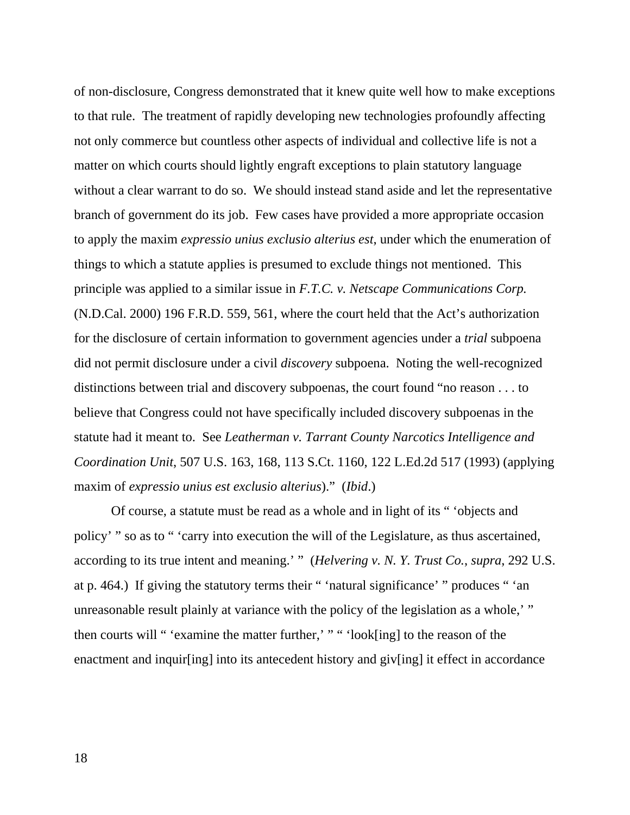of non-disclosure, Congress demonstrated that it knew quite well how to make exceptions to that rule. The treatment of rapidly developing new technologies profoundly affecting not only commerce but countless other aspects of individual and collective life is not a matter on which courts should lightly engraft exceptions to plain statutory language without a clear warrant to do so. We should instead stand aside and let the representative branch of government do its job. Few cases have provided a more appropriate occasion to apply the maxim *expressio unius exclusio alterius est*, under which the enumeration of things to which a statute applies is presumed to exclude things not mentioned. This principle was applied to a similar issue in *F.T.C. v. Netscape Communications Corp.* (N.D.Cal. 2000) 196 F.R.D. 559, 561, where the court held that the Act's authorization for the disclosure of certain information to government agencies under a *trial* subpoena did not permit disclosure under a civil *discovery* subpoena. Noting the well-recognized distinctions between trial and discovery subpoenas, the court found "no reason . . . to believe that Congress could not have specifically included discovery subpoenas in the statute had it meant to. See *Leatherman v. Tarrant County Narcotics Intelligence and Coordination Unit*, 507 U.S. 163, 168, 113 S.Ct. 1160, 122 L.Ed.2d 517 (1993) (applying maxim of *expressio unius est exclusio alterius*)." (*Ibid*.)

 Of course, a statute must be read as a whole and in light of its " 'objects and policy' " so as to " 'carry into execution the will of the Legislature, as thus ascertained, according to its true intent and meaning.' " (*Helvering v. N. Y. Trust Co.*, *supra*, 292 U.S. at p. 464.) If giving the statutory terms their " 'natural significance' " produces " 'an unreasonable result plainly at variance with the policy of the legislation as a whole,' " then courts will " 'examine the matter further,' " " 'look[ing] to the reason of the enactment and inquire into its antecedent history and given given it effect in accordance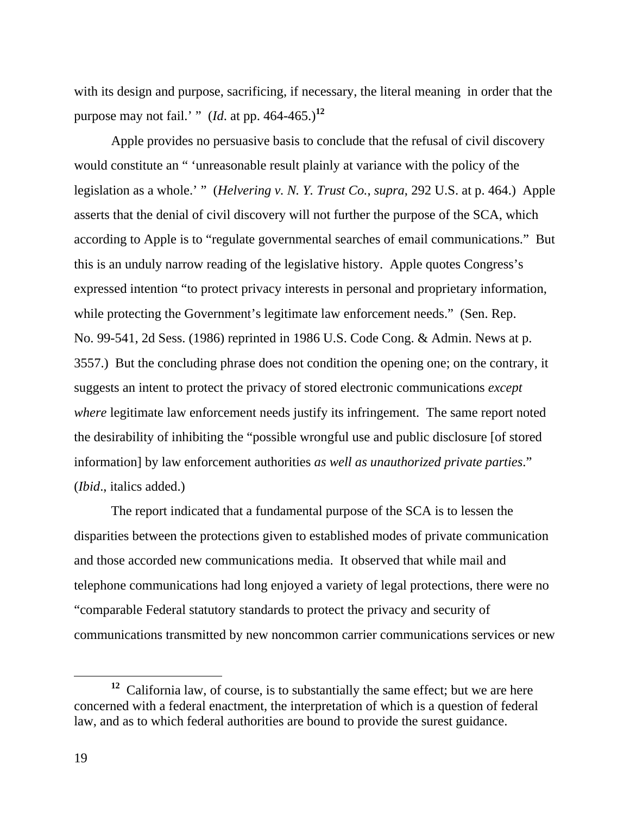with its design and purpose, sacrificing, if necessary, the literal meaning in order that the purpose may not fail.' " (*Id*. at pp. 464-465.)**<sup>12</sup>**

 Apple provides no persuasive basis to conclude that the refusal of civil discovery would constitute an " 'unreasonable result plainly at variance with the policy of the legislation as a whole.' " (*Helvering v. N. Y. Trust Co.*, *supra*, 292 U.S. at p. 464.) Apple asserts that the denial of civil discovery will not further the purpose of the SCA, which according to Apple is to "regulate governmental searches of email communications." But this is an unduly narrow reading of the legislative history. Apple quotes Congress's expressed intention "to protect privacy interests in personal and proprietary information, while protecting the Government's legitimate law enforcement needs." (Sen. Rep. No. 99-541, 2d Sess. (1986) reprinted in 1986 U.S. Code Cong. & Admin. News at p. 3557.) But the concluding phrase does not condition the opening one; on the contrary, it suggests an intent to protect the privacy of stored electronic communications *except where* legitimate law enforcement needs justify its infringement. The same report noted the desirability of inhibiting the "possible wrongful use and public disclosure [of stored information] by law enforcement authorities *as well as unauthorized private parties*." (*Ibid*., italics added.)

 The report indicated that a fundamental purpose of the SCA is to lessen the disparities between the protections given to established modes of private communication and those accorded new communications media. It observed that while mail and telephone communications had long enjoyed a variety of legal protections, there were no "comparable Federal statutory standards to protect the privacy and security of communications transmitted by new noncommon carrier communications services or new

**<sup>12</sup>** California law, of course, is to substantially the same effect; but we are here concerned with a federal enactment, the interpretation of which is a question of federal law, and as to which federal authorities are bound to provide the surest guidance.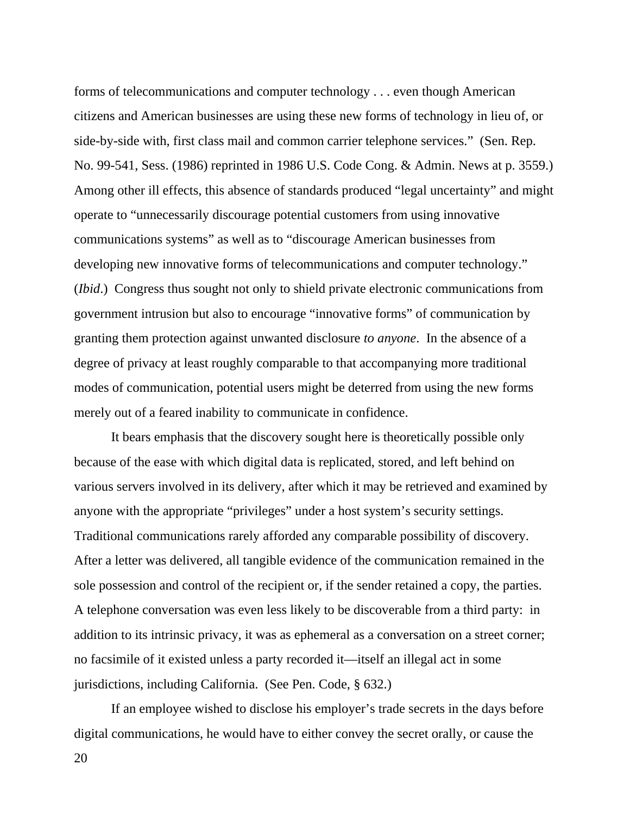forms of telecommunications and computer technology . . . even though American citizens and American businesses are using these new forms of technology in lieu of, or side-by-side with, first class mail and common carrier telephone services." (Sen. Rep. No. 99-541, Sess. (1986) reprinted in 1986 U.S. Code Cong. & Admin. News at p. 3559.) Among other ill effects, this absence of standards produced "legal uncertainty" and might operate to "unnecessarily discourage potential customers from using innovative communications systems" as well as to "discourage American businesses from developing new innovative forms of telecommunications and computer technology." (*Ibid*.) Congress thus sought not only to shield private electronic communications from government intrusion but also to encourage "innovative forms" of communication by granting them protection against unwanted disclosure *to anyone*. In the absence of a degree of privacy at least roughly comparable to that accompanying more traditional modes of communication, potential users might be deterred from using the new forms merely out of a feared inability to communicate in confidence.

 It bears emphasis that the discovery sought here is theoretically possible only because of the ease with which digital data is replicated, stored, and left behind on various servers involved in its delivery, after which it may be retrieved and examined by anyone with the appropriate "privileges" under a host system's security settings. Traditional communications rarely afforded any comparable possibility of discovery. After a letter was delivered, all tangible evidence of the communication remained in the sole possession and control of the recipient or, if the sender retained a copy, the parties. A telephone conversation was even less likely to be discoverable from a third party: in addition to its intrinsic privacy, it was as ephemeral as a conversation on a street corner; no facsimile of it existed unless a party recorded it—itself an illegal act in some jurisdictions, including California. (See Pen. Code, § 632.)

 If an employee wished to disclose his employer's trade secrets in the days before digital communications, he would have to either convey the secret orally, or cause the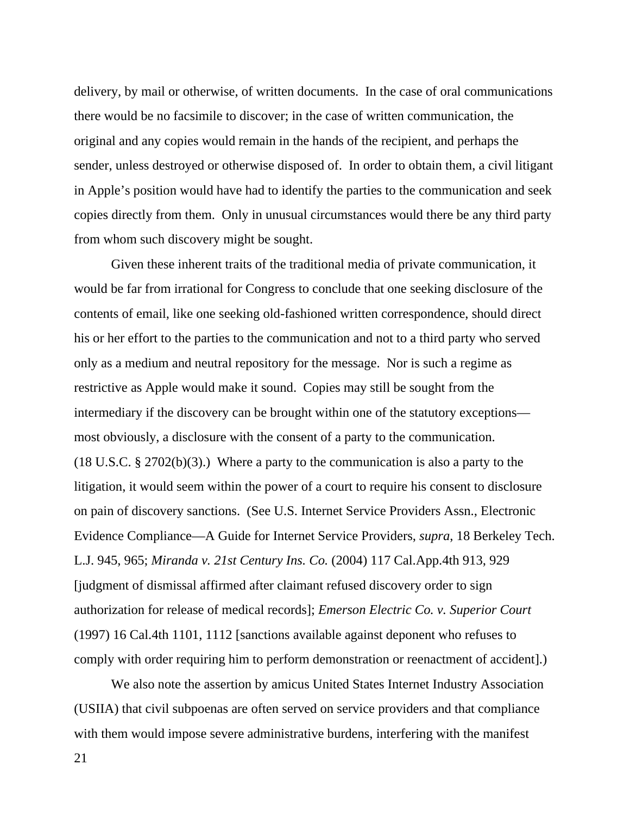delivery, by mail or otherwise, of written documents. In the case of oral communications there would be no facsimile to discover; in the case of written communication, the original and any copies would remain in the hands of the recipient, and perhaps the sender, unless destroyed or otherwise disposed of. In order to obtain them, a civil litigant in Apple's position would have had to identify the parties to the communication and seek copies directly from them. Only in unusual circumstances would there be any third party from whom such discovery might be sought.

 Given these inherent traits of the traditional media of private communication, it would be far from irrational for Congress to conclude that one seeking disclosure of the contents of email, like one seeking old-fashioned written correspondence, should direct his or her effort to the parties to the communication and not to a third party who served only as a medium and neutral repository for the message. Nor is such a regime as restrictive as Apple would make it sound. Copies may still be sought from the intermediary if the discovery can be brought within one of the statutory exceptions most obviously, a disclosure with the consent of a party to the communication. (18 U.S.C. § 2702(b)(3).) Where a party to the communication is also a party to the litigation, it would seem within the power of a court to require his consent to disclosure on pain of discovery sanctions. (See U.S. Internet Service Providers Assn., Electronic Evidence Compliance—A Guide for Internet Service Providers, *supra*, 18 Berkeley Tech. L.J. 945, 965; *Miranda v. 21st Century Ins. Co.* (2004) 117 Cal.App.4th 913, 929 [judgment of dismissal affirmed after claimant refused discovery order to sign authorization for release of medical records]; *Emerson Electric Co. v. Superior Court* (1997) 16 Cal.4th 1101, 1112 [sanctions available against deponent who refuses to comply with order requiring him to perform demonstration or reenactment of accident].)

 We also note the assertion by amicus United States Internet Industry Association (USIIA) that civil subpoenas are often served on service providers and that compliance with them would impose severe administrative burdens, interfering with the manifest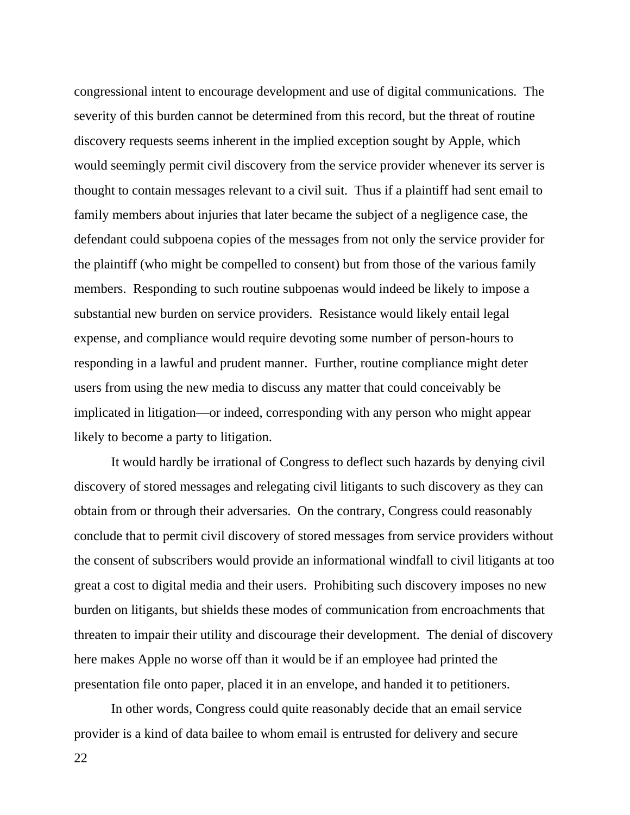congressional intent to encourage development and use of digital communications. The severity of this burden cannot be determined from this record, but the threat of routine discovery requests seems inherent in the implied exception sought by Apple, which would seemingly permit civil discovery from the service provider whenever its server is thought to contain messages relevant to a civil suit. Thus if a plaintiff had sent email to family members about injuries that later became the subject of a negligence case, the defendant could subpoena copies of the messages from not only the service provider for the plaintiff (who might be compelled to consent) but from those of the various family members. Responding to such routine subpoenas would indeed be likely to impose a substantial new burden on service providers. Resistance would likely entail legal expense, and compliance would require devoting some number of person-hours to responding in a lawful and prudent manner. Further, routine compliance might deter users from using the new media to discuss any matter that could conceivably be implicated in litigation—or indeed, corresponding with any person who might appear likely to become a party to litigation.

 It would hardly be irrational of Congress to deflect such hazards by denying civil discovery of stored messages and relegating civil litigants to such discovery as they can obtain from or through their adversaries. On the contrary, Congress could reasonably conclude that to permit civil discovery of stored messages from service providers without the consent of subscribers would provide an informational windfall to civil litigants at too great a cost to digital media and their users. Prohibiting such discovery imposes no new burden on litigants, but shields these modes of communication from encroachments that threaten to impair their utility and discourage their development. The denial of discovery here makes Apple no worse off than it would be if an employee had printed the presentation file onto paper, placed it in an envelope, and handed it to petitioners.

 In other words, Congress could quite reasonably decide that an email service provider is a kind of data bailee to whom email is entrusted for delivery and secure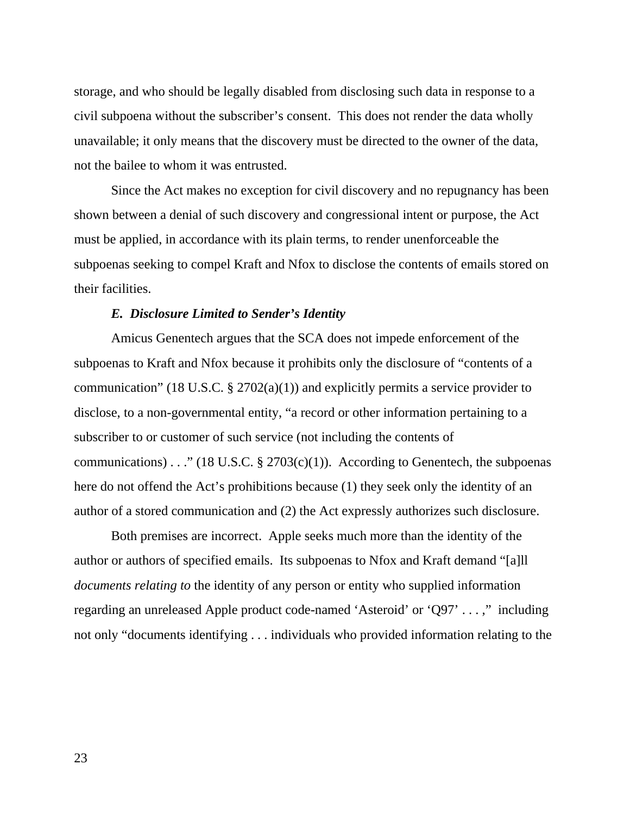storage, and who should be legally disabled from disclosing such data in response to a civil subpoena without the subscriber's consent. This does not render the data wholly unavailable; it only means that the discovery must be directed to the owner of the data, not the bailee to whom it was entrusted.

 Since the Act makes no exception for civil discovery and no repugnancy has been shown between a denial of such discovery and congressional intent or purpose, the Act must be applied, in accordance with its plain terms, to render unenforceable the subpoenas seeking to compel Kraft and Nfox to disclose the contents of emails stored on their facilities.

# *E. Disclosure Limited to Sender's Identity*

 Amicus Genentech argues that the SCA does not impede enforcement of the subpoenas to Kraft and Nfox because it prohibits only the disclosure of "contents of a communication" (18 U.S.C.  $\S 2702(a)(1)$ ) and explicitly permits a service provider to disclose, to a non-governmental entity, "a record or other information pertaining to a subscriber to or customer of such service (not including the contents of communications) . . ." (18 U.S.C.  $\S 2703(c)(1)$ ). According to Genentech, the subpoenas here do not offend the Act's prohibitions because (1) they seek only the identity of an author of a stored communication and (2) the Act expressly authorizes such disclosure.

 Both premises are incorrect. Apple seeks much more than the identity of the author or authors of specified emails. Its subpoenas to Nfox and Kraft demand "[a]ll *documents relating to* the identity of any person or entity who supplied information regarding an unreleased Apple product code-named 'Asteroid' or 'Q97' . . . ," including not only "documents identifying . . . individuals who provided information relating to the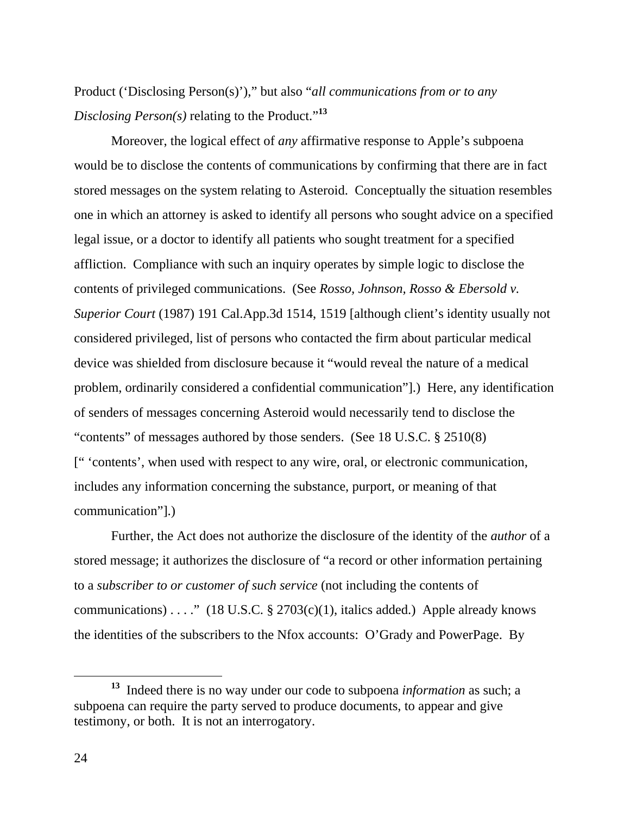Product ('Disclosing Person(s)')," but also "*all communications from or to any Disclosing Person(s)* relating to the Product."**<sup>13</sup>**

 Moreover, the logical effect of *any* affirmative response to Apple's subpoena would be to disclose the contents of communications by confirming that there are in fact stored messages on the system relating to Asteroid. Conceptually the situation resembles one in which an attorney is asked to identify all persons who sought advice on a specified legal issue, or a doctor to identify all patients who sought treatment for a specified affliction. Compliance with such an inquiry operates by simple logic to disclose the contents of privileged communications. (See *Rosso, Johnson, Rosso & Ebersold v. Superior Court* (1987) 191 Cal.App.3d 1514, 1519 [although client's identity usually not considered privileged, list of persons who contacted the firm about particular medical device was shielded from disclosure because it "would reveal the nature of a medical problem, ordinarily considered a confidential communication"].) Here, any identification of senders of messages concerning Asteroid would necessarily tend to disclose the "contents" of messages authored by those senders. (See 18 U.S.C. § 2510(8) [" 'contents', when used with respect to any wire, oral, or electronic communication, includes any information concerning the substance, purport, or meaning of that communication"].)

 Further, the Act does not authorize the disclosure of the identity of the *author* of a stored message; it authorizes the disclosure of "a record or other information pertaining to a *subscriber to or customer of such service* (not including the contents of communications) . . . ." (18 U.S.C.  $\S 2703(c)(1)$ , italics added.) Apple already knows the identities of the subscribers to the Nfox accounts: O'Grady and PowerPage. By

**<sup>13</sup>** Indeed there is no way under our code to subpoena *information* as such; a subpoena can require the party served to produce documents, to appear and give testimony, or both. It is not an interrogatory.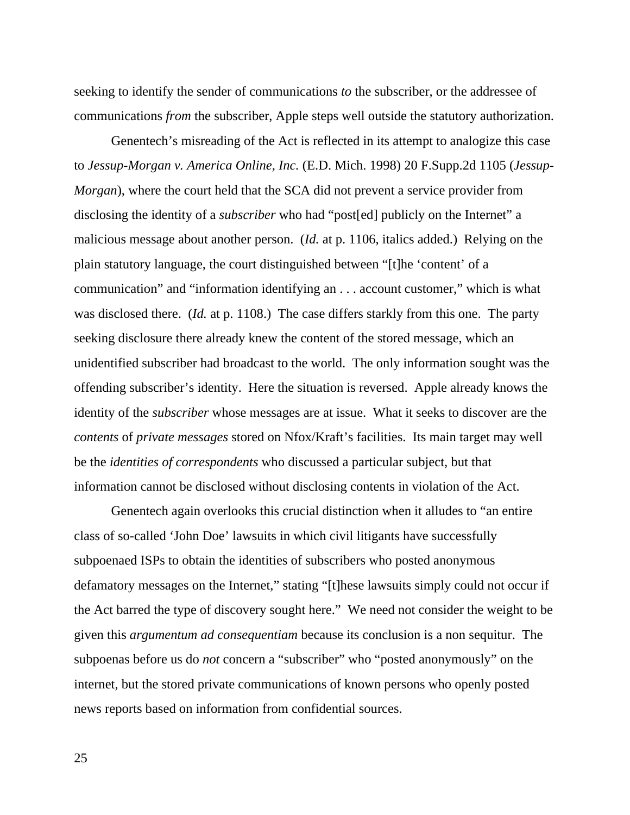seeking to identify the sender of communications *to* the subscriber, or the addressee of communications *from* the subscriber, Apple steps well outside the statutory authorization.

 Genentech's misreading of the Act is reflected in its attempt to analogize this case to *Jessup-Morgan v. America Online, Inc.* (E.D. Mich. 1998) 20 F.Supp.2d 1105 (*Jessup-Morgan*), where the court held that the SCA did not prevent a service provider from disclosing the identity of a *subscriber* who had "post[ed] publicly on the Internet" a malicious message about another person. (*Id.* at p. 1106, italics added.) Relying on the plain statutory language, the court distinguished between "[t]he 'content' of a communication" and "information identifying an . . . account customer," which is what was disclosed there. (*Id.* at p. 1108.) The case differs starkly from this one. The party seeking disclosure there already knew the content of the stored message, which an unidentified subscriber had broadcast to the world. The only information sought was the offending subscriber's identity. Here the situation is reversed. Apple already knows the identity of the *subscriber* whose messages are at issue. What it seeks to discover are the *contents* of *private messages* stored on Nfox/Kraft's facilities. Its main target may well be the *identities of correspondents* who discussed a particular subject, but that information cannot be disclosed without disclosing contents in violation of the Act.

 Genentech again overlooks this crucial distinction when it alludes to "an entire class of so-called 'John Doe' lawsuits in which civil litigants have successfully subpoenaed ISPs to obtain the identities of subscribers who posted anonymous defamatory messages on the Internet," stating "[t]hese lawsuits simply could not occur if the Act barred the type of discovery sought here." We need not consider the weight to be given this *argumentum ad consequentiam* because its conclusion is a non sequitur. The subpoenas before us do *not* concern a "subscriber" who "posted anonymously" on the internet, but the stored private communications of known persons who openly posted news reports based on information from confidential sources.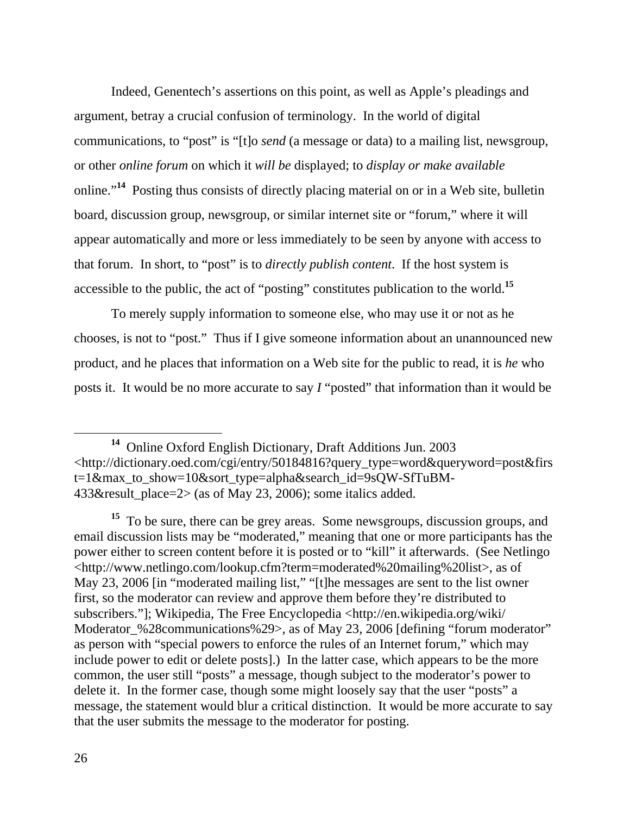Indeed, Genentech's assertions on this point, as well as Apple's pleadings and argument, betray a crucial confusion of terminology. In the world of digital communications, to "post" is "[t]o *send* (a message or data) to a mailing list, newsgroup, or other *online forum* on which it *will be* displayed; to *display or make available* online."**<sup>14</sup>** Posting thus consists of directly placing material on or in a Web site, bulletin board, discussion group, newsgroup, or similar internet site or "forum," where it will appear automatically and more or less immediately to be seen by anyone with access to that forum. In short, to "post" is to *directly publish content*. If the host system is accessible to the public, the act of "posting" constitutes publication to the world.**<sup>15</sup>**

 To merely supply information to someone else, who may use it or not as he chooses, is not to "post." Thus if I give someone information about an unannounced new product, and he places that information on a Web site for the public to read, it is *he* who posts it. It would be no more accurate to say *I* "posted" that information than it would be

**<sup>14</sup>** Online Oxford English Dictionary, Draft Additions Jun. 2003 <http://dictionary.oed.com/cgi/entry/50184816?query\_type=word&queryword=post&firs t=1&max to show=10&sort type=alpha&search\_id=9sQW-SfTuBM-433&result place=2> (as of May 23, 2006); some italics added.

**<sup>15</sup>** To be sure, there can be grey areas. Some newsgroups, discussion groups, and email discussion lists may be "moderated," meaning that one or more participants has the power either to screen content before it is posted or to "kill" it afterwards. (See Netlingo <http://www.netlingo.com/lookup.cfm?term=moderated%20mailing%20list>, as of May 23, 2006 [in "moderated mailing list," "[t]he messages are sent to the list owner first, so the moderator can review and approve them before they're distributed to subscribers."]; Wikipedia, The Free Encyclopedia <http://en.wikipedia.org/wiki/ Moderator %28 communications%29>, as of May 23, 2006 [defining "forum moderator" as person with "special powers to enforce the rules of an Internet forum," which may include power to edit or delete posts].) In the latter case, which appears to be the more common, the user still "posts" a message, though subject to the moderator's power to delete it. In the former case, though some might loosely say that the user "posts" a message, the statement would blur a critical distinction. It would be more accurate to say that the user submits the message to the moderator for posting.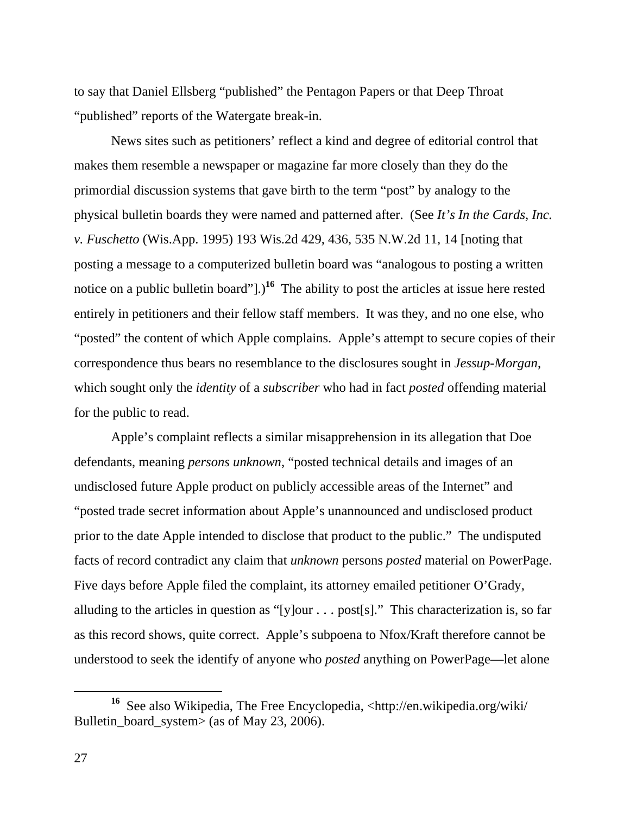to say that Daniel Ellsberg "published" the Pentagon Papers or that Deep Throat "published" reports of the Watergate break-in.

 News sites such as petitioners' reflect a kind and degree of editorial control that makes them resemble a newspaper or magazine far more closely than they do the primordial discussion systems that gave birth to the term "post" by analogy to the physical bulletin boards they were named and patterned after. (See *It's In the Cards, Inc. v. Fuschetto* (Wis.App. 1995) 193 Wis.2d 429, 436, 535 N.W.2d 11, 14 [noting that posting a message to a computerized bulletin board was "analogous to posting a written notice on a public bulletin board"].)<sup>16</sup> The ability to post the articles at issue here rested entirely in petitioners and their fellow staff members. It was they, and no one else, who "posted" the content of which Apple complains. Apple's attempt to secure copies of their correspondence thus bears no resemblance to the disclosures sought in *Jessup-Morgan*, which sought only the *identity* of a *subscriber* who had in fact *posted* offending material for the public to read.

 Apple's complaint reflects a similar misapprehension in its allegation that Doe defendants, meaning *persons unknown*, "posted technical details and images of an undisclosed future Apple product on publicly accessible areas of the Internet" and "posted trade secret information about Apple's unannounced and undisclosed product prior to the date Apple intended to disclose that product to the public." The undisputed facts of record contradict any claim that *unknown* persons *posted* material on PowerPage. Five days before Apple filed the complaint, its attorney emailed petitioner O'Grady, alluding to the articles in question as "[y]our  $\ldots$  post[s]." This characterization is, so far as this record shows, quite correct. Apple's subpoena to Nfox/Kraft therefore cannot be understood to seek the identify of anyone who *posted* anything on PowerPage—let alone

**<sup>16</sup>** See also Wikipedia, The Free Encyclopedia, <http://en.wikipedia.org/wiki/ Bulletin board system> (as of May 23, 2006).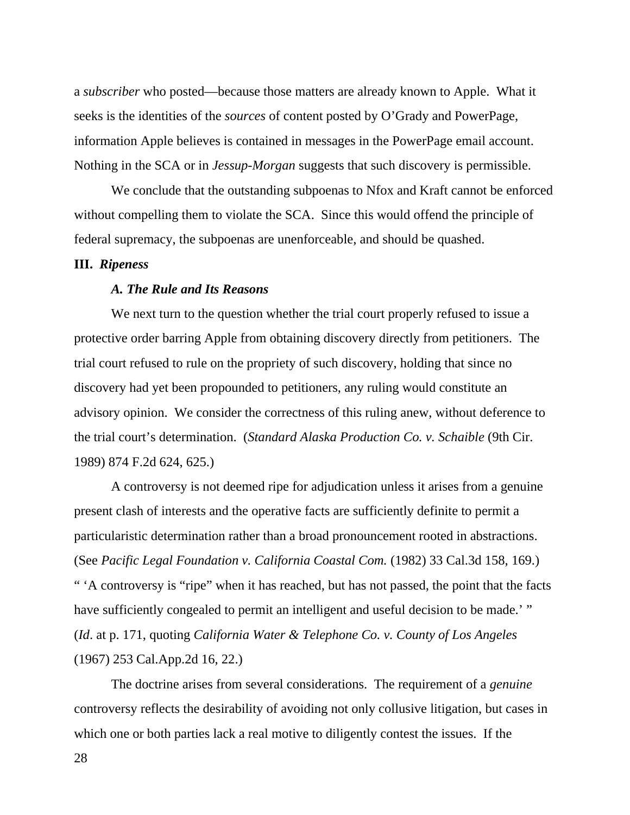a *subscriber* who posted—because those matters are already known to Apple. What it seeks is the identities of the *sources* of content posted by O'Grady and PowerPage, information Apple believes is contained in messages in the PowerPage email account. Nothing in the SCA or in *Jessup-Morgan* suggests that such discovery is permissible.

 We conclude that the outstanding subpoenas to Nfox and Kraft cannot be enforced without compelling them to violate the SCA. Since this would offend the principle of federal supremacy, the subpoenas are unenforceable, and should be quashed.

#### **III.** *Ripeness*

## *A. The Rule and Its Reasons*

 We next turn to the question whether the trial court properly refused to issue a protective order barring Apple from obtaining discovery directly from petitioners. The trial court refused to rule on the propriety of such discovery, holding that since no discovery had yet been propounded to petitioners, any ruling would constitute an advisory opinion. We consider the correctness of this ruling anew, without deference to the trial court's determination. (*Standard Alaska Production Co. v. Schaible* (9th Cir. 1989) 874 F.2d 624, 625.)

 A controversy is not deemed ripe for adjudication unless it arises from a genuine present clash of interests and the operative facts are sufficiently definite to permit a particularistic determination rather than a broad pronouncement rooted in abstractions. (See *Pacific Legal Foundation v. California Coastal Com.* (1982) 33 Cal.3d 158, 169.) " 'A controversy is "ripe" when it has reached, but has not passed, the point that the facts have sufficiently congealed to permit an intelligent and useful decision to be made.' " (*Id*. at p. 171, quoting *California Water & Telephone Co. v. County of Los Angeles* (1967) 253 Cal.App.2d 16, 22.)

 The doctrine arises from several considerations. The requirement of a *genuine* controversy reflects the desirability of avoiding not only collusive litigation, but cases in which one or both parties lack a real motive to diligently contest the issues. If the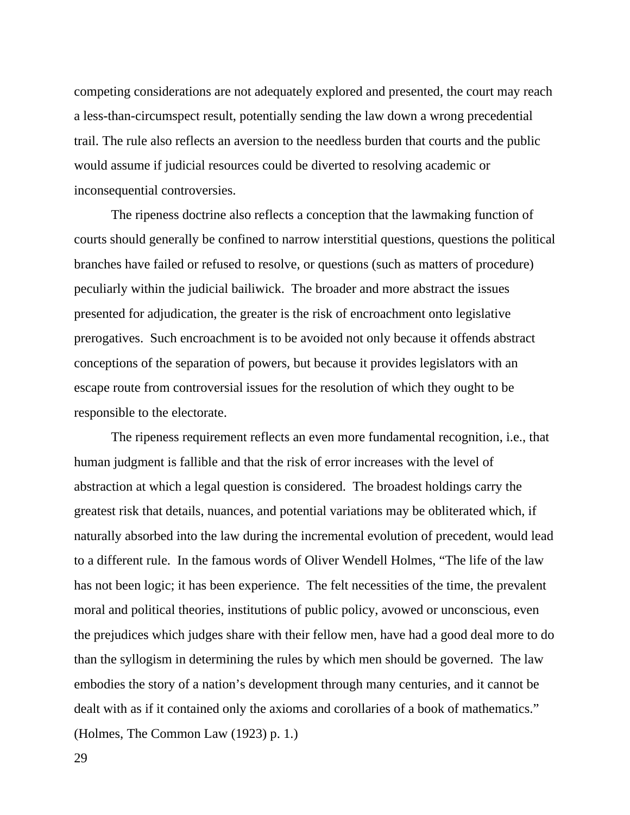competing considerations are not adequately explored and presented, the court may reach a less-than-circumspect result, potentially sending the law down a wrong precedential trail. The rule also reflects an aversion to the needless burden that courts and the public would assume if judicial resources could be diverted to resolving academic or inconsequential controversies.

 The ripeness doctrine also reflects a conception that the lawmaking function of courts should generally be confined to narrow interstitial questions, questions the political branches have failed or refused to resolve, or questions (such as matters of procedure) peculiarly within the judicial bailiwick. The broader and more abstract the issues presented for adjudication, the greater is the risk of encroachment onto legislative prerogatives. Such encroachment is to be avoided not only because it offends abstract conceptions of the separation of powers, but because it provides legislators with an escape route from controversial issues for the resolution of which they ought to be responsible to the electorate.

 The ripeness requirement reflects an even more fundamental recognition, i.e., that human judgment is fallible and that the risk of error increases with the level of abstraction at which a legal question is considered. The broadest holdings carry the greatest risk that details, nuances, and potential variations may be obliterated which, if naturally absorbed into the law during the incremental evolution of precedent, would lead to a different rule. In the famous words of Oliver Wendell Holmes, "The life of the law has not been logic; it has been experience. The felt necessities of the time, the prevalent moral and political theories, institutions of public policy, avowed or unconscious, even the prejudices which judges share with their fellow men, have had a good deal more to do than the syllogism in determining the rules by which men should be governed. The law embodies the story of a nation's development through many centuries, and it cannot be dealt with as if it contained only the axioms and corollaries of a book of mathematics." (Holmes, The Common Law (1923) p. 1.)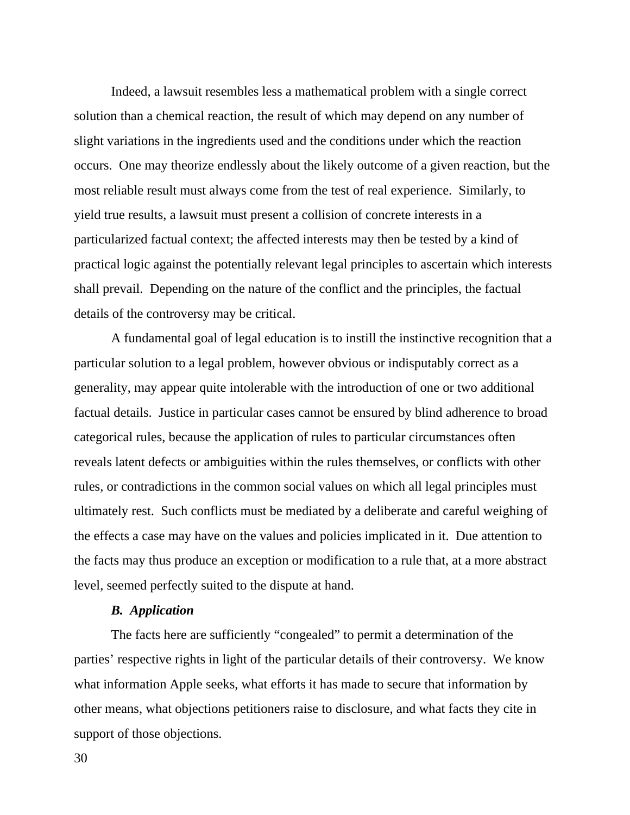Indeed, a lawsuit resembles less a mathematical problem with a single correct solution than a chemical reaction, the result of which may depend on any number of slight variations in the ingredients used and the conditions under which the reaction occurs. One may theorize endlessly about the likely outcome of a given reaction, but the most reliable result must always come from the test of real experience. Similarly, to yield true results, a lawsuit must present a collision of concrete interests in a particularized factual context; the affected interests may then be tested by a kind of practical logic against the potentially relevant legal principles to ascertain which interests shall prevail. Depending on the nature of the conflict and the principles, the factual details of the controversy may be critical.

 A fundamental goal of legal education is to instill the instinctive recognition that a particular solution to a legal problem, however obvious or indisputably correct as a generality, may appear quite intolerable with the introduction of one or two additional factual details. Justice in particular cases cannot be ensured by blind adherence to broad categorical rules, because the application of rules to particular circumstances often reveals latent defects or ambiguities within the rules themselves, or conflicts with other rules, or contradictions in the common social values on which all legal principles must ultimately rest. Such conflicts must be mediated by a deliberate and careful weighing of the effects a case may have on the values and policies implicated in it. Due attention to the facts may thus produce an exception or modification to a rule that, at a more abstract level, seemed perfectly suited to the dispute at hand.

#### *B. Application*

 The facts here are sufficiently "congealed" to permit a determination of the parties' respective rights in light of the particular details of their controversy. We know what information Apple seeks, what efforts it has made to secure that information by other means, what objections petitioners raise to disclosure, and what facts they cite in support of those objections.

30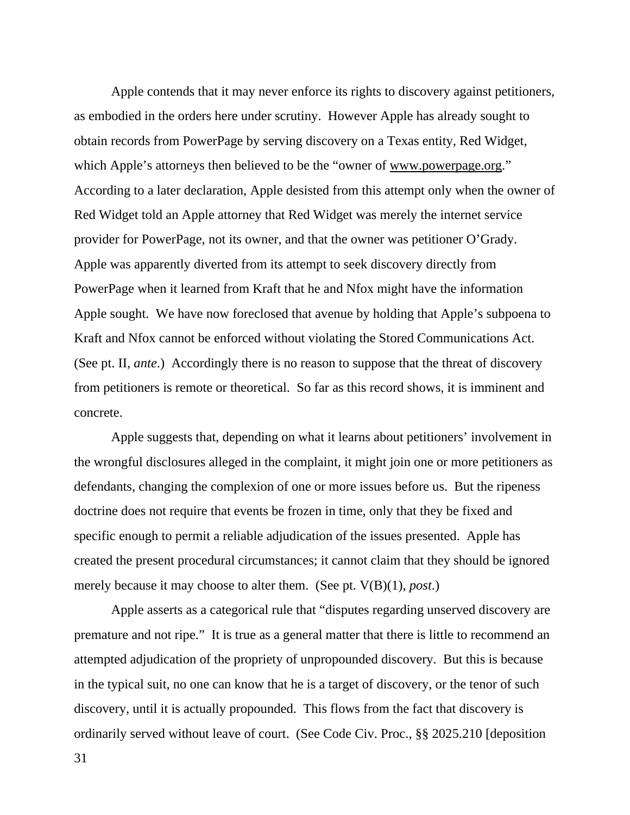Apple contends that it may never enforce its rights to discovery against petitioners, as embodied in the orders here under scrutiny. However Apple has already sought to obtain records from PowerPage by serving discovery on a Texas entity, Red Widget, which Apple's attorneys then believed to be the "owner of www.powerpage.org." According to a later declaration, Apple desisted from this attempt only when the owner of Red Widget told an Apple attorney that Red Widget was merely the internet service provider for PowerPage, not its owner, and that the owner was petitioner O'Grady. Apple was apparently diverted from its attempt to seek discovery directly from PowerPage when it learned from Kraft that he and Nfox might have the information Apple sought. We have now foreclosed that avenue by holding that Apple's subpoena to Kraft and Nfox cannot be enforced without violating the Stored Communications Act. (See pt. II, *ante*.) Accordingly there is no reason to suppose that the threat of discovery from petitioners is remote or theoretical. So far as this record shows, it is imminent and concrete.

 Apple suggests that, depending on what it learns about petitioners' involvement in the wrongful disclosures alleged in the complaint, it might join one or more petitioners as defendants, changing the complexion of one or more issues before us. But the ripeness doctrine does not require that events be frozen in time, only that they be fixed and specific enough to permit a reliable adjudication of the issues presented. Apple has created the present procedural circumstances; it cannot claim that they should be ignored merely because it may choose to alter them. (See pt. V(B)(1), *post*.)

 Apple asserts as a categorical rule that "disputes regarding unserved discovery are premature and not ripe." It is true as a general matter that there is little to recommend an attempted adjudication of the propriety of unpropounded discovery. But this is because in the typical suit, no one can know that he is a target of discovery, or the tenor of such discovery, until it is actually propounded. This flows from the fact that discovery is ordinarily served without leave of court. (See Code Civ. Proc., §§ 2025.210 [deposition

31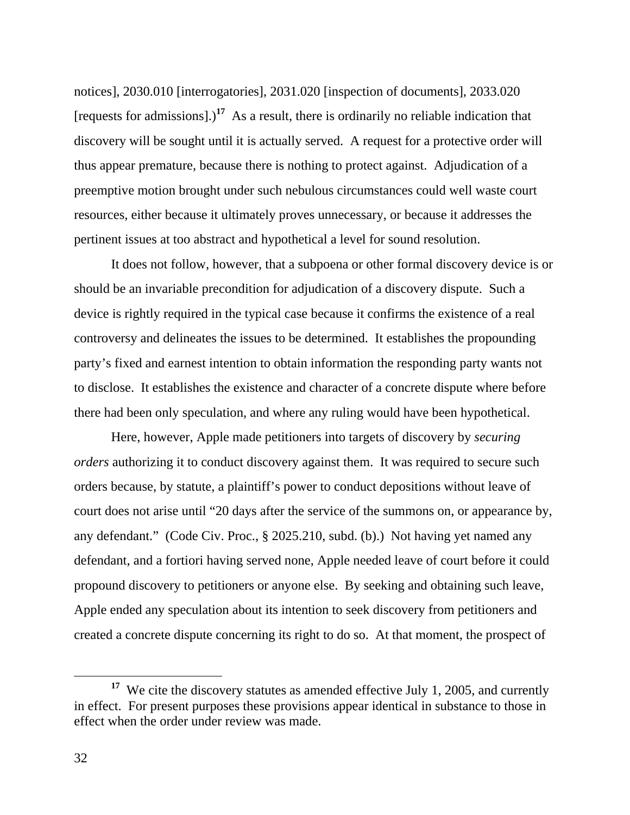notices], 2030.010 [interrogatories], 2031.020 [inspection of documents], 2033.020 [requests for admissions].)**<sup>17</sup>** As a result, there is ordinarily no reliable indication that discovery will be sought until it is actually served. A request for a protective order will thus appear premature, because there is nothing to protect against. Adjudication of a preemptive motion brought under such nebulous circumstances could well waste court resources, either because it ultimately proves unnecessary, or because it addresses the pertinent issues at too abstract and hypothetical a level for sound resolution.

 It does not follow, however, that a subpoena or other formal discovery device is or should be an invariable precondition for adjudication of a discovery dispute. Such a device is rightly required in the typical case because it confirms the existence of a real controversy and delineates the issues to be determined. It establishes the propounding party's fixed and earnest intention to obtain information the responding party wants not to disclose. It establishes the existence and character of a concrete dispute where before there had been only speculation, and where any ruling would have been hypothetical.

 Here, however, Apple made petitioners into targets of discovery by *securing orders* authorizing it to conduct discovery against them. It was required to secure such orders because, by statute, a plaintiff's power to conduct depositions without leave of court does not arise until "20 days after the service of the summons on, or appearance by, any defendant." (Code Civ. Proc., § 2025.210, subd. (b).) Not having yet named any defendant, and a fortiori having served none, Apple needed leave of court before it could propound discovery to petitioners or anyone else. By seeking and obtaining such leave, Apple ended any speculation about its intention to seek discovery from petitioners and created a concrete dispute concerning its right to do so. At that moment, the prospect of

<sup>&</sup>lt;sup>17</sup> We cite the discovery statutes as amended effective July 1, 2005, and currently in effect. For present purposes these provisions appear identical in substance to those in effect when the order under review was made.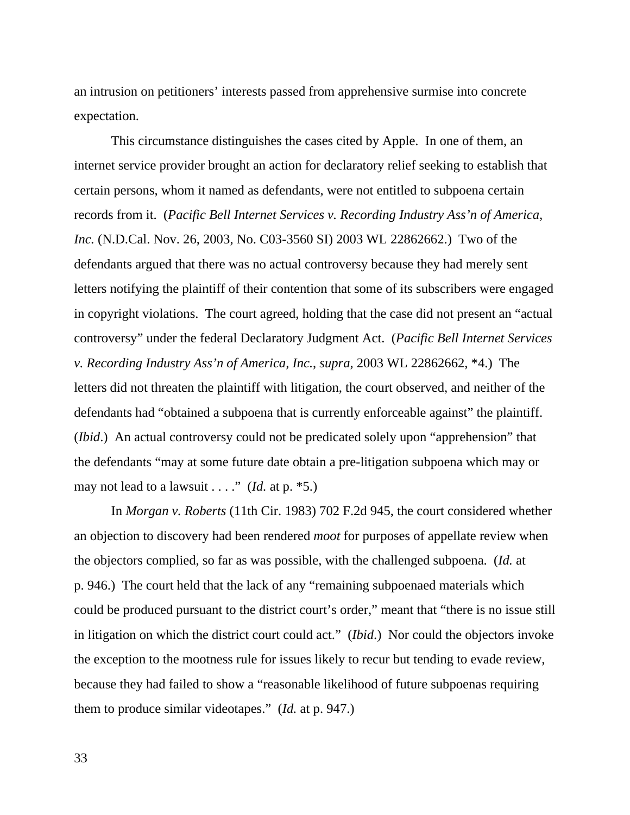an intrusion on petitioners' interests passed from apprehensive surmise into concrete expectation.

 This circumstance distinguishes the cases cited by Apple. In one of them, an internet service provider brought an action for declaratory relief seeking to establish that certain persons, whom it named as defendants, were not entitled to subpoena certain records from it. (*Pacific Bell Internet Services v. Recording Industry Ass'n of America, Inc.* (N.D.Cal. Nov. 26, 2003, No. C03-3560 SI) 2003 WL 22862662.) Two of the defendants argued that there was no actual controversy because they had merely sent letters notifying the plaintiff of their contention that some of its subscribers were engaged in copyright violations. The court agreed, holding that the case did not present an "actual controversy" under the federal Declaratory Judgment Act. (*Pacific Bell Internet Services v. Recording Industry Ass'n of America, Inc.*, *supra*, 2003 WL 22862662, \*4.) The letters did not threaten the plaintiff with litigation, the court observed, and neither of the defendants had "obtained a subpoena that is currently enforceable against" the plaintiff. (*Ibid*.) An actual controversy could not be predicated solely upon "apprehension" that the defendants "may at some future date obtain a pre-litigation subpoena which may or may not lead to a lawsuit  $\dots$  " (*Id.* at p.  $*5$ .)

 In *Morgan v. Roberts* (11th Cir. 1983) 702 F.2d 945, the court considered whether an objection to discovery had been rendered *moot* for purposes of appellate review when the objectors complied, so far as was possible, with the challenged subpoena. (*Id.* at p. 946.) The court held that the lack of any "remaining subpoenaed materials which could be produced pursuant to the district court's order," meant that "there is no issue still in litigation on which the district court could act." (*Ibid*.) Nor could the objectors invoke the exception to the mootness rule for issues likely to recur but tending to evade review, because they had failed to show a "reasonable likelihood of future subpoenas requiring them to produce similar videotapes." (*Id.* at p. 947.)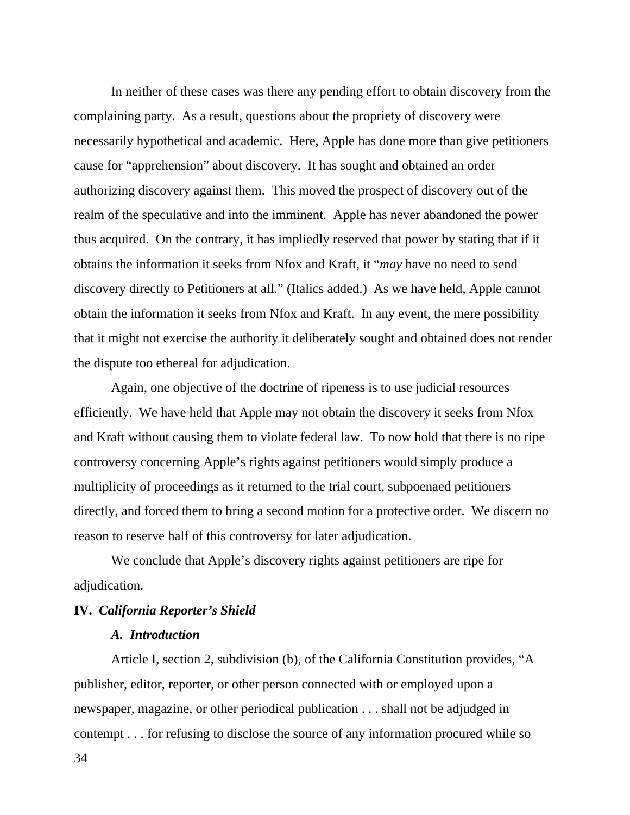In neither of these cases was there any pending effort to obtain discovery from the complaining party. As a result, questions about the propriety of discovery were necessarily hypothetical and academic. Here, Apple has done more than give petitioners cause for "apprehension" about discovery. It has sought and obtained an order authorizing discovery against them. This moved the prospect of discovery out of the realm of the speculative and into the imminent. Apple has never abandoned the power thus acquired. On the contrary, it has impliedly reserved that power by stating that if it obtains the information it seeks from Nfox and Kraft, it "*may* have no need to send discovery directly to Petitioners at all." (Italics added.) As we have held, Apple cannot obtain the information it seeks from Nfox and Kraft. In any event, the mere possibility that it might not exercise the authority it deliberately sought and obtained does not render the dispute too ethereal for adjudication.

 Again, one objective of the doctrine of ripeness is to use judicial resources efficiently. We have held that Apple may not obtain the discovery it seeks from Nfox and Kraft without causing them to violate federal law. To now hold that there is no ripe controversy concerning Apple's rights against petitioners would simply produce a multiplicity of proceedings as it returned to the trial court, subpoenaed petitioners directly, and forced them to bring a second motion for a protective order. We discern no reason to reserve half of this controversy for later adjudication.

 We conclude that Apple's discovery rights against petitioners are ripe for adjudication.

#### **IV.** *California Reporter's Shield*

# *A. Introduction*

 Article I, section 2, subdivision (b), of the California Constitution provides, "A publisher, editor, reporter, or other person connected with or employed upon a newspaper, magazine, or other periodical publication . . . shall not be adjudged in contempt . . . for refusing to disclose the source of any information procured while so

34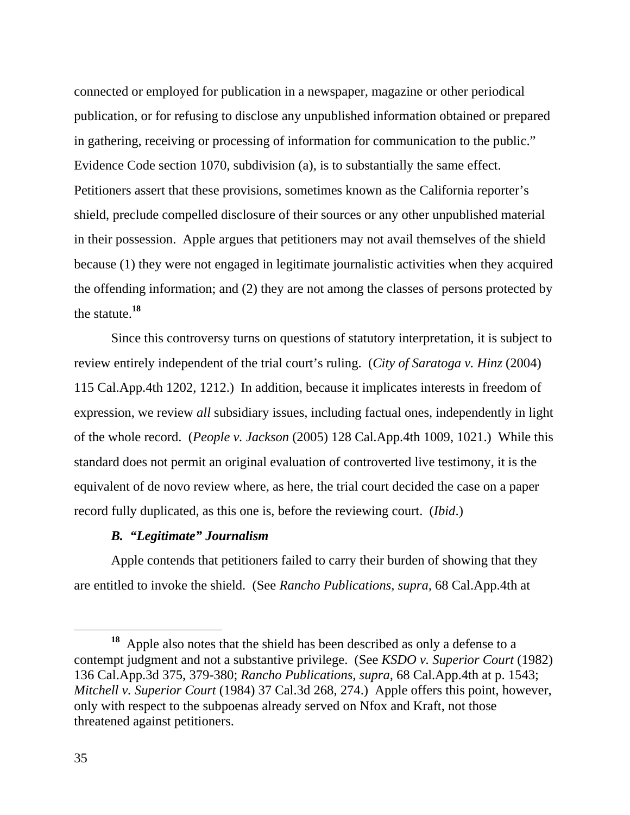connected or employed for publication in a newspaper, magazine or other periodical publication, or for refusing to disclose any unpublished information obtained or prepared in gathering, receiving or processing of information for communication to the public." Evidence Code section 1070, subdivision (a), is to substantially the same effect. Petitioners assert that these provisions, sometimes known as the California reporter's shield, preclude compelled disclosure of their sources or any other unpublished material in their possession. Apple argues that petitioners may not avail themselves of the shield because (1) they were not engaged in legitimate journalistic activities when they acquired the offending information; and (2) they are not among the classes of persons protected by the statute.**<sup>18</sup>**

 Since this controversy turns on questions of statutory interpretation, it is subject to review entirely independent of the trial court's ruling. (*City of Saratoga v. Hinz* (2004) 115 Cal.App.4th 1202, 1212.) In addition, because it implicates interests in freedom of expression, we review *all* subsidiary issues, including factual ones, independently in light of the whole record. (*People v. Jackson* (2005) 128 Cal.App.4th 1009, 1021.) While this standard does not permit an original evaluation of controverted live testimony, it is the equivalent of de novo review where, as here, the trial court decided the case on a paper record fully duplicated, as this one is, before the reviewing court. (*Ibid*.)

## *B. "Legitimate" Journalism*

 Apple contends that petitioners failed to carry their burden of showing that they are entitled to invoke the shield. (See *Rancho Publications, supra,* 68 Cal.App.4th at

**<sup>18</sup>** Apple also notes that the shield has been described as only a defense to a contempt judgment and not a substantive privilege. (See *KSDO v. Superior Court* (1982) 136 Cal.App.3d 375, 379-380; *Rancho Publications, supra,* 68 Cal.App.4th at p. 1543; *Mitchell v. Superior Court* (1984) 37 Cal.3d 268, 274.) Apple offers this point, however, only with respect to the subpoenas already served on Nfox and Kraft, not those threatened against petitioners.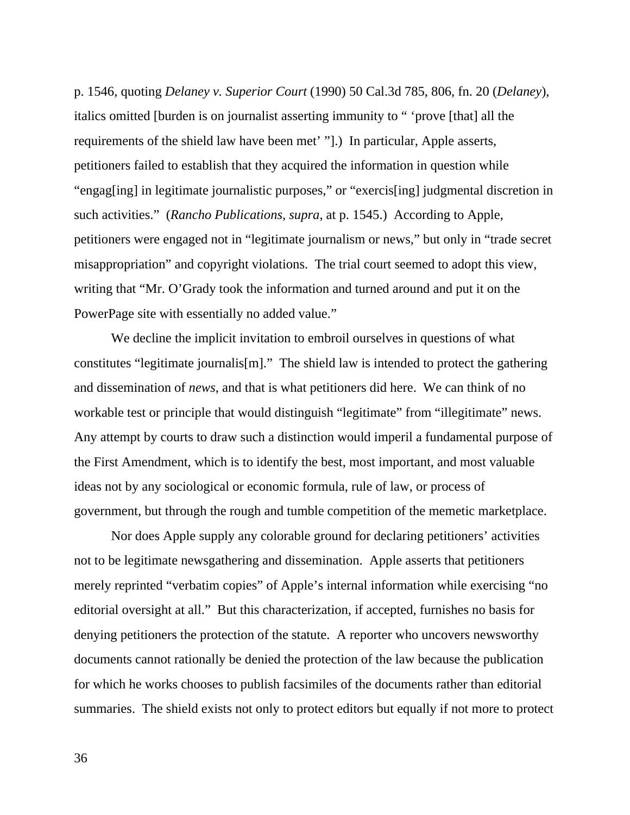p. 1546, quoting *Delaney v. Superior Court* (1990) 50 Cal.3d 785, 806, fn. 20 (*Delaney*), italics omitted [burden is on journalist asserting immunity to " 'prove [that] all the requirements of the shield law have been met' "].) In particular, Apple asserts, petitioners failed to establish that they acquired the information in question while "engag[ing] in legitimate journalistic purposes," or "exercis[ing] judgmental discretion in such activities." (*Rancho Publications*, *supra*, at p. 1545.) According to Apple, petitioners were engaged not in "legitimate journalism or news," but only in "trade secret misappropriation" and copyright violations. The trial court seemed to adopt this view, writing that "Mr. O'Grady took the information and turned around and put it on the PowerPage site with essentially no added value."

 We decline the implicit invitation to embroil ourselves in questions of what constitutes "legitimate journalis[m]." The shield law is intended to protect the gathering and dissemination of *news*, and that is what petitioners did here. We can think of no workable test or principle that would distinguish "legitimate" from "illegitimate" news. Any attempt by courts to draw such a distinction would imperil a fundamental purpose of the First Amendment, which is to identify the best, most important, and most valuable ideas not by any sociological or economic formula, rule of law, or process of government, but through the rough and tumble competition of the memetic marketplace.

 Nor does Apple supply any colorable ground for declaring petitioners' activities not to be legitimate newsgathering and dissemination. Apple asserts that petitioners merely reprinted "verbatim copies" of Apple's internal information while exercising "no editorial oversight at all." But this characterization, if accepted, furnishes no basis for denying petitioners the protection of the statute. A reporter who uncovers newsworthy documents cannot rationally be denied the protection of the law because the publication for which he works chooses to publish facsimiles of the documents rather than editorial summaries. The shield exists not only to protect editors but equally if not more to protect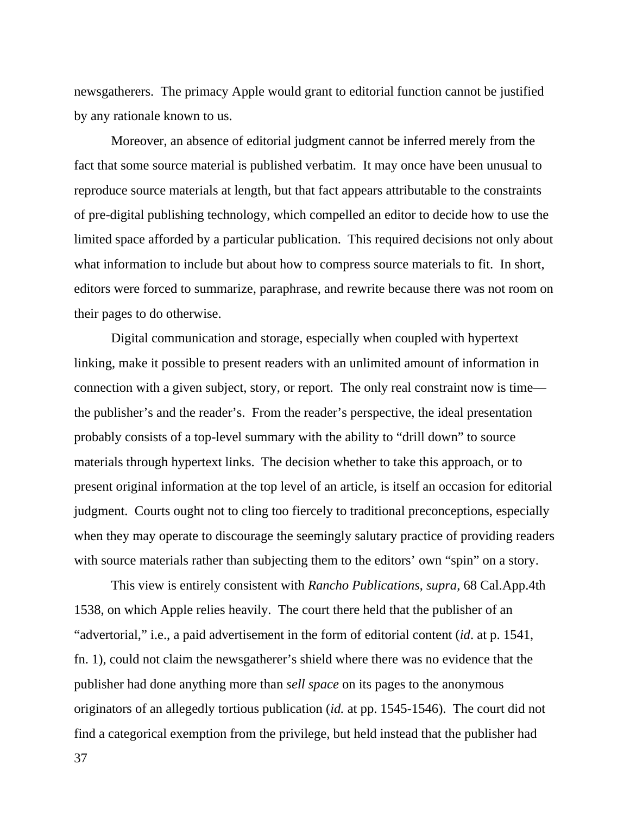newsgatherers. The primacy Apple would grant to editorial function cannot be justified by any rationale known to us.

 Moreover, an absence of editorial judgment cannot be inferred merely from the fact that some source material is published verbatim. It may once have been unusual to reproduce source materials at length, but that fact appears attributable to the constraints of pre-digital publishing technology, which compelled an editor to decide how to use the limited space afforded by a particular publication. This required decisions not only about what information to include but about how to compress source materials to fit. In short, editors were forced to summarize, paraphrase, and rewrite because there was not room on their pages to do otherwise.

 Digital communication and storage, especially when coupled with hypertext linking, make it possible to present readers with an unlimited amount of information in connection with a given subject, story, or report. The only real constraint now is time the publisher's and the reader's. From the reader's perspective, the ideal presentation probably consists of a top-level summary with the ability to "drill down" to source materials through hypertext links. The decision whether to take this approach, or to present original information at the top level of an article, is itself an occasion for editorial judgment. Courts ought not to cling too fiercely to traditional preconceptions, especially when they may operate to discourage the seemingly salutary practice of providing readers with source materials rather than subjecting them to the editors' own "spin" on a story.

 This view is entirely consistent with *Rancho Publications*, *supra*, 68 Cal.App.4th 1538, on which Apple relies heavily. The court there held that the publisher of an "advertorial," i.e., a paid advertisement in the form of editorial content (*id*. at p. 1541, fn. 1), could not claim the newsgatherer's shield where there was no evidence that the publisher had done anything more than *sell space* on its pages to the anonymous originators of an allegedly tortious publication (*id.* at pp. 1545-1546). The court did not find a categorical exemption from the privilege, but held instead that the publisher had

37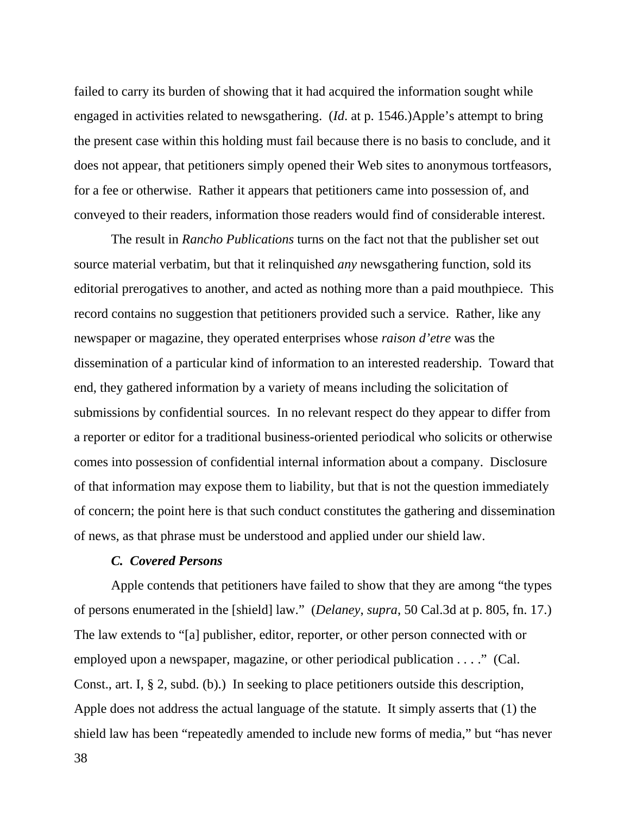failed to carry its burden of showing that it had acquired the information sought while engaged in activities related to newsgathering. (*Id*. at p. 1546.)Apple's attempt to bring the present case within this holding must fail because there is no basis to conclude, and it does not appear, that petitioners simply opened their Web sites to anonymous tortfeasors, for a fee or otherwise. Rather it appears that petitioners came into possession of, and conveyed to their readers, information those readers would find of considerable interest.

 The result in *Rancho Publications* turns on the fact not that the publisher set out source material verbatim, but that it relinquished *any* newsgathering function, sold its editorial prerogatives to another, and acted as nothing more than a paid mouthpiece. This record contains no suggestion that petitioners provided such a service. Rather, like any newspaper or magazine, they operated enterprises whose *raison d'etre* was the dissemination of a particular kind of information to an interested readership. Toward that end, they gathered information by a variety of means including the solicitation of submissions by confidential sources. In no relevant respect do they appear to differ from a reporter or editor for a traditional business-oriented periodical who solicits or otherwise comes into possession of confidential internal information about a company. Disclosure of that information may expose them to liability, but that is not the question immediately of concern; the point here is that such conduct constitutes the gathering and dissemination of news, as that phrase must be understood and applied under our shield law.

#### *C. Covered Persons*

 Apple contends that petitioners have failed to show that they are among "the types of persons enumerated in the [shield] law." (*Delaney*, *supra*, 50 Cal.3d at p. 805, fn. 17.) The law extends to "[a] publisher, editor, reporter, or other person connected with or employed upon a newspaper, magazine, or other periodical publication . . . ." (Cal. Const., art. I, § 2, subd. (b).) In seeking to place petitioners outside this description, Apple does not address the actual language of the statute. It simply asserts that (1) the shield law has been "repeatedly amended to include new forms of media," but "has never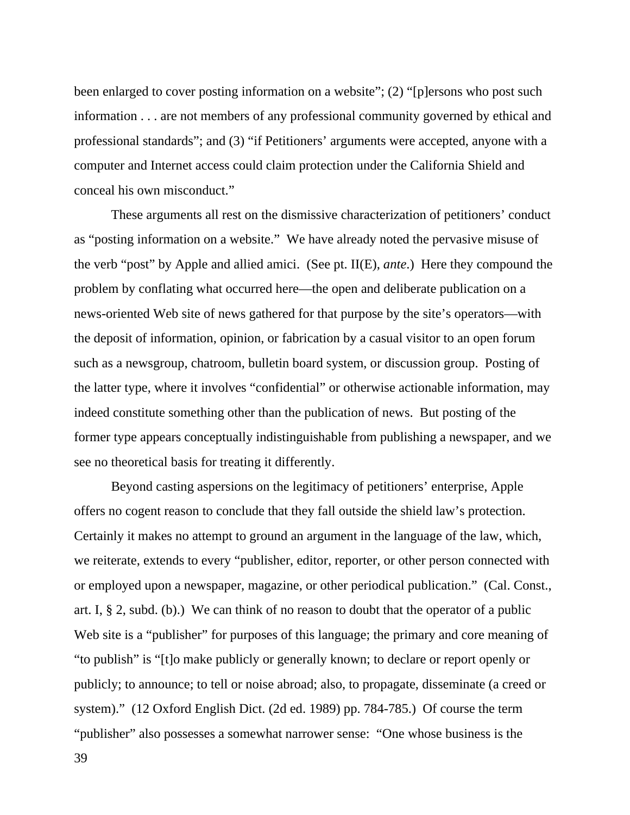been enlarged to cover posting information on a website"; (2) "[p]ersons who post such information . . . are not members of any professional community governed by ethical and professional standards"; and (3) "if Petitioners' arguments were accepted, anyone with a computer and Internet access could claim protection under the California Shield and conceal his own misconduct."

 These arguments all rest on the dismissive characterization of petitioners' conduct as "posting information on a website." We have already noted the pervasive misuse of the verb "post" by Apple and allied amici. (See pt. II(E), *ante*.) Here they compound the problem by conflating what occurred here—the open and deliberate publication on a news-oriented Web site of news gathered for that purpose by the site's operators—with the deposit of information, opinion, or fabrication by a casual visitor to an open forum such as a newsgroup, chatroom, bulletin board system, or discussion group. Posting of the latter type, where it involves "confidential" or otherwise actionable information, may indeed constitute something other than the publication of news. But posting of the former type appears conceptually indistinguishable from publishing a newspaper, and we see no theoretical basis for treating it differently.

 Beyond casting aspersions on the legitimacy of petitioners' enterprise, Apple offers no cogent reason to conclude that they fall outside the shield law's protection. Certainly it makes no attempt to ground an argument in the language of the law, which, we reiterate, extends to every "publisher, editor, reporter, or other person connected with or employed upon a newspaper, magazine, or other periodical publication." (Cal. Const., art. I, § 2, subd. (b).) We can think of no reason to doubt that the operator of a public Web site is a "publisher" for purposes of this language; the primary and core meaning of "to publish" is "[t]o make publicly or generally known; to declare or report openly or publicly; to announce; to tell or noise abroad; also, to propagate, disseminate (a creed or system)." (12 Oxford English Dict. (2d ed. 1989) pp. 784-785.) Of course the term "publisher" also possesses a somewhat narrower sense: "One whose business is the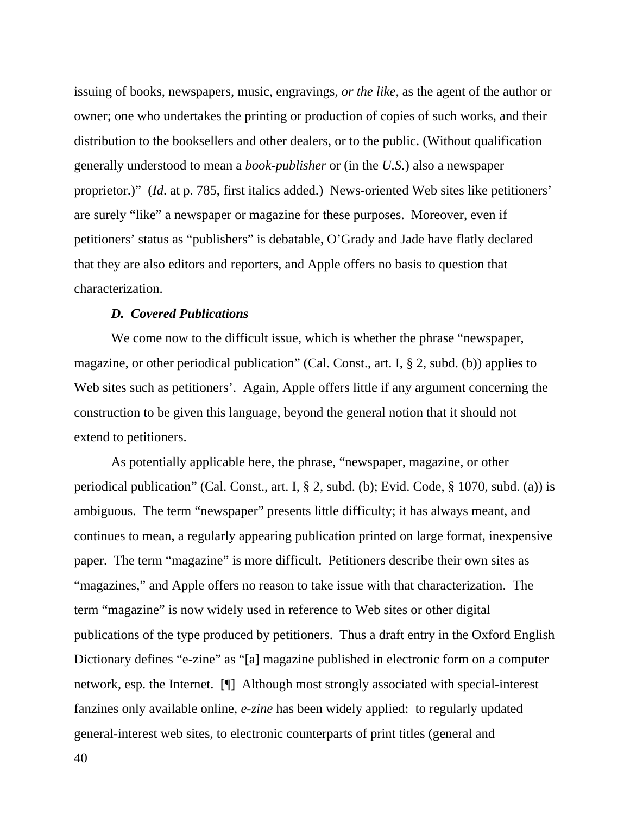issuing of books, newspapers, music, engravings, *or the like*, as the agent of the author or owner; one who undertakes the printing or production of copies of such works, and their distribution to the booksellers and other dealers, or to the public. (Without qualification generally understood to mean a *book-publisher* or (in the *U.S.*) also a newspaper proprietor.)" (*Id*. at p. 785, first italics added.) News-oriented Web sites like petitioners' are surely "like" a newspaper or magazine for these purposes. Moreover, even if petitioners' status as "publishers" is debatable, O'Grady and Jade have flatly declared that they are also editors and reporters, and Apple offers no basis to question that characterization.

## *D. Covered Publications*

 We come now to the difficult issue, which is whether the phrase "newspaper, magazine, or other periodical publication" (Cal. Const., art. I, § 2, subd. (b)) applies to Web sites such as petitioners'. Again, Apple offers little if any argument concerning the construction to be given this language, beyond the general notion that it should not extend to petitioners.

 As potentially applicable here, the phrase, "newspaper, magazine, or other periodical publication" (Cal. Const., art. I, § 2, subd. (b); Evid. Code, § 1070, subd. (a)) is ambiguous. The term "newspaper" presents little difficulty; it has always meant, and continues to mean, a regularly appearing publication printed on large format, inexpensive paper. The term "magazine" is more difficult. Petitioners describe their own sites as "magazines," and Apple offers no reason to take issue with that characterization. The term "magazine" is now widely used in reference to Web sites or other digital publications of the type produced by petitioners. Thus a draft entry in the Oxford English Dictionary defines "e-zine" as "[a] magazine published in electronic form on a computer network, esp. the Internet. [¶] Although most strongly associated with special-interest fanzines only available online, *e-zine* has been widely applied: to regularly updated general-interest web sites, to electronic counterparts of print titles (general and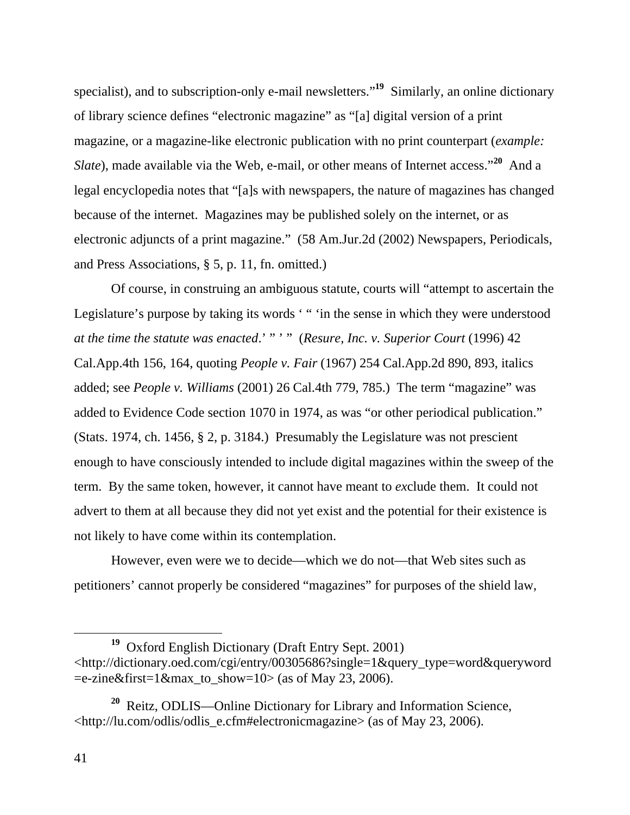specialist), and to subscription-only e-mail newsletters."**<sup>19</sup>** Similarly, an online dictionary of library science defines "electronic magazine" as "[a] digital version of a print magazine, or a magazine-like electronic publication with no print counterpart (*example: Slate*), made available via the Web, e-mail, or other means of Internet access."**<sup>20</sup>** And a legal encyclopedia notes that "[a]s with newspapers, the nature of magazines has changed because of the internet. Magazines may be published solely on the internet, or as electronic adjuncts of a print magazine." (58 Am.Jur.2d (2002) Newspapers, Periodicals, and Press Associations, § 5, p. 11, fn. omitted.)

 Of course, in construing an ambiguous statute, courts will "attempt to ascertain the Legislature's purpose by taking its words '" 'in the sense in which they were understood *at the time the statute was enacted*.' " ' " (*Resure, Inc. v. Superior Court* (1996) 42 Cal.App.4th 156, 164, quoting *People v. Fair* (1967) 254 Cal.App.2d 890, 893, italics added; see *People v. Williams* (2001) 26 Cal.4th 779, 785.) The term "magazine" was added to Evidence Code section 1070 in 1974, as was "or other periodical publication." (Stats. 1974, ch. 1456, § 2, p. 3184.) Presumably the Legislature was not prescient enough to have consciously intended to include digital magazines within the sweep of the term. By the same token, however, it cannot have meant to *ex*clude them. It could not advert to them at all because they did not yet exist and the potential for their existence is not likely to have come within its contemplation.

 However, even were we to decide—which we do not—that Web sites such as petitioners' cannot properly be considered "magazines" for purposes of the shield law,

**<sup>19</sup>** Oxford English Dictionary (Draft Entry Sept. 2001) <http://dictionary.oed.com/cgi/entry/00305686?single=1&query\_type=word&queryword  $=$ e-zine&first=1&max\_to\_show=10> (as of May 23, 2006).

**<sup>20</sup>** Reitz, ODLIS—Online Dictionary for Library and Information Science, <http://lu.com/odlis/odlis\_e.cfm#electronicmagazine> (as of May 23, 2006).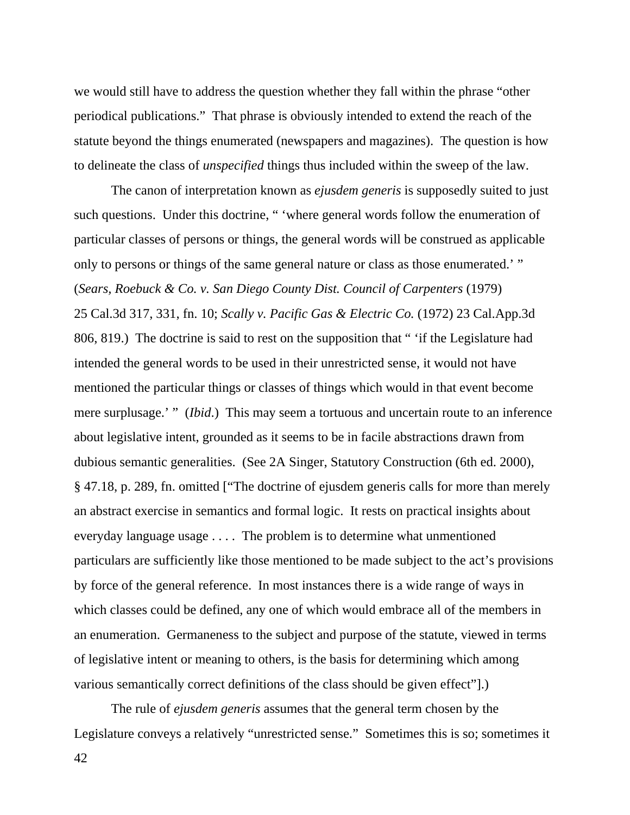we would still have to address the question whether they fall within the phrase "other periodical publications." That phrase is obviously intended to extend the reach of the statute beyond the things enumerated (newspapers and magazines). The question is how to delineate the class of *unspecified* things thus included within the sweep of the law.

 The canon of interpretation known as *ejusdem generis* is supposedly suited to just such questions. Under this doctrine, " 'where general words follow the enumeration of particular classes of persons or things, the general words will be construed as applicable only to persons or things of the same general nature or class as those enumerated.' " (*Sears, Roebuck & Co. v. San Diego County Dist. Council of Carpenters* (1979) 25 Cal.3d 317, 331, fn. 10; *Scally v. Pacific Gas & Electric Co.* (1972) 23 Cal.App.3d 806, 819.) The doctrine is said to rest on the supposition that " 'if the Legislature had intended the general words to be used in their unrestricted sense, it would not have mentioned the particular things or classes of things which would in that event become mere surplusage.' " *(Ibid.)* This may seem a tortuous and uncertain route to an inference about legislative intent, grounded as it seems to be in facile abstractions drawn from dubious semantic generalities. (See 2A Singer, Statutory Construction (6th ed. 2000), § 47.18, p. 289, fn. omitted ["The doctrine of ejusdem generis calls for more than merely an abstract exercise in semantics and formal logic. It rests on practical insights about everyday language usage . . . . The problem is to determine what unmentioned particulars are sufficiently like those mentioned to be made subject to the act's provisions by force of the general reference. In most instances there is a wide range of ways in which classes could be defined, any one of which would embrace all of the members in an enumeration. Germaneness to the subject and purpose of the statute, viewed in terms of legislative intent or meaning to others, is the basis for determining which among various semantically correct definitions of the class should be given effect"].)

 The rule of *ejusdem generis* assumes that the general term chosen by the Legislature conveys a relatively "unrestricted sense." Sometimes this is so; sometimes it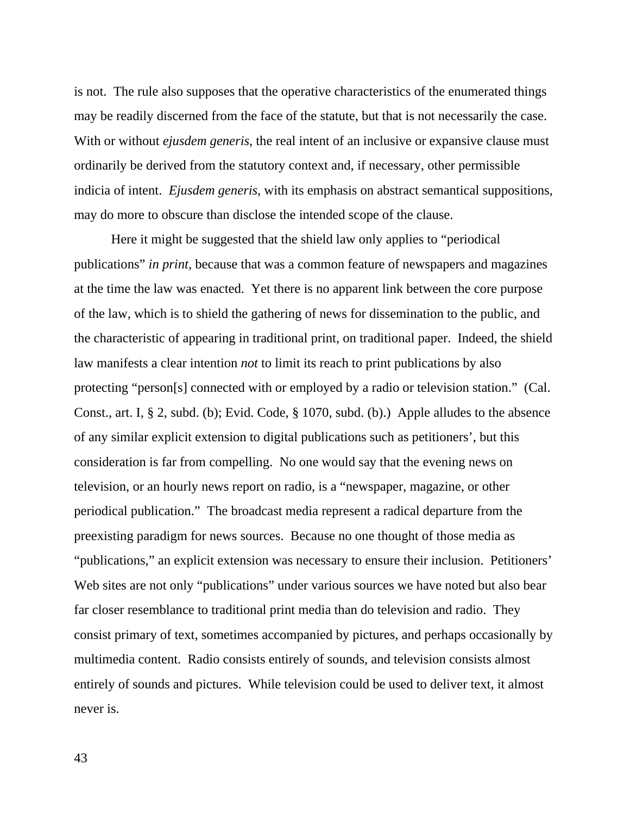is not. The rule also supposes that the operative characteristics of the enumerated things may be readily discerned from the face of the statute, but that is not necessarily the case. With or without *ejusdem generis*, the real intent of an inclusive or expansive clause must ordinarily be derived from the statutory context and, if necessary, other permissible indicia of intent. *Ejusdem generis*, with its emphasis on abstract semantical suppositions, may do more to obscure than disclose the intended scope of the clause.

 Here it might be suggested that the shield law only applies to "periodical publications" *in print*, because that was a common feature of newspapers and magazines at the time the law was enacted. Yet there is no apparent link between the core purpose of the law, which is to shield the gathering of news for dissemination to the public, and the characteristic of appearing in traditional print, on traditional paper. Indeed, the shield law manifests a clear intention *not* to limit its reach to print publications by also protecting "person[s] connected with or employed by a radio or television station." (Cal. Const., art. I, § 2, subd. (b); Evid. Code, § 1070, subd. (b).) Apple alludes to the absence of any similar explicit extension to digital publications such as petitioners', but this consideration is far from compelling. No one would say that the evening news on television, or an hourly news report on radio, is a "newspaper, magazine, or other periodical publication." The broadcast media represent a radical departure from the preexisting paradigm for news sources. Because no one thought of those media as "publications," an explicit extension was necessary to ensure their inclusion. Petitioners' Web sites are not only "publications" under various sources we have noted but also bear far closer resemblance to traditional print media than do television and radio. They consist primary of text, sometimes accompanied by pictures, and perhaps occasionally by multimedia content. Radio consists entirely of sounds, and television consists almost entirely of sounds and pictures. While television could be used to deliver text, it almost never is.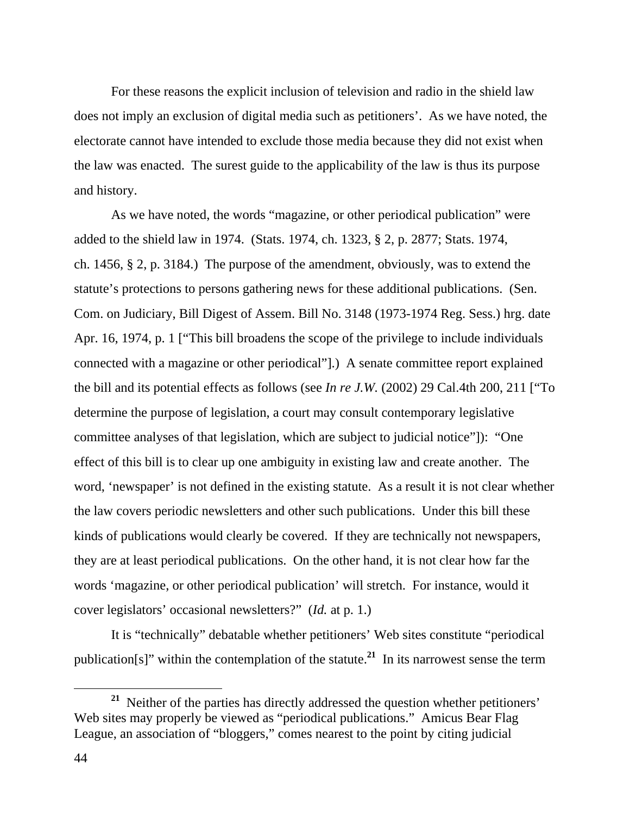For these reasons the explicit inclusion of television and radio in the shield law does not imply an exclusion of digital media such as petitioners'. As we have noted, the electorate cannot have intended to exclude those media because they did not exist when the law was enacted. The surest guide to the applicability of the law is thus its purpose and history.

 As we have noted, the words "magazine, or other periodical publication" were added to the shield law in 1974. (Stats. 1974, ch. 1323, § 2, p. 2877; Stats. 1974, ch. 1456, § 2, p. 3184.) The purpose of the amendment, obviously, was to extend the statute's protections to persons gathering news for these additional publications. (Sen. Com. on Judiciary, Bill Digest of Assem. Bill No. 3148 (1973-1974 Reg. Sess.) hrg. date Apr. 16, 1974, p. 1 ["This bill broadens the scope of the privilege to include individuals connected with a magazine or other periodical"].) A senate committee report explained the bill and its potential effects as follows (see *In re J.W.* (2002) 29 Cal.4th 200, 211 ["To determine the purpose of legislation, a court may consult contemporary legislative committee analyses of that legislation, which are subject to judicial notice"]): "One effect of this bill is to clear up one ambiguity in existing law and create another. The word, 'newspaper' is not defined in the existing statute. As a result it is not clear whether the law covers periodic newsletters and other such publications. Under this bill these kinds of publications would clearly be covered. If they are technically not newspapers, they are at least periodical publications. On the other hand, it is not clear how far the words 'magazine, or other periodical publication' will stretch. For instance, would it cover legislators' occasional newsletters?" (*Id.* at p. 1.)

 It is "technically" debatable whether petitioners' Web sites constitute "periodical publication[s]" within the contemplation of the statute.**<sup>21</sup>** In its narrowest sense the term

**<sup>21</sup>** Neither of the parties has directly addressed the question whether petitioners' Web sites may properly be viewed as "periodical publications." Amicus Bear Flag League, an association of "bloggers," comes nearest to the point by citing judicial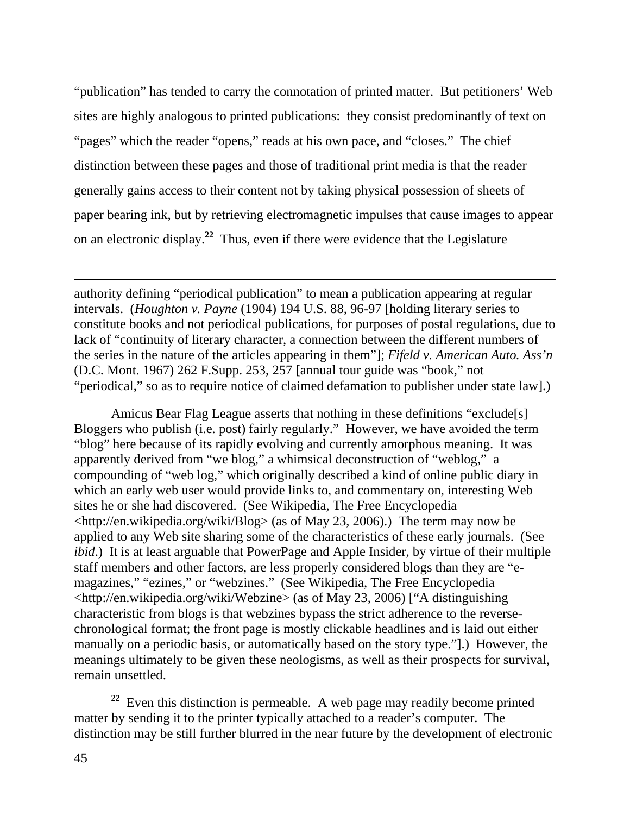"publication" has tended to carry the connotation of printed matter. But petitioners' Web sites are highly analogous to printed publications: they consist predominantly of text on "pages" which the reader "opens," reads at his own pace, and "closes." The chief distinction between these pages and those of traditional print media is that the reader generally gains access to their content not by taking physical possession of sheets of paper bearing ink, but by retrieving electromagnetic impulses that cause images to appear on an electronic display.**<sup>22</sup>** Thus, even if there were evidence that the Legislature

authority defining "periodical publication" to mean a publication appearing at regular intervals. (*Houghton v. Payne* (1904) 194 U.S. 88, 96-97 [holding literary series to constitute books and not periodical publications, for purposes of postal regulations, due to lack of "continuity of literary character, a connection between the different numbers of the series in the nature of the articles appearing in them"]; *Fifeld v. American Auto. Ass'n* (D.C. Mont. 1967) 262 F.Supp. 253, 257 [annual tour guide was "book," not "periodical," so as to require notice of claimed defamation to publisher under state law].)

 Amicus Bear Flag League asserts that nothing in these definitions "exclude[s] Bloggers who publish (i.e. post) fairly regularly." However, we have avoided the term "blog" here because of its rapidly evolving and currently amorphous meaning. It was apparently derived from "we blog," a whimsical deconstruction of "weblog," a compounding of "web log," which originally described a kind of online public diary in which an early web user would provide links to, and commentary on, interesting Web sites he or she had discovered. (See Wikipedia, The Free Encyclopedia <http://en.wikipedia.org/wiki/Blog> (as of May 23, 2006).) The term may now be applied to any Web site sharing some of the characteristics of these early journals. (See *ibid*.) It is at least arguable that PowerPage and Apple Insider, by virtue of their multiple staff members and other factors, are less properly considered blogs than they are "emagazines," "ezines," or "webzines." (See Wikipedia, The Free Encyclopedia <http://en.wikipedia.org/wiki/Webzine> (as of May 23, 2006) ["A distinguishing characteristic from blogs is that webzines bypass the strict adherence to the reversechronological format; the front page is mostly clickable headlines and is laid out either manually on a periodic basis, or automatically based on the story type."].) However, the meanings ultimately to be given these neologisms, as well as their prospects for survival, remain unsettled.

**<sup>22</sup>** Even this distinction is permeable. A web page may readily become printed matter by sending it to the printer typically attached to a reader's computer. The distinction may be still further blurred in the near future by the development of electronic

 $\overline{a}$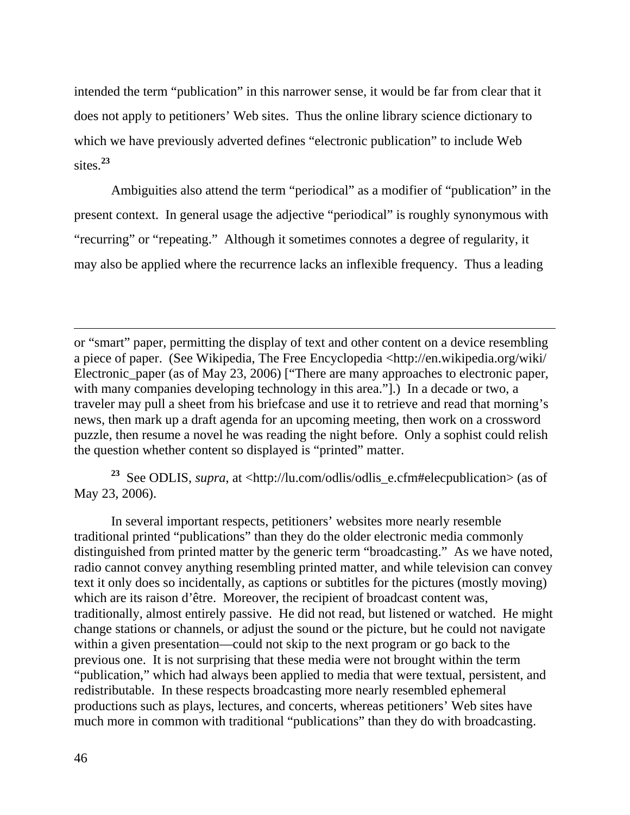intended the term "publication" in this narrower sense, it would be far from clear that it does not apply to petitioners' Web sites. Thus the online library science dictionary to which we have previously adverted defines "electronic publication" to include Web sites.**<sup>23</sup>**

 Ambiguities also attend the term "periodical" as a modifier of "publication" in the present context. In general usage the adjective "periodical" is roughly synonymous with "recurring" or "repeating." Although it sometimes connotes a degree of regularity, it may also be applied where the recurrence lacks an inflexible frequency. Thus a leading

or "smart" paper, permitting the display of text and other content on a device resembling a piece of paper. (See Wikipedia, The Free Encyclopedia <http://en.wikipedia.org/wiki/ Electronic\_paper (as of May 23, 2006) ["There are many approaches to electronic paper, with many companies developing technology in this area."].) In a decade or two, a traveler may pull a sheet from his briefcase and use it to retrieve and read that morning's news, then mark up a draft agenda for an upcoming meeting, then work on a crossword puzzle, then resume a novel he was reading the night before. Only a sophist could relish the question whether content so displayed is "printed" matter.

**<sup>23</sup>** See ODLIS, *supra*, at <http://lu.com/odlis/odlis\_e.cfm#elecpublication> (as of May 23, 2006).

 In several important respects, petitioners' websites more nearly resemble traditional printed "publications" than they do the older electronic media commonly distinguished from printed matter by the generic term "broadcasting." As we have noted, radio cannot convey anything resembling printed matter, and while television can convey text it only does so incidentally, as captions or subtitles for the pictures (mostly moving) which are its raison d'être. Moreover, the recipient of broadcast content was, traditionally, almost entirely passive. He did not read, but listened or watched. He might change stations or channels, or adjust the sound or the picture, but he could not navigate within a given presentation—could not skip to the next program or go back to the previous one. It is not surprising that these media were not brought within the term "publication," which had always been applied to media that were textual, persistent, and redistributable. In these respects broadcasting more nearly resembled ephemeral productions such as plays, lectures, and concerts, whereas petitioners' Web sites have much more in common with traditional "publications" than they do with broadcasting.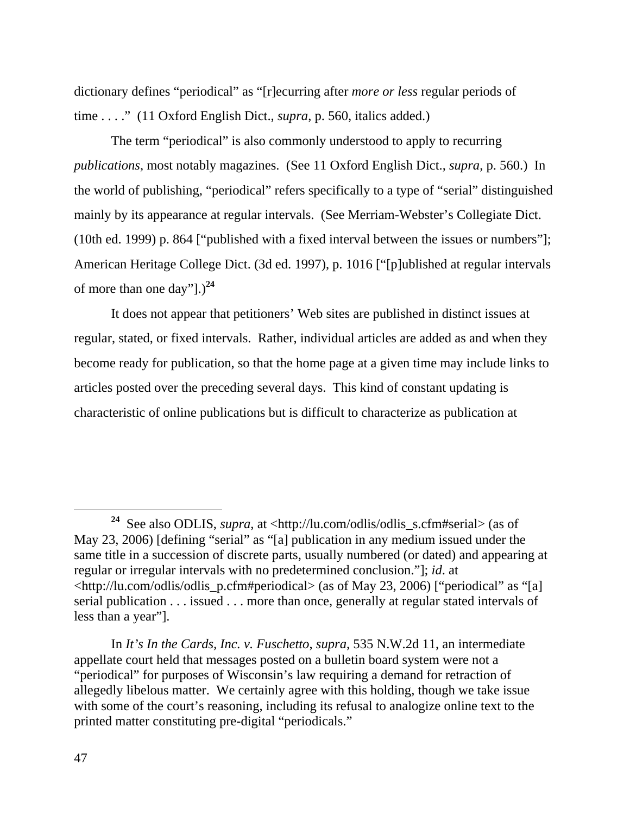dictionary defines "periodical" as "[r]ecurring after *more or less* regular periods of time . . . ." (11 Oxford English Dict., *supra*, p. 560, italics added.)

 The term "periodical" is also commonly understood to apply to recurring *publications*, most notably magazines. (See 11 Oxford English Dict., *supra*, p. 560.) In the world of publishing, "periodical" refers specifically to a type of "serial" distinguished mainly by its appearance at regular intervals. (See Merriam-Webster's Collegiate Dict. (10th ed. 1999) p. 864 ["published with a fixed interval between the issues or numbers"]; American Heritage College Dict. (3d ed. 1997), p. 1016 ["[p]ublished at regular intervals of more than one day"].)**<sup>24</sup>**

 It does not appear that petitioners' Web sites are published in distinct issues at regular, stated, or fixed intervals. Rather, individual articles are added as and when they become ready for publication, so that the home page at a given time may include links to articles posted over the preceding several days. This kind of constant updating is characteristic of online publications but is difficult to characterize as publication at

**<sup>24</sup>** See also ODLIS, *supra*, at <http://lu.com/odlis/odlis\_s.cfm#serial> (as of May 23, 2006) [defining "serial" as "[a] publication in any medium issued under the same title in a succession of discrete parts, usually numbered (or dated) and appearing at regular or irregular intervals with no predetermined conclusion."]; *id*. at <http://lu.com/odlis/odlis\_p.cfm#periodical> (as of May 23, 2006) ["periodical" as "[a] serial publication . . . issued . . . more than once, generally at regular stated intervals of less than a year"].

In *It's In the Cards, Inc. v. Fuschetto*, *supra*, 535 N.W.2d 11, an intermediate appellate court held that messages posted on a bulletin board system were not a "periodical" for purposes of Wisconsin's law requiring a demand for retraction of allegedly libelous matter. We certainly agree with this holding, though we take issue with some of the court's reasoning, including its refusal to analogize online text to the printed matter constituting pre-digital "periodicals."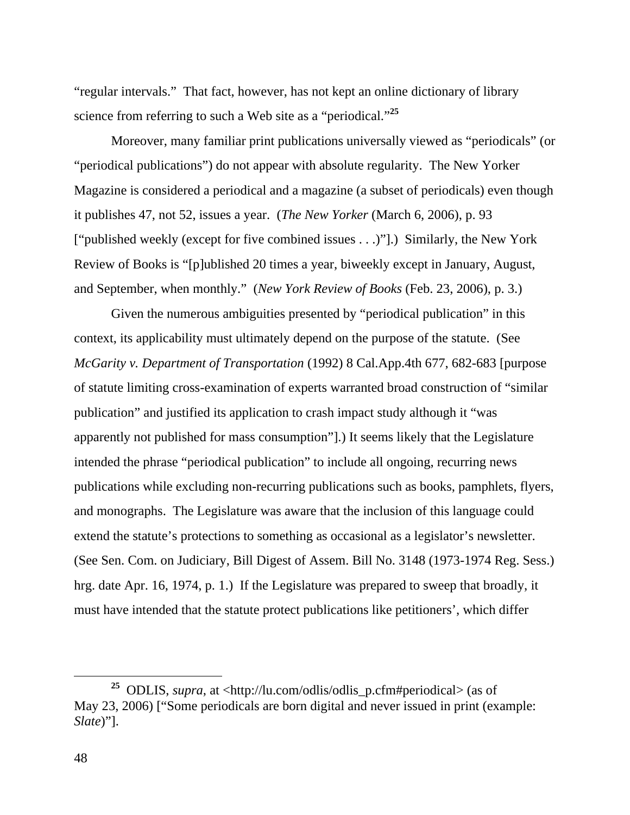"regular intervals." That fact, however, has not kept an online dictionary of library science from referring to such a Web site as a "periodical."**<sup>25</sup>**

 Moreover, many familiar print publications universally viewed as "periodicals" (or "periodical publications") do not appear with absolute regularity. The New Yorker Magazine is considered a periodical and a magazine (a subset of periodicals) even though it publishes 47, not 52, issues a year. (*The New Yorker* (March 6, 2006), p. 93 ["published weekly (except for five combined issues . . .)"].) Similarly, the New York Review of Books is "[p]ublished 20 times a year, biweekly except in January, August, and September, when monthly." (*New York Review of Books* (Feb. 23, 2006), p. 3.)

 Given the numerous ambiguities presented by "periodical publication" in this context, its applicability must ultimately depend on the purpose of the statute. (See *McGarity v. Department of Transportation* (1992) 8 Cal.App.4th 677, 682-683 [purpose of statute limiting cross-examination of experts warranted broad construction of "similar publication" and justified its application to crash impact study although it "was apparently not published for mass consumption"].) It seems likely that the Legislature intended the phrase "periodical publication" to include all ongoing, recurring news publications while excluding non-recurring publications such as books, pamphlets, flyers, and monographs. The Legislature was aware that the inclusion of this language could extend the statute's protections to something as occasional as a legislator's newsletter. (See Sen. Com. on Judiciary, Bill Digest of Assem. Bill No. 3148 (1973-1974 Reg. Sess.) hrg. date Apr. 16, 1974, p. 1.) If the Legislature was prepared to sweep that broadly, it must have intended that the statute protect publications like petitioners', which differ

**<sup>25</sup>** ODLIS, *supra*, at <http://lu.com/odlis/odlis\_p.cfm#periodical> (as of May 23, 2006) ["Some periodicals are born digital and never issued in print (example: *Slate*)"].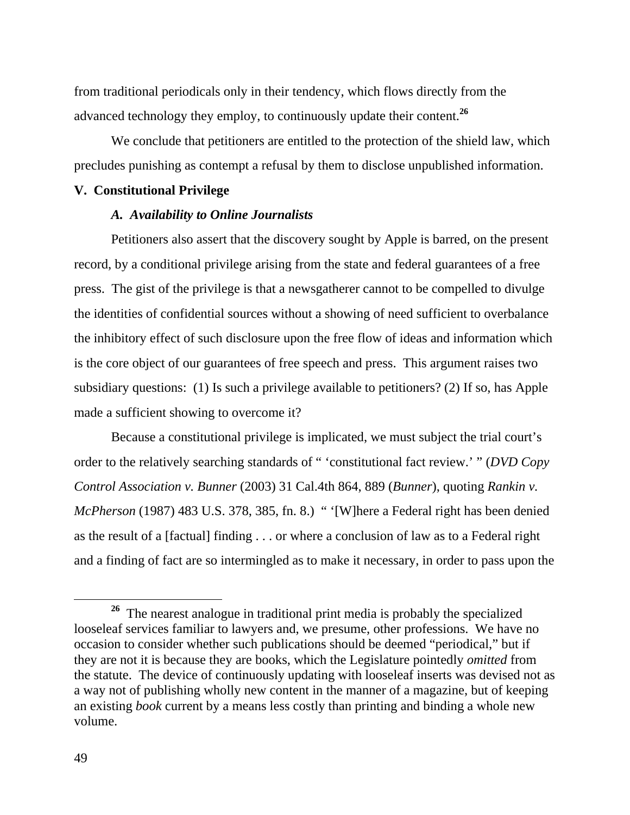from traditional periodicals only in their tendency, which flows directly from the advanced technology they employ, to continuously update their content.**<sup>26</sup>**

 We conclude that petitioners are entitled to the protection of the shield law, which precludes punishing as contempt a refusal by them to disclose unpublished information.

# **V. Constitutional Privilege**

## *A. Availability to Online Journalists*

 Petitioners also assert that the discovery sought by Apple is barred, on the present record, by a conditional privilege arising from the state and federal guarantees of a free press. The gist of the privilege is that a newsgatherer cannot to be compelled to divulge the identities of confidential sources without a showing of need sufficient to overbalance the inhibitory effect of such disclosure upon the free flow of ideas and information which is the core object of our guarantees of free speech and press. This argument raises two subsidiary questions: (1) Is such a privilege available to petitioners? (2) If so, has Apple made a sufficient showing to overcome it?

 Because a constitutional privilege is implicated, we must subject the trial court's order to the relatively searching standards of " 'constitutional fact review.' " (*DVD Copy Control Association v. Bunner* (2003) 31 Cal.4th 864, 889 (*Bunner*), quoting *Rankin v. McPherson* (1987) 483 U.S. 378, 385, fn. 8.) " '[W]here a Federal right has been denied as the result of a [factual] finding . . . or where a conclusion of law as to a Federal right and a finding of fact are so intermingled as to make it necessary, in order to pass upon the

**<sup>26</sup>** The nearest analogue in traditional print media is probably the specialized looseleaf services familiar to lawyers and, we presume, other professions. We have no occasion to consider whether such publications should be deemed "periodical," but if they are not it is because they are books, which the Legislature pointedly *omitted* from the statute. The device of continuously updating with looseleaf inserts was devised not as a way not of publishing wholly new content in the manner of a magazine, but of keeping an existing *book* current by a means less costly than printing and binding a whole new volume.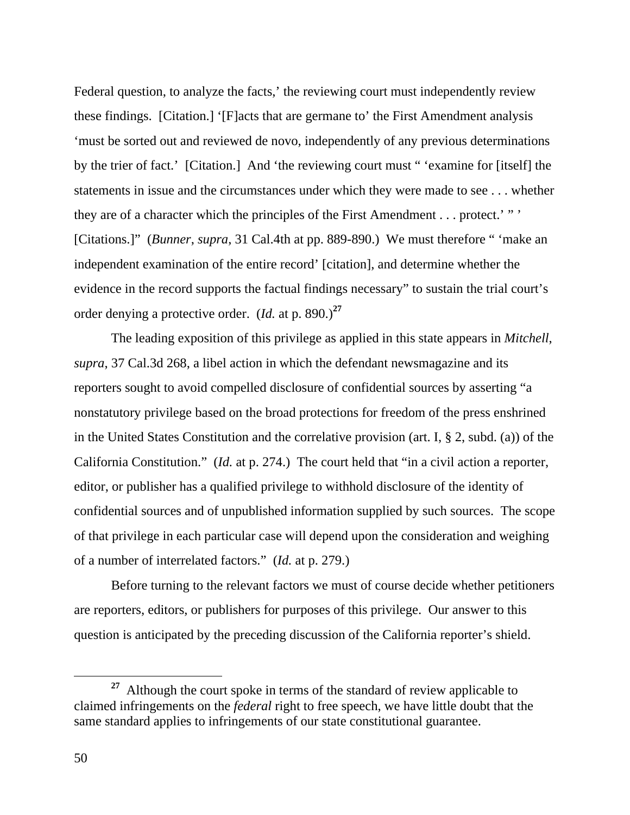Federal question, to analyze the facts,' the reviewing court must independently review these findings. [Citation.] '[F]acts that are germane to' the First Amendment analysis 'must be sorted out and reviewed de novo, independently of any previous determinations by the trier of fact.' [Citation.] And 'the reviewing court must " 'examine for [itself] the statements in issue and the circumstances under which they were made to see . . . whether they are of a character which the principles of the First Amendment . . . protect.' " ' [Citations.]" (*Bunner*, *supra*, 31 Cal.4th at pp. 889-890.) We must therefore " 'make an independent examination of the entire record' [citation], and determine whether the evidence in the record supports the factual findings necessary" to sustain the trial court's order denying a protective order. (*Id.* at p. 890.)**<sup>27</sup>**

 The leading exposition of this privilege as applied in this state appears in *Mitchell*, *supra*, 37 Cal.3d 268, a libel action in which the defendant newsmagazine and its reporters sought to avoid compelled disclosure of confidential sources by asserting "a nonstatutory privilege based on the broad protections for freedom of the press enshrined in the United States Constitution and the correlative provision (art. I, § 2, subd. (a)) of the California Constitution." (*Id.* at p. 274.) The court held that "in a civil action a reporter, editor, or publisher has a qualified privilege to withhold disclosure of the identity of confidential sources and of unpublished information supplied by such sources. The scope of that privilege in each particular case will depend upon the consideration and weighing of a number of interrelated factors." (*Id.* at p. 279.)

 Before turning to the relevant factors we must of course decide whether petitioners are reporters, editors, or publishers for purposes of this privilege. Our answer to this question is anticipated by the preceding discussion of the California reporter's shield.

**<sup>27</sup>** Although the court spoke in terms of the standard of review applicable to claimed infringements on the *federal* right to free speech, we have little doubt that the same standard applies to infringements of our state constitutional guarantee.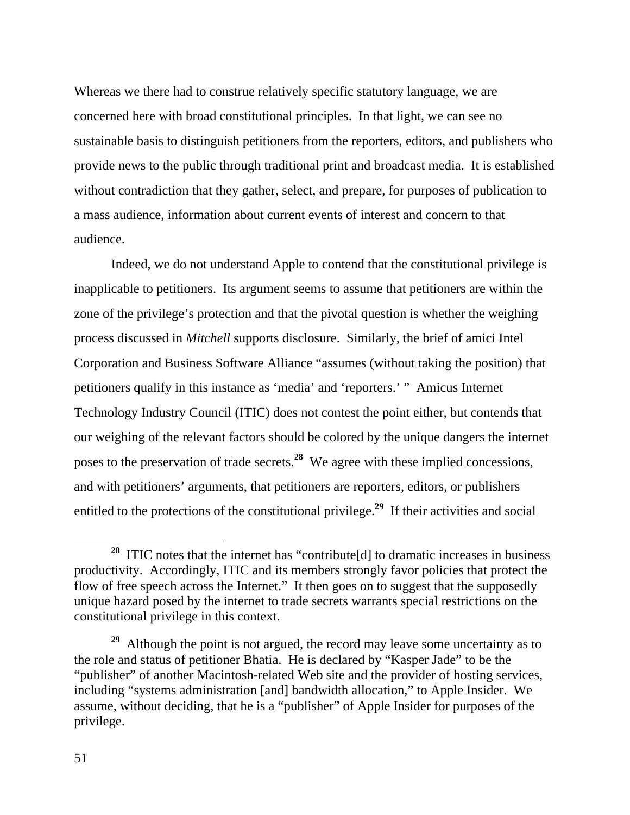Whereas we there had to construe relatively specific statutory language, we are concerned here with broad constitutional principles. In that light, we can see no sustainable basis to distinguish petitioners from the reporters, editors, and publishers who provide news to the public through traditional print and broadcast media. It is established without contradiction that they gather, select, and prepare, for purposes of publication to a mass audience, information about current events of interest and concern to that audience.

 Indeed, we do not understand Apple to contend that the constitutional privilege is inapplicable to petitioners. Its argument seems to assume that petitioners are within the zone of the privilege's protection and that the pivotal question is whether the weighing process discussed in *Mitchell* supports disclosure. Similarly, the brief of amici Intel Corporation and Business Software Alliance "assumes (without taking the position) that petitioners qualify in this instance as 'media' and 'reporters.' " Amicus Internet Technology Industry Council (ITIC) does not contest the point either, but contends that our weighing of the relevant factors should be colored by the unique dangers the internet poses to the preservation of trade secrets.**<sup>28</sup>** We agree with these implied concessions, and with petitioners' arguments, that petitioners are reporters, editors, or publishers entitled to the protections of the constitutional privilege.<sup>29</sup> If their activities and social

**<sup>28</sup>** ITIC notes that the internet has "contribute[d] to dramatic increases in business productivity. Accordingly, ITIC and its members strongly favor policies that protect the flow of free speech across the Internet." It then goes on to suggest that the supposedly unique hazard posed by the internet to trade secrets warrants special restrictions on the constitutional privilege in this context.

**<sup>29</sup>** Although the point is not argued, the record may leave some uncertainty as to the role and status of petitioner Bhatia. He is declared by "Kasper Jade" to be the "publisher" of another Macintosh-related Web site and the provider of hosting services, including "systems administration [and] bandwidth allocation," to Apple Insider. We assume, without deciding, that he is a "publisher" of Apple Insider for purposes of the privilege.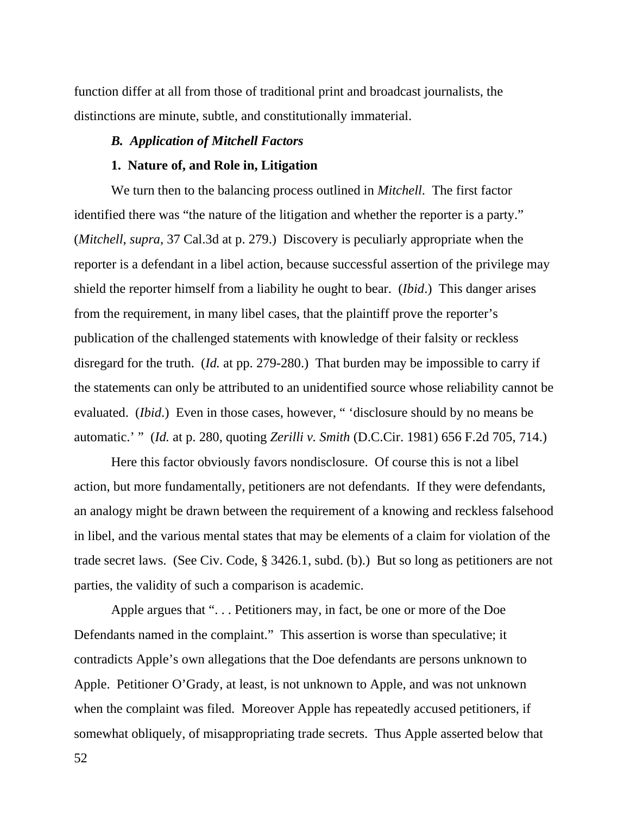function differ at all from those of traditional print and broadcast journalists, the distinctions are minute, subtle, and constitutionally immaterial.

## *B. Application of Mitchell Factors*

#### **1. Nature of, and Role in, Litigation**

 We turn then to the balancing process outlined in *Mitchell*. The first factor identified there was "the nature of the litigation and whether the reporter is a party." (*Mitchell*, *supra*, 37 Cal.3d at p. 279.) Discovery is peculiarly appropriate when the reporter is a defendant in a libel action, because successful assertion of the privilege may shield the reporter himself from a liability he ought to bear. (*Ibid*.) This danger arises from the requirement, in many libel cases, that the plaintiff prove the reporter's publication of the challenged statements with knowledge of their falsity or reckless disregard for the truth. (*Id.* at pp. 279-280.) That burden may be impossible to carry if the statements can only be attributed to an unidentified source whose reliability cannot be evaluated. (*Ibid*.) Even in those cases, however, " 'disclosure should by no means be automatic.' " (*Id.* at p. 280, quoting *Zerilli v. Smith* (D.C.Cir. 1981) 656 F.2d 705, 714.)

 Here this factor obviously favors nondisclosure. Of course this is not a libel action, but more fundamentally, petitioners are not defendants. If they were defendants, an analogy might be drawn between the requirement of a knowing and reckless falsehood in libel, and the various mental states that may be elements of a claim for violation of the trade secret laws. (See Civ. Code, § 3426.1, subd. (b).) But so long as petitioners are not parties, the validity of such a comparison is academic.

 Apple argues that ". . . Petitioners may, in fact, be one or more of the Doe Defendants named in the complaint." This assertion is worse than speculative; it contradicts Apple's own allegations that the Doe defendants are persons unknown to Apple. Petitioner O'Grady, at least, is not unknown to Apple, and was not unknown when the complaint was filed. Moreover Apple has repeatedly accused petitioners, if somewhat obliquely, of misappropriating trade secrets. Thus Apple asserted below that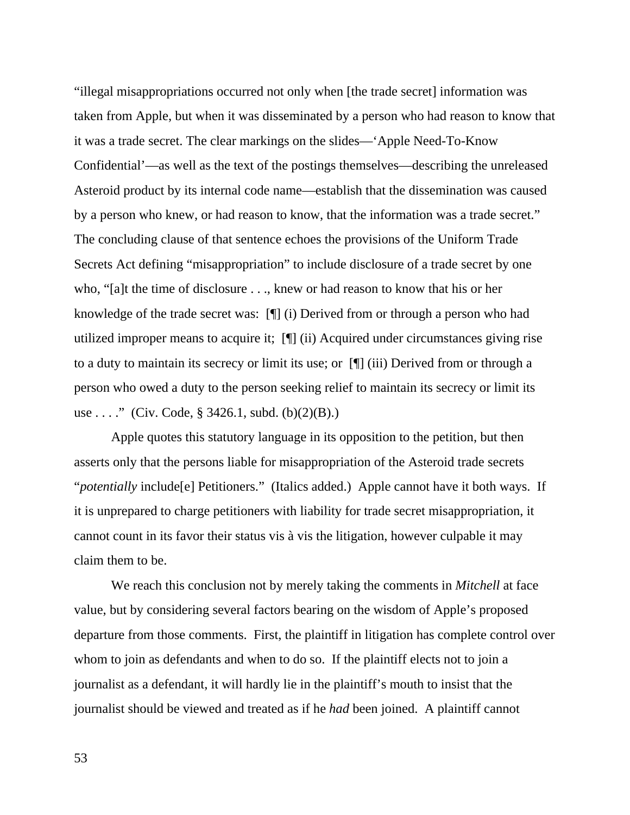"illegal misappropriations occurred not only when [the trade secret] information was taken from Apple, but when it was disseminated by a person who had reason to know that it was a trade secret. The clear markings on the slides—'Apple Need-To-Know Confidential'—as well as the text of the postings themselves—describing the unreleased Asteroid product by its internal code name—establish that the dissemination was caused by a person who knew, or had reason to know, that the information was a trade secret." The concluding clause of that sentence echoes the provisions of the Uniform Trade Secrets Act defining "misappropriation" to include disclosure of a trade secret by one who, "[a]t the time of disclosure . . ., knew or had reason to know that his or her knowledge of the trade secret was: [¶] (i) Derived from or through a person who had utilized improper means to acquire it; [¶] (ii) Acquired under circumstances giving rise to a duty to maintain its secrecy or limit its use; or [¶] (iii) Derived from or through a person who owed a duty to the person seeking relief to maintain its secrecy or limit its use . . . ." (Civ. Code,  $\S 3426.1$ , subd. (b)(2)(B).)

 Apple quotes this statutory language in its opposition to the petition, but then asserts only that the persons liable for misappropriation of the Asteroid trade secrets "*potentially* include[e] Petitioners." (Italics added.) Apple cannot have it both ways. If it is unprepared to charge petitioners with liability for trade secret misappropriation, it cannot count in its favor their status vis à vis the litigation, however culpable it may claim them to be.

 We reach this conclusion not by merely taking the comments in *Mitchell* at face value, but by considering several factors bearing on the wisdom of Apple's proposed departure from those comments. First, the plaintiff in litigation has complete control over whom to join as defendants and when to do so. If the plaintiff elects not to join a journalist as a defendant, it will hardly lie in the plaintiff's mouth to insist that the journalist should be viewed and treated as if he *had* been joined. A plaintiff cannot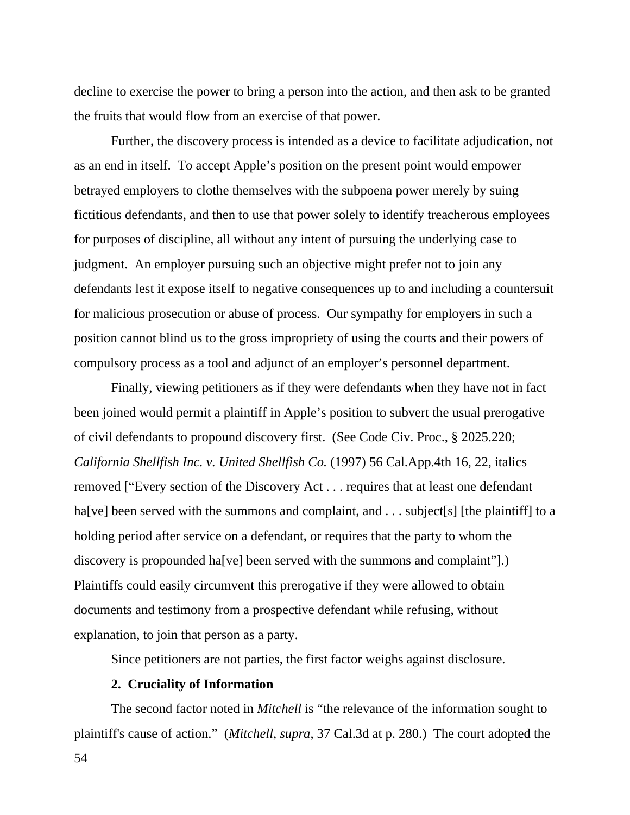decline to exercise the power to bring a person into the action, and then ask to be granted the fruits that would flow from an exercise of that power.

 Further, the discovery process is intended as a device to facilitate adjudication, not as an end in itself. To accept Apple's position on the present point would empower betrayed employers to clothe themselves with the subpoena power merely by suing fictitious defendants, and then to use that power solely to identify treacherous employees for purposes of discipline, all without any intent of pursuing the underlying case to judgment. An employer pursuing such an objective might prefer not to join any defendants lest it expose itself to negative consequences up to and including a countersuit for malicious prosecution or abuse of process. Our sympathy for employers in such a position cannot blind us to the gross impropriety of using the courts and their powers of compulsory process as a tool and adjunct of an employer's personnel department.

 Finally, viewing petitioners as if they were defendants when they have not in fact been joined would permit a plaintiff in Apple's position to subvert the usual prerogative of civil defendants to propound discovery first. (See Code Civ. Proc., § 2025.220; *California Shellfish Inc. v. United Shellfish Co.* (1997) 56 Cal.App.4th 16, 22, italics removed ["Every section of the Discovery Act . . . requires that at least one defendant ha[ve] been served with the summons and complaint, and . . . subject[s] [the plaintiff] to a holding period after service on a defendant, or requires that the party to whom the discovery is propounded ha<sup>[ve]</sup> been served with the summons and complaint".) Plaintiffs could easily circumvent this prerogative if they were allowed to obtain documents and testimony from a prospective defendant while refusing, without explanation, to join that person as a party.

Since petitioners are not parties, the first factor weighs against disclosure.

#### **2. Cruciality of Information**

 The second factor noted in *Mitchell* is "the relevance of the information sought to plaintiff's cause of action." (*Mitchell*, *supra*, 37 Cal.3d at p. 280.) The court adopted the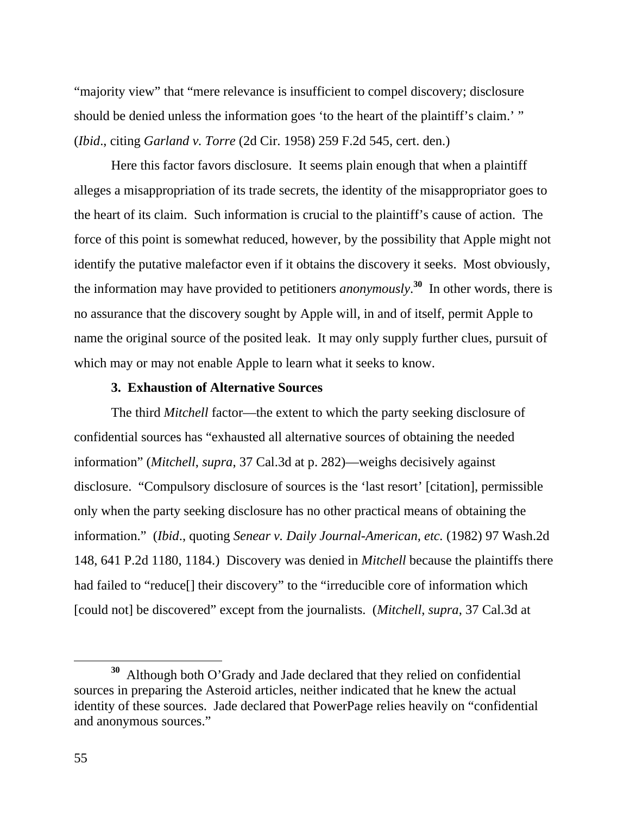"majority view" that "mere relevance is insufficient to compel discovery; disclosure should be denied unless the information goes 'to the heart of the plaintiff's claim.' " (*Ibid*., citing *Garland v. Torre* (2d Cir. 1958) 259 F.2d 545, cert. den.)

 Here this factor favors disclosure. It seems plain enough that when a plaintiff alleges a misappropriation of its trade secrets, the identity of the misappropriator goes to the heart of its claim. Such information is crucial to the plaintiff's cause of action. The force of this point is somewhat reduced, however, by the possibility that Apple might not identify the putative malefactor even if it obtains the discovery it seeks. Most obviously, the information may have provided to petitioners *anonymously*. **<sup>30</sup>** In other words, there is no assurance that the discovery sought by Apple will, in and of itself, permit Apple to name the original source of the posited leak. It may only supply further clues, pursuit of which may or may not enable Apple to learn what it seeks to know.

## **3. Exhaustion of Alternative Sources**

 The third *Mitchell* factor—the extent to which the party seeking disclosure of confidential sources has "exhausted all alternative sources of obtaining the needed information" (*Mitchell*, *supra*, 37 Cal.3d at p. 282)—weighs decisively against disclosure. "Compulsory disclosure of sources is the 'last resort' [citation], permissible only when the party seeking disclosure has no other practical means of obtaining the information." (*Ibid*., quoting *Senear v. Daily Journal-American, etc.* (1982) 97 Wash.2d 148, 641 P.2d 1180, 1184.) Discovery was denied in *Mitchell* because the plaintiffs there had failed to "reduce<sup>[]</sup> their discovery" to the "irreducible core of information which [could not] be discovered" except from the journalists. (*Mitchell*, *supra*, 37 Cal.3d at

**<sup>30</sup>** Although both O'Grady and Jade declared that they relied on confidential sources in preparing the Asteroid articles, neither indicated that he knew the actual identity of these sources. Jade declared that PowerPage relies heavily on "confidential and anonymous sources."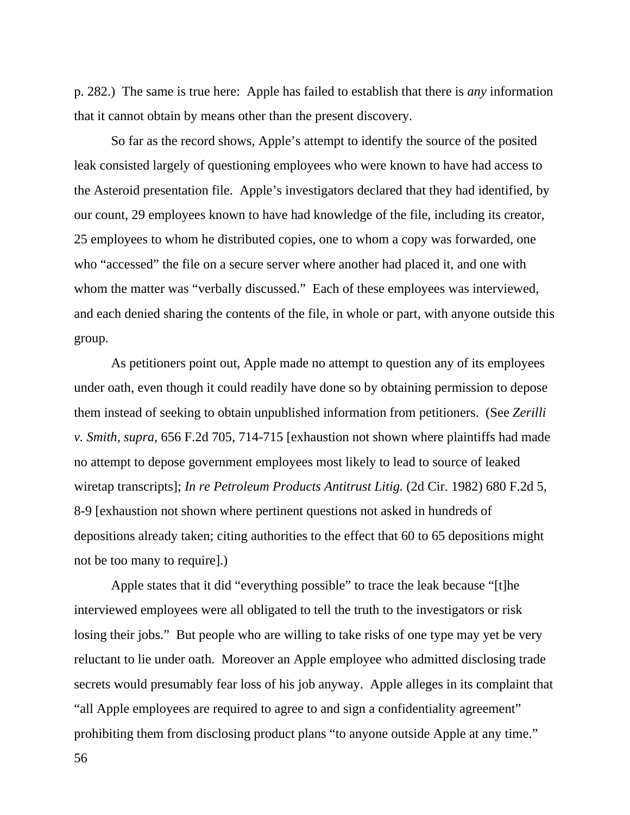p. 282.) The same is true here: Apple has failed to establish that there is *any* information that it cannot obtain by means other than the present discovery.

 So far as the record shows, Apple's attempt to identify the source of the posited leak consisted largely of questioning employees who were known to have had access to the Asteroid presentation file. Apple's investigators declared that they had identified, by our count, 29 employees known to have had knowledge of the file, including its creator, 25 employees to whom he distributed copies, one to whom a copy was forwarded, one who "accessed" the file on a secure server where another had placed it, and one with whom the matter was "verbally discussed." Each of these employees was interviewed, and each denied sharing the contents of the file, in whole or part, with anyone outside this group.

 As petitioners point out, Apple made no attempt to question any of its employees under oath, even though it could readily have done so by obtaining permission to depose them instead of seeking to obtain unpublished information from petitioners. (See *Zerilli v. Smith, supra,* 656 F.2d 705, 714-715 [exhaustion not shown where plaintiffs had made no attempt to depose government employees most likely to lead to source of leaked wiretap transcripts]; *In re Petroleum Products Antitrust Litig.* (2d Cir. 1982) 680 F.2d 5, 8-9 [exhaustion not shown where pertinent questions not asked in hundreds of depositions already taken; citing authorities to the effect that 60 to 65 depositions might not be too many to require].)

 Apple states that it did "everything possible" to trace the leak because "[t]he interviewed employees were all obligated to tell the truth to the investigators or risk losing their jobs." But people who are willing to take risks of one type may yet be very reluctant to lie under oath. Moreover an Apple employee who admitted disclosing trade secrets would presumably fear loss of his job anyway. Apple alleges in its complaint that "all Apple employees are required to agree to and sign a confidentiality agreement" prohibiting them from disclosing product plans "to anyone outside Apple at any time."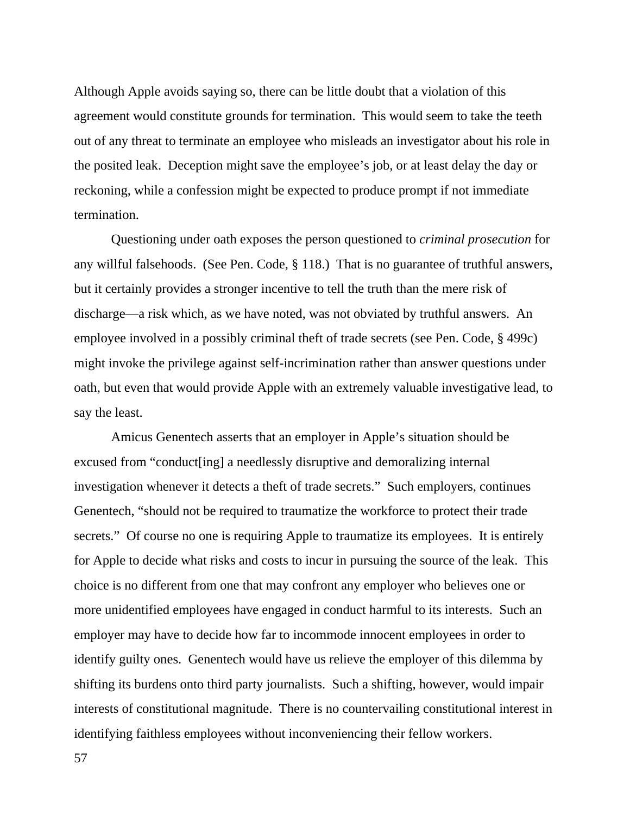Although Apple avoids saying so, there can be little doubt that a violation of this agreement would constitute grounds for termination. This would seem to take the teeth out of any threat to terminate an employee who misleads an investigator about his role in the posited leak. Deception might save the employee's job, or at least delay the day or reckoning, while a confession might be expected to produce prompt if not immediate termination.

 Questioning under oath exposes the person questioned to *criminal prosecution* for any willful falsehoods. (See Pen. Code, § 118.) That is no guarantee of truthful answers, but it certainly provides a stronger incentive to tell the truth than the mere risk of discharge—a risk which, as we have noted, was not obviated by truthful answers. An employee involved in a possibly criminal theft of trade secrets (see Pen. Code, § 499c) might invoke the privilege against self-incrimination rather than answer questions under oath, but even that would provide Apple with an extremely valuable investigative lead, to say the least.

 Amicus Genentech asserts that an employer in Apple's situation should be excused from "conduct[ing] a needlessly disruptive and demoralizing internal investigation whenever it detects a theft of trade secrets." Such employers, continues Genentech, "should not be required to traumatize the workforce to protect their trade secrets." Of course no one is requiring Apple to traumatize its employees. It is entirely for Apple to decide what risks and costs to incur in pursuing the source of the leak. This choice is no different from one that may confront any employer who believes one or more unidentified employees have engaged in conduct harmful to its interests. Such an employer may have to decide how far to incommode innocent employees in order to identify guilty ones. Genentech would have us relieve the employer of this dilemma by shifting its burdens onto third party journalists. Such a shifting, however, would impair interests of constitutional magnitude. There is no countervailing constitutional interest in identifying faithless employees without inconveniencing their fellow workers.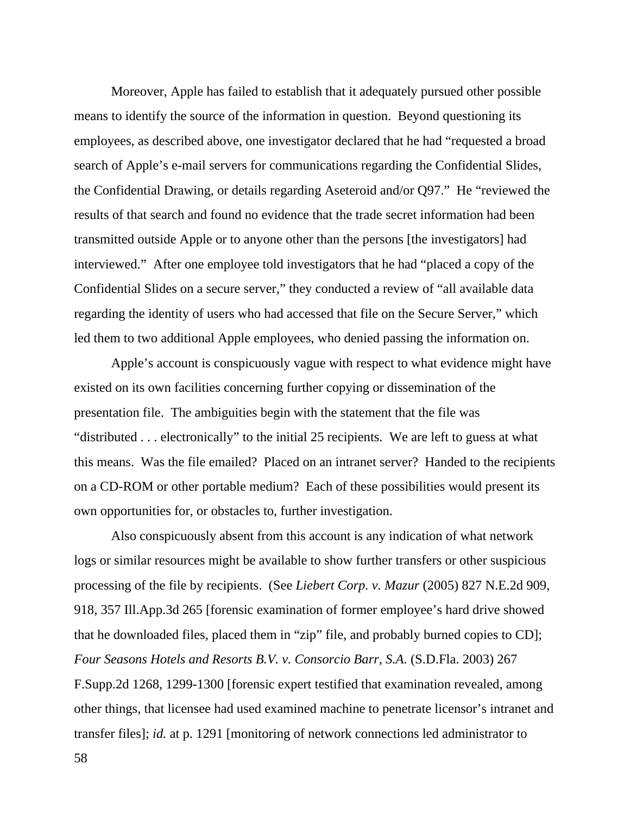Moreover, Apple has failed to establish that it adequately pursued other possible means to identify the source of the information in question. Beyond questioning its employees, as described above, one investigator declared that he had "requested a broad search of Apple's e-mail servers for communications regarding the Confidential Slides, the Confidential Drawing, or details regarding Aseteroid and/or Q97." He "reviewed the results of that search and found no evidence that the trade secret information had been transmitted outside Apple or to anyone other than the persons [the investigators] had interviewed." After one employee told investigators that he had "placed a copy of the Confidential Slides on a secure server," they conducted a review of "all available data regarding the identity of users who had accessed that file on the Secure Server," which led them to two additional Apple employees, who denied passing the information on.

 Apple's account is conspicuously vague with respect to what evidence might have existed on its own facilities concerning further copying or dissemination of the presentation file. The ambiguities begin with the statement that the file was "distributed . . . electronically" to the initial 25 recipients. We are left to guess at what this means. Was the file emailed? Placed on an intranet server? Handed to the recipients on a CD-ROM or other portable medium? Each of these possibilities would present its own opportunities for, or obstacles to, further investigation.

 Also conspicuously absent from this account is any indication of what network logs or similar resources might be available to show further transfers or other suspicious processing of the file by recipients. (See *Liebert Corp. v. Mazur* (2005) 827 N.E.2d 909, 918, 357 Ill.App.3d 265 [forensic examination of former employee's hard drive showed that he downloaded files, placed them in "zip" file, and probably burned copies to CD]; *Four Seasons Hotels and Resorts B.V. v. Consorcio Barr, S.A.* (S.D.Fla. 2003) 267 F.Supp.2d 1268, 1299-1300 [forensic expert testified that examination revealed, among other things, that licensee had used examined machine to penetrate licensor's intranet and transfer files]; *id.* at p. 1291 [monitoring of network connections led administrator to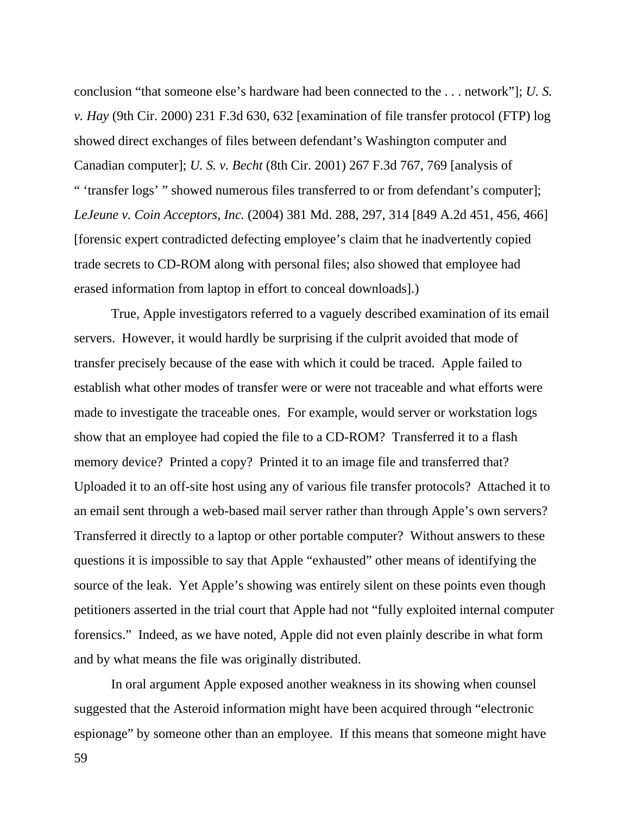conclusion "that someone else's hardware had been connected to the . . . network"]; *U. S. v. Hay* (9th Cir. 2000) 231 F.3d 630, 632 [examination of file transfer protocol (FTP) log showed direct exchanges of files between defendant's Washington computer and Canadian computer]; *U. S. v. Becht* (8th Cir. 2001) 267 F.3d 767, 769 [analysis of " 'transfer logs' " showed numerous files transferred to or from defendant's computer]; *LeJeune v. Coin Acceptors, Inc.* (2004) 381 Md. 288, 297, 314 [849 A.2d 451, 456, 466] [forensic expert contradicted defecting employee's claim that he inadvertently copied trade secrets to CD-ROM along with personal files; also showed that employee had erased information from laptop in effort to conceal downloads].)

 True, Apple investigators referred to a vaguely described examination of its email servers. However, it would hardly be surprising if the culprit avoided that mode of transfer precisely because of the ease with which it could be traced. Apple failed to establish what other modes of transfer were or were not traceable and what efforts were made to investigate the traceable ones. For example, would server or workstation logs show that an employee had copied the file to a CD-ROM? Transferred it to a flash memory device? Printed a copy? Printed it to an image file and transferred that? Uploaded it to an off-site host using any of various file transfer protocols? Attached it to an email sent through a web-based mail server rather than through Apple's own servers? Transferred it directly to a laptop or other portable computer? Without answers to these questions it is impossible to say that Apple "exhausted" other means of identifying the source of the leak. Yet Apple's showing was entirely silent on these points even though petitioners asserted in the trial court that Apple had not "fully exploited internal computer forensics." Indeed, as we have noted, Apple did not even plainly describe in what form and by what means the file was originally distributed.

 In oral argument Apple exposed another weakness in its showing when counsel suggested that the Asteroid information might have been acquired through "electronic espionage" by someone other than an employee. If this means that someone might have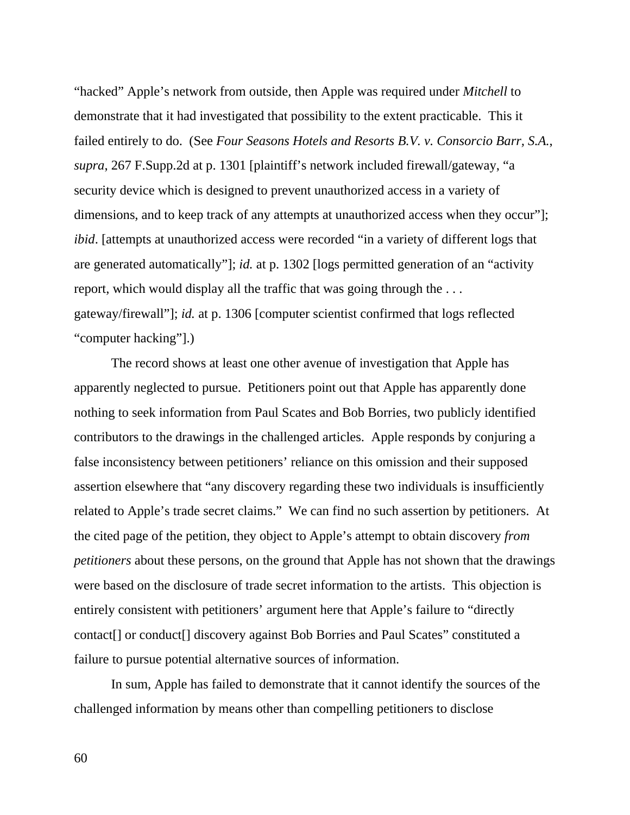"hacked" Apple's network from outside, then Apple was required under *Mitchell* to demonstrate that it had investigated that possibility to the extent practicable. This it failed entirely to do. (See *Four Seasons Hotels and Resorts B.V. v. Consorcio Barr, S.A.*, *supra*, 267 F.Supp.2d at p. 1301 [plaintiff's network included firewall/gateway, "a security device which is designed to prevent unauthorized access in a variety of dimensions, and to keep track of any attempts at unauthorized access when they occur"]; *ibid*. [attempts at unauthorized access were recorded "in a variety of different logs that are generated automatically"]; *id.* at p. 1302 [logs permitted generation of an "activity report, which would display all the traffic that was going through the . . . gateway/firewall"]; *id.* at p. 1306 [computer scientist confirmed that logs reflected "computer hacking"].)

 The record shows at least one other avenue of investigation that Apple has apparently neglected to pursue. Petitioners point out that Apple has apparently done nothing to seek information from Paul Scates and Bob Borries, two publicly identified contributors to the drawings in the challenged articles. Apple responds by conjuring a false inconsistency between petitioners' reliance on this omission and their supposed assertion elsewhere that "any discovery regarding these two individuals is insufficiently related to Apple's trade secret claims." We can find no such assertion by petitioners. At the cited page of the petition, they object to Apple's attempt to obtain discovery *from petitioners* about these persons, on the ground that Apple has not shown that the drawings were based on the disclosure of trade secret information to the artists. This objection is entirely consistent with petitioners' argument here that Apple's failure to "directly contact[] or conduct[] discovery against Bob Borries and Paul Scates" constituted a failure to pursue potential alternative sources of information.

 In sum, Apple has failed to demonstrate that it cannot identify the sources of the challenged information by means other than compelling petitioners to disclose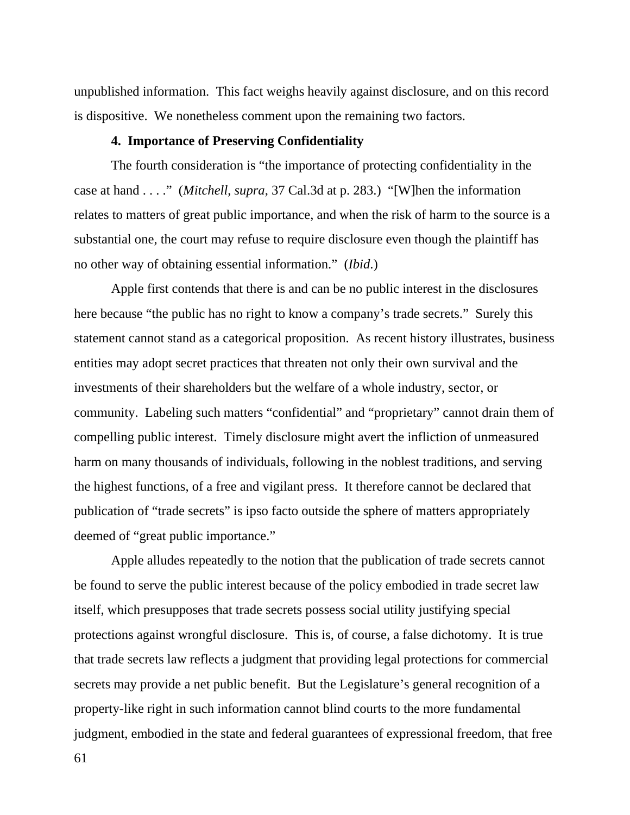unpublished information. This fact weighs heavily against disclosure, and on this record is dispositive. We nonetheless comment upon the remaining two factors.

#### **4. Importance of Preserving Confidentiality**

 The fourth consideration is "the importance of protecting confidentiality in the case at hand . . . ." (*Mitchell*, *supra*, 37 Cal.3d at p. 283.) "[W]hen the information relates to matters of great public importance, and when the risk of harm to the source is a substantial one, the court may refuse to require disclosure even though the plaintiff has no other way of obtaining essential information." (*Ibid*.)

 Apple first contends that there is and can be no public interest in the disclosures here because "the public has no right to know a company's trade secrets." Surely this statement cannot stand as a categorical proposition. As recent history illustrates, business entities may adopt secret practices that threaten not only their own survival and the investments of their shareholders but the welfare of a whole industry, sector, or community. Labeling such matters "confidential" and "proprietary" cannot drain them of compelling public interest. Timely disclosure might avert the infliction of unmeasured harm on many thousands of individuals, following in the noblest traditions, and serving the highest functions, of a free and vigilant press. It therefore cannot be declared that publication of "trade secrets" is ipso facto outside the sphere of matters appropriately deemed of "great public importance."

 Apple alludes repeatedly to the notion that the publication of trade secrets cannot be found to serve the public interest because of the policy embodied in trade secret law itself, which presupposes that trade secrets possess social utility justifying special protections against wrongful disclosure. This is, of course, a false dichotomy. It is true that trade secrets law reflects a judgment that providing legal protections for commercial secrets may provide a net public benefit. But the Legislature's general recognition of a property-like right in such information cannot blind courts to the more fundamental judgment, embodied in the state and federal guarantees of expressional freedom, that free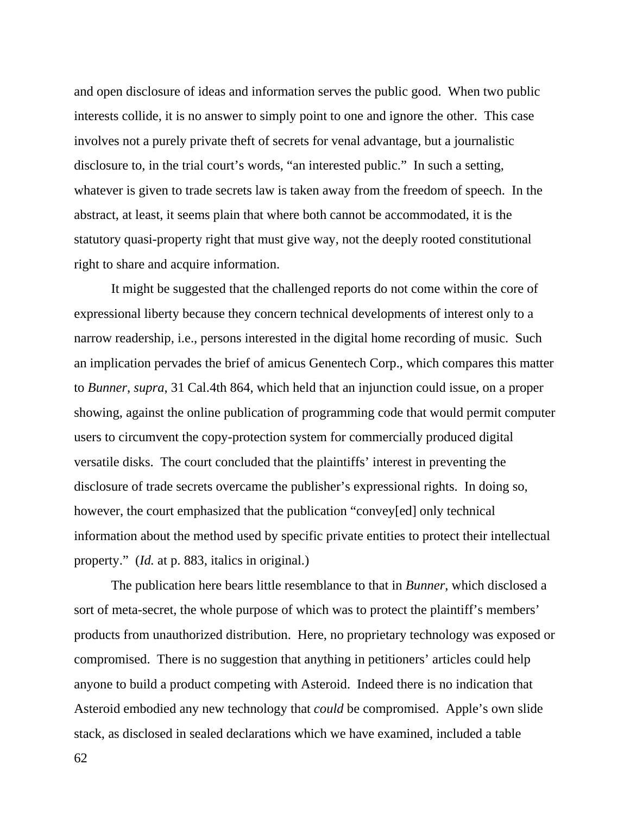and open disclosure of ideas and information serves the public good. When two public interests collide, it is no answer to simply point to one and ignore the other. This case involves not a purely private theft of secrets for venal advantage, but a journalistic disclosure to, in the trial court's words, "an interested public." In such a setting, whatever is given to trade secrets law is taken away from the freedom of speech. In the abstract, at least, it seems plain that where both cannot be accommodated, it is the statutory quasi-property right that must give way, not the deeply rooted constitutional right to share and acquire information.

 It might be suggested that the challenged reports do not come within the core of expressional liberty because they concern technical developments of interest only to a narrow readership, i.e., persons interested in the digital home recording of music. Such an implication pervades the brief of amicus Genentech Corp., which compares this matter to *Bunner*, *supra*, 31 Cal.4th 864, which held that an injunction could issue, on a proper showing, against the online publication of programming code that would permit computer users to circumvent the copy-protection system for commercially produced digital versatile disks. The court concluded that the plaintiffs' interest in preventing the disclosure of trade secrets overcame the publisher's expressional rights. In doing so, however, the court emphasized that the publication "convey[ed] only technical information about the method used by specific private entities to protect their intellectual property." (*Id.* at p. 883, italics in original.)

 The publication here bears little resemblance to that in *Bunner*, which disclosed a sort of meta-secret, the whole purpose of which was to protect the plaintiff's members' products from unauthorized distribution. Here, no proprietary technology was exposed or compromised. There is no suggestion that anything in petitioners' articles could help anyone to build a product competing with Asteroid. Indeed there is no indication that Asteroid embodied any new technology that *could* be compromised. Apple's own slide stack, as disclosed in sealed declarations which we have examined, included a table

62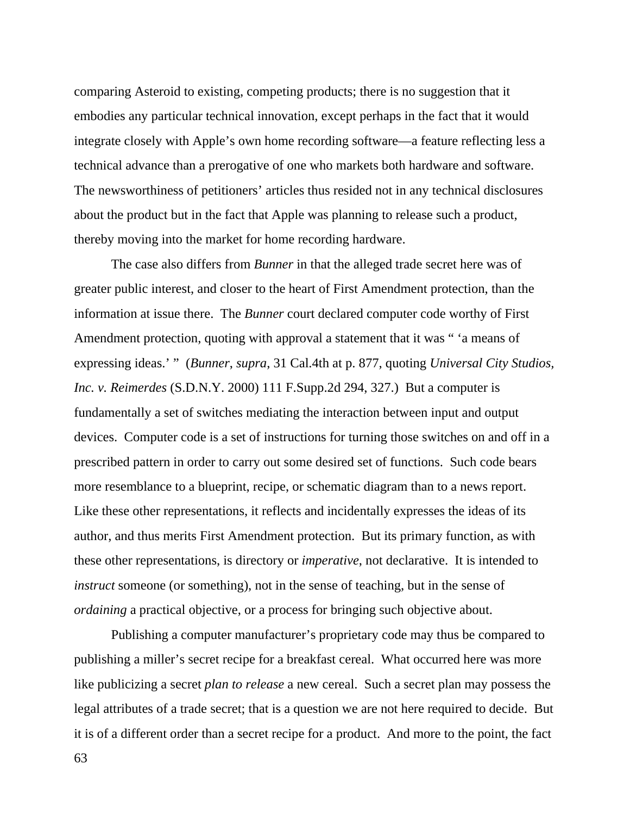comparing Asteroid to existing, competing products; there is no suggestion that it embodies any particular technical innovation, except perhaps in the fact that it would integrate closely with Apple's own home recording software—a feature reflecting less a technical advance than a prerogative of one who markets both hardware and software. The newsworthiness of petitioners' articles thus resided not in any technical disclosures about the product but in the fact that Apple was planning to release such a product, thereby moving into the market for home recording hardware.

 The case also differs from *Bunner* in that the alleged trade secret here was of greater public interest, and closer to the heart of First Amendment protection, than the information at issue there. The *Bunner* court declared computer code worthy of First Amendment protection, quoting with approval a statement that it was " 'a means of expressing ideas.' " (*Bunner*, *supra*, 31 Cal.4th at p. 877, quoting *Universal City Studios, Inc. v. Reimerdes* (S.D.N.Y. 2000) 111 F.Supp.2d 294, 327.) But a computer is fundamentally a set of switches mediating the interaction between input and output devices. Computer code is a set of instructions for turning those switches on and off in a prescribed pattern in order to carry out some desired set of functions. Such code bears more resemblance to a blueprint, recipe, or schematic diagram than to a news report. Like these other representations, it reflects and incidentally expresses the ideas of its author, and thus merits First Amendment protection. But its primary function, as with these other representations, is directory or *imperative*, not declarative. It is intended to *instruct* someone (or something), not in the sense of teaching, but in the sense of *ordaining* a practical objective, or a process for bringing such objective about.

 Publishing a computer manufacturer's proprietary code may thus be compared to publishing a miller's secret recipe for a breakfast cereal. What occurred here was more like publicizing a secret *plan to release* a new cereal. Such a secret plan may possess the legal attributes of a trade secret; that is a question we are not here required to decide. But it is of a different order than a secret recipe for a product. And more to the point, the fact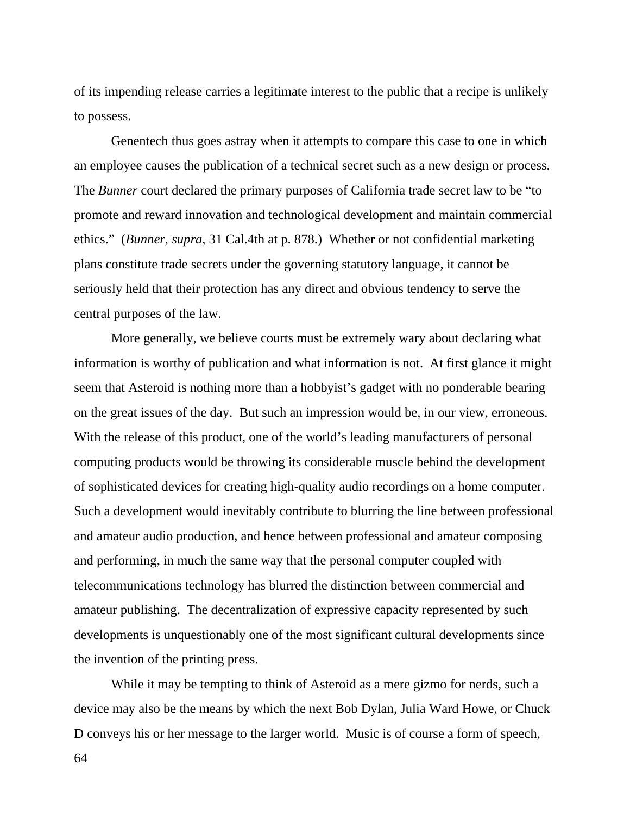of its impending release carries a legitimate interest to the public that a recipe is unlikely to possess.

 Genentech thus goes astray when it attempts to compare this case to one in which an employee causes the publication of a technical secret such as a new design or process. The *Bunner* court declared the primary purposes of California trade secret law to be "to promote and reward innovation and technological development and maintain commercial ethics." (*Bunner*, *supra*, 31 Cal.4th at p. 878.) Whether or not confidential marketing plans constitute trade secrets under the governing statutory language, it cannot be seriously held that their protection has any direct and obvious tendency to serve the central purposes of the law.

 More generally, we believe courts must be extremely wary about declaring what information is worthy of publication and what information is not. At first glance it might seem that Asteroid is nothing more than a hobbyist's gadget with no ponderable bearing on the great issues of the day. But such an impression would be, in our view, erroneous. With the release of this product, one of the world's leading manufacturers of personal computing products would be throwing its considerable muscle behind the development of sophisticated devices for creating high-quality audio recordings on a home computer. Such a development would inevitably contribute to blurring the line between professional and amateur audio production, and hence between professional and amateur composing and performing, in much the same way that the personal computer coupled with telecommunications technology has blurred the distinction between commercial and amateur publishing. The decentralization of expressive capacity represented by such developments is unquestionably one of the most significant cultural developments since the invention of the printing press.

 While it may be tempting to think of Asteroid as a mere gizmo for nerds, such a device may also be the means by which the next Bob Dylan, Julia Ward Howe, or Chuck D conveys his or her message to the larger world. Music is of course a form of speech,

64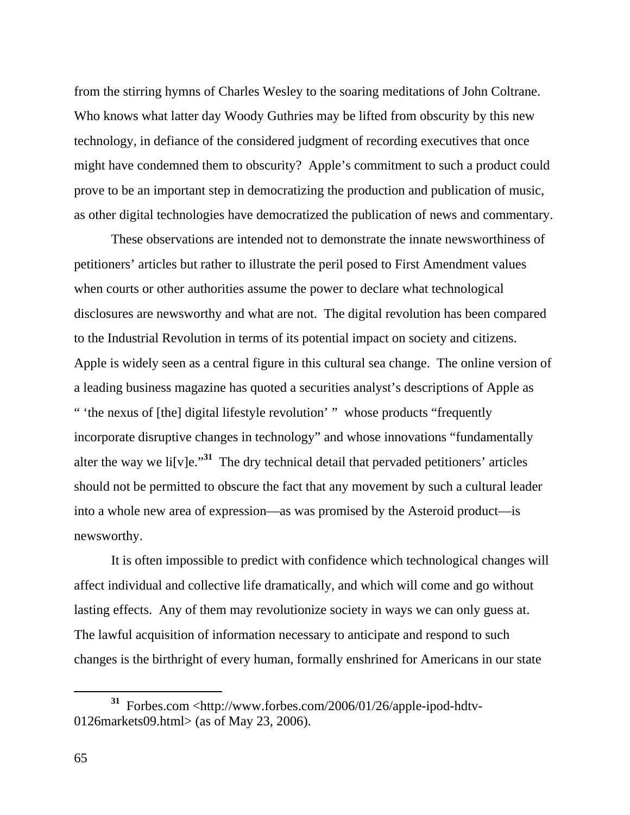from the stirring hymns of Charles Wesley to the soaring meditations of John Coltrane. Who knows what latter day Woody Guthries may be lifted from obscurity by this new technology, in defiance of the considered judgment of recording executives that once might have condemned them to obscurity? Apple's commitment to such a product could prove to be an important step in democratizing the production and publication of music, as other digital technologies have democratized the publication of news and commentary.

 These observations are intended not to demonstrate the innate newsworthiness of petitioners' articles but rather to illustrate the peril posed to First Amendment values when courts or other authorities assume the power to declare what technological disclosures are newsworthy and what are not. The digital revolution has been compared to the Industrial Revolution in terms of its potential impact on society and citizens. Apple is widely seen as a central figure in this cultural sea change. The online version of a leading business magazine has quoted a securities analyst's descriptions of Apple as " 'the nexus of [the] digital lifestyle revolution' " whose products "frequently incorporate disruptive changes in technology" and whose innovations "fundamentally alter the way we li<sup>[v]</sup>e.<sup>"31</sup> The dry technical detail that pervaded petitioners' articles should not be permitted to obscure the fact that any movement by such a cultural leader into a whole new area of expression—as was promised by the Asteroid product—is newsworthy.

 It is often impossible to predict with confidence which technological changes will affect individual and collective life dramatically, and which will come and go without lasting effects. Any of them may revolutionize society in ways we can only guess at. The lawful acquisition of information necessary to anticipate and respond to such changes is the birthright of every human, formally enshrined for Americans in our state

**<sup>31</sup>** Forbes.com <http://www.forbes.com/2006/01/26/apple-ipod-hdtv-0126markets09.html> (as of May 23, 2006).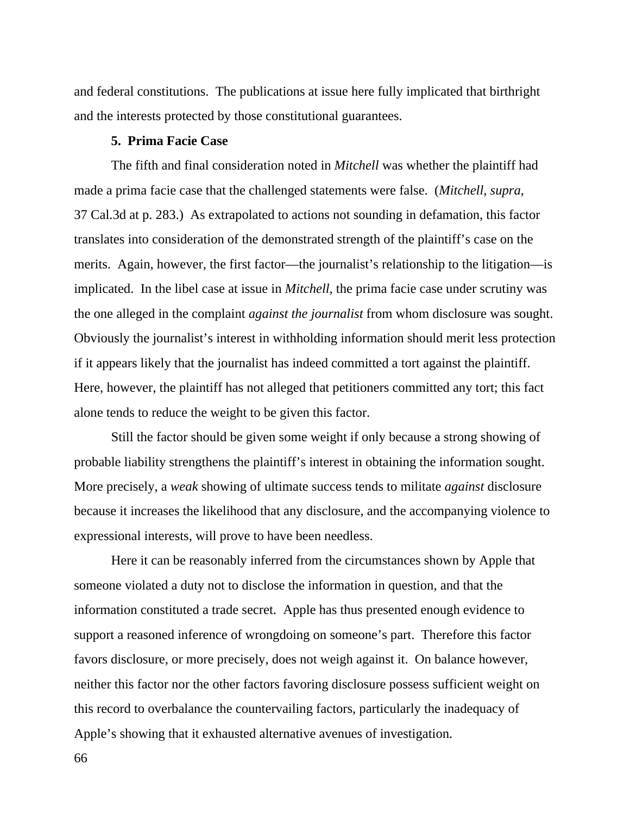and federal constitutions. The publications at issue here fully implicated that birthright and the interests protected by those constitutional guarantees.

# **5. Prima Facie Case**

 The fifth and final consideration noted in *Mitchell* was whether the plaintiff had made a prima facie case that the challenged statements were false. (*Mitchell*, *supra*, 37 Cal.3d at p. 283.) As extrapolated to actions not sounding in defamation, this factor translates into consideration of the demonstrated strength of the plaintiff's case on the merits. Again, however, the first factor—the journalist's relationship to the litigation—is implicated. In the libel case at issue in *Mitchell*, the prima facie case under scrutiny was the one alleged in the complaint *against the journalist* from whom disclosure was sought. Obviously the journalist's interest in withholding information should merit less protection if it appears likely that the journalist has indeed committed a tort against the plaintiff. Here, however, the plaintiff has not alleged that petitioners committed any tort; this fact alone tends to reduce the weight to be given this factor.

 Still the factor should be given some weight if only because a strong showing of probable liability strengthens the plaintiff's interest in obtaining the information sought. More precisely, a *weak* showing of ultimate success tends to militate *against* disclosure because it increases the likelihood that any disclosure, and the accompanying violence to expressional interests, will prove to have been needless.

 Here it can be reasonably inferred from the circumstances shown by Apple that someone violated a duty not to disclose the information in question, and that the information constituted a trade secret. Apple has thus presented enough evidence to support a reasoned inference of wrongdoing on someone's part. Therefore this factor favors disclosure, or more precisely, does not weigh against it. On balance however, neither this factor nor the other factors favoring disclosure possess sufficient weight on this record to overbalance the countervailing factors, particularly the inadequacy of Apple's showing that it exhausted alternative avenues of investigation.

66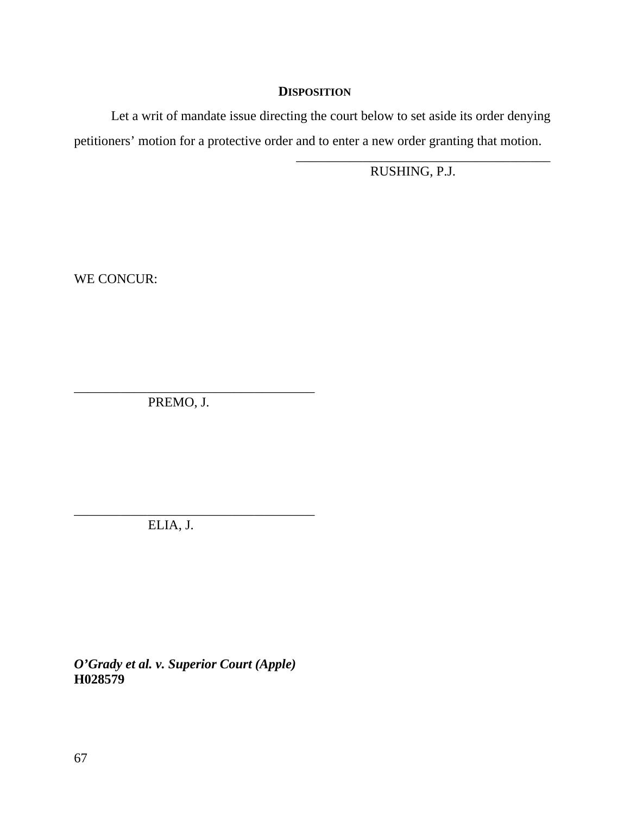# **DISPOSITION**

 Let a writ of mandate issue directing the court below to set aside its order denying petitioners' motion for a protective order and to enter a new order granting that motion.

 $\overline{\phantom{a}}$  , which is a set of the set of the set of the set of the set of the set of the set of the set of the set of the set of the set of the set of the set of the set of the set of the set of the set of the set of th RUSHING, P.J.

WE CONCUR:

\_\_\_\_\_\_\_\_\_\_\_\_\_\_\_\_\_\_\_\_\_\_\_\_\_\_\_\_\_\_\_\_\_\_\_\_ PREMO, J.

\_\_\_\_\_\_\_\_\_\_\_\_\_\_\_\_\_\_\_\_\_\_\_\_\_\_\_\_\_\_\_\_\_\_\_\_ ELIA, J.

*O'Grady et al. v. Superior Court (Apple)*  **H028579**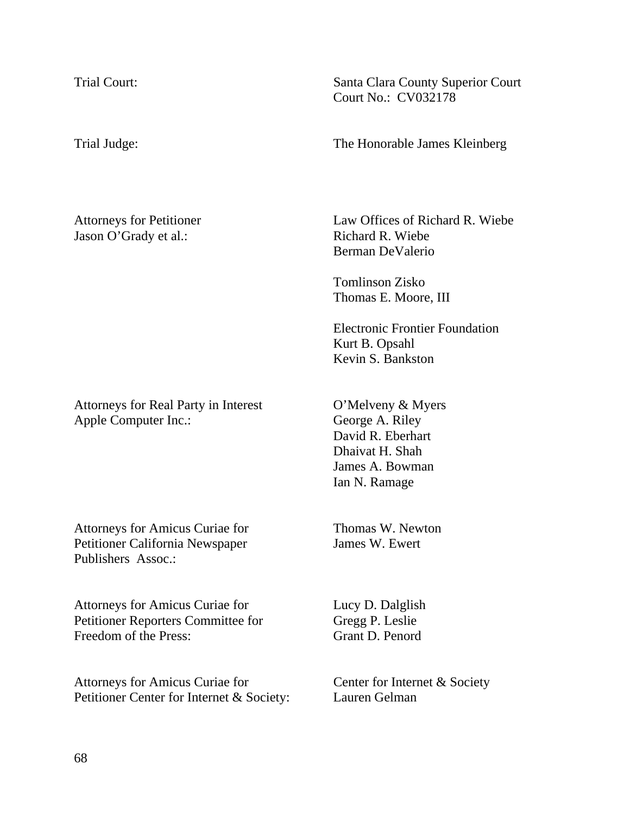Jason O'Grady et al.: Richard R. Wiebe

Attorneys for Real Party in Interest **O'Melveny & Myers** Apple Computer Inc.: George A. Riley

Attorneys for Amicus Curiae for Thomas W. Newton Petitioner California Newspaper James W. Ewert Publishers Assoc.:

Attorneys for Amicus Curiae for Lucy D. Dalglish Petitioner Reporters Committee for Gregg P. Leslie Freedom of the Press: Grant D. Penord

Attorneys for Amicus Curiae for Center for Internet & Society Petitioner Center for Internet & Society: Lauren Gelman

Trial Court: Santa Clara County Superior Court Court No.: CV032178

Trial Judge: The Honorable James Kleinberg

Attorneys for Petitioner Law Offices of Richard R. Wiebe Berman DeValerio

> Tomlinson Zisko Thomas E. Moore, III

Electronic Frontier Foundation Kurt B. Opsahl Kevin S. Bankston

 David R. Eberhart Dhaivat H. Shah James A. Bowman Ian N. Ramage